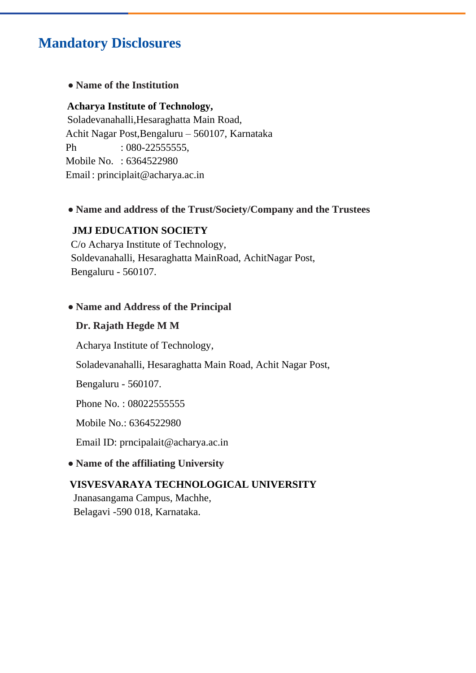# **Mandatory Disclosures**

## **• Name of the Institution**

## **Acharya Institute of Technology,**

Soladevanahalli,Hesaraghatta Main Road, Achit Nagar Post,Bengaluru – 560107, Karnataka Ph : 080-225555555, Mobile No. : 6364522980 Email: principlait@acharya.ac.in

## **• Name and address of the Trust/Society/Company and the Trustees**

### **JMJ EDUCATION SOCIETY**

 C/o Acharya Institute of Technology, Soldevanahalli, Hesaraghatta MainRoad, AchitNagar Post, Bengaluru - 560107.

### **• Name and Address of the Principal**

### **Dr. Rajath Hegde M M**

Acharya Institute of Technology,

Soladevanahalli, Hesaraghatta Main Road, Achit Nagar Post,

Bengaluru - 560107.

Phone No.: 080225555555

Mobile No.: 6364522980

Email ID: prncipalait@acharya.ac.in

## **• Name of the affiliating University**

## **VISVESVARAYA TECHNOLOGICAL UNIVERSITY**

 Jnanasangama Campus, Machhe, Belagavi -590 018, Karnataka.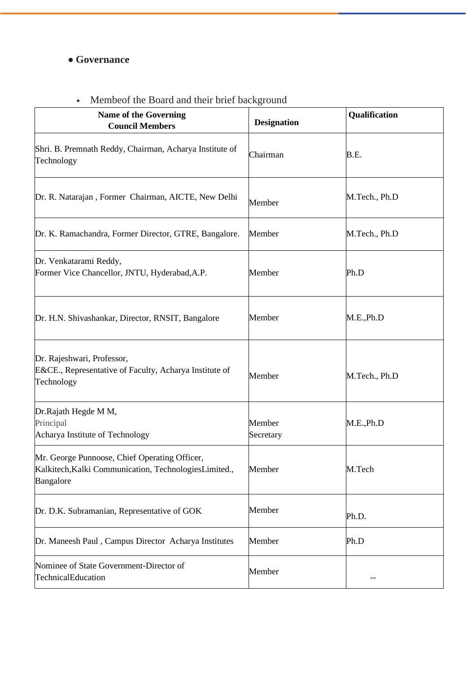# **• Governance**

# • Membeof the Board and their brief background

| Name of the Governing<br><b>Council Members</b>                                                                      | <b>Designation</b>  | Qualification |
|----------------------------------------------------------------------------------------------------------------------|---------------------|---------------|
| Shri. B. Premnath Reddy, Chairman, Acharya Institute of<br>Technology                                                | Chairman            | B.E.          |
| Dr. R. Natarajan, Former Chairman, AICTE, New Delhi                                                                  | Member              | M.Tech., Ph.D |
| Dr. K. Ramachandra, Former Director, GTRE, Bangalore.                                                                | Member              | M.Tech., Ph.D |
| Dr. Venkatarami Reddy,<br>Former Vice Chancellor, JNTU, Hyderabad, A.P.                                              | Member              | Ph.D          |
| Dr. H.N. Shivashankar, Director, RNSIT, Bangalore                                                                    | Member              | M.E., Ph.D    |
| Dr. Rajeshwari, Professor,<br>E&CE., Representative of Faculty, Acharya Institute of<br>Technology                   | Member              | M.Tech., Ph.D |
| Dr.Rajath Hegde M M,<br>Principal<br>Acharya Institute of Technology                                                 | Member<br>Secretary | M.E., Ph.D    |
| Mr. George Punnoose, Chief Operating Officer,<br>Kalkitech, Kalki Communication, Technologies Limited.,<br>Bangalore | Member              | M.Tech        |
| Dr. D.K. Subramanian, Representative of GOK                                                                          | Member              | Ph.D.         |
| Dr. Maneesh Paul, Campus Director Acharya Institutes                                                                 | Member              | Ph.D          |
| Nominee of State Government-Director of<br>TechnicalEducation                                                        | Member              |               |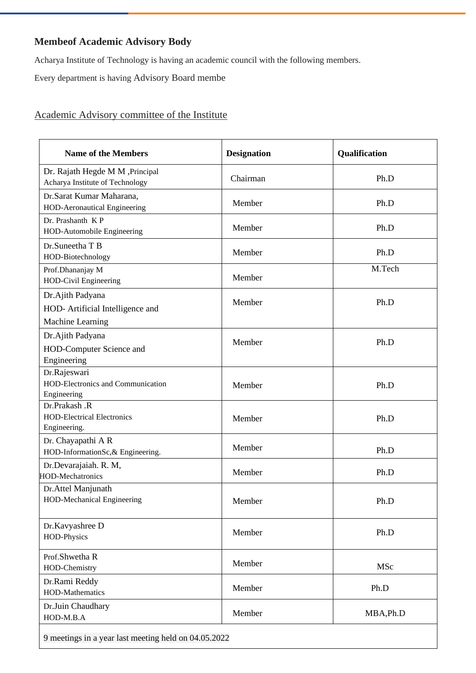# **Membeof Academic Advisory Body**

Acharya Institute of Technology is having an academic council with the following members.

Every department is having Advisory Board membe

# Academic Advisory committee of the Institute

| <b>Name of the Members</b>                                               | <b>Designation</b> | Qualification |
|--------------------------------------------------------------------------|--------------------|---------------|
| Dr. Rajath Hegde M M ,Principal<br>Acharya Institute of Technology       | Chairman           | Ph.D          |
| Dr.Sarat Kumar Maharana,<br>HOD-Aeronautical Engineering                 | Member             | Ph.D          |
| Dr. Prashanth KP<br>HOD-Automobile Engineering                           | Member             | Ph.D          |
| Dr.Suneetha T B<br>HOD-Biotechnology                                     | Member             | Ph.D          |
| Prof.Dhananjay M<br>HOD-Civil Engineering                                | Member             | M.Tech        |
| Dr.Ajith Padyana<br>HOD- Artificial Intelligence and<br>Machine Learning | Member             | Ph.D          |
| Dr.Ajith Padyana<br>HOD-Computer Science and<br>Engineering              | Member             | Ph.D          |
| Dr.Rajeswari<br>HOD-Electronics and Communication<br>Engineering         | Member             | Ph.D          |
| Dr.Prakash .R<br><b>HOD-Electrical Electronics</b><br>Engineering.       | Member             | Ph.D          |
| Dr. Chayapathi A R<br>HOD-InformationSc, & Engineering.                  | Member             | Ph.D          |
| Dr.Devarajaiah. R. M,<br><b>HOD-Mechatronics</b>                         | Member             | Ph.D          |
| Dr.Attel Manjunath<br><b>HOD-Mechanical Engineering</b>                  | Member             | Ph.D          |
| Dr.Kavyashree D<br>HOD-Physics                                           | Member             | Ph.D          |
| Prof.Shwetha R<br>HOD-Chemistry                                          | Member             | MSc           |
| Dr.Rami Reddy<br>HOD-Mathematics                                         | Member             | Ph.D          |
| Dr.Juin Chaudhary<br>HOD-M.B.A                                           | Member             | MBA, Ph.D     |
| 9 meetings in a year last meeting held on 04.05.2022                     |                    |               |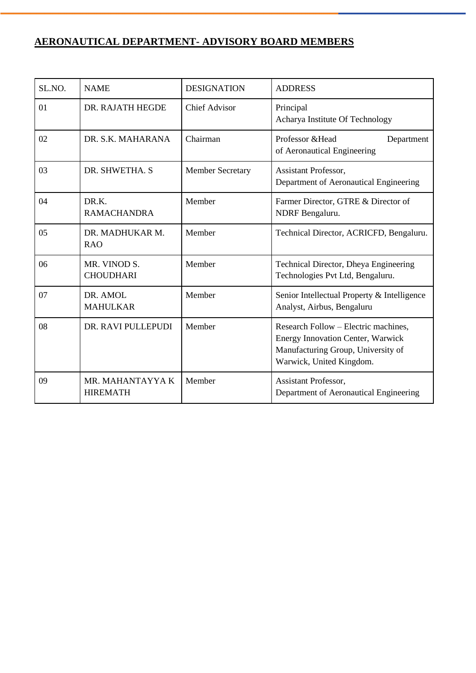# **AERONAUTICAL DEPARTMENT- ADVISORY BOARD MEMBERS**

| SL.NO. | <b>NAME</b>                         | <b>DESIGNATION</b>      | <b>ADDRESS</b>                                                                                                                                     |
|--------|-------------------------------------|-------------------------|----------------------------------------------------------------------------------------------------------------------------------------------------|
| 01     | DR. RAJATH HEGDE                    | <b>Chief Advisor</b>    | Principal<br>Acharya Institute Of Technology                                                                                                       |
| 02     | DR. S.K. MAHARANA                   | Chairman                | Professor & Head<br>Department<br>of Aeronautical Engineering                                                                                      |
| 03     | DR. SHWETHA. S                      | <b>Member Secretary</b> | <b>Assistant Professor,</b><br>Department of Aeronautical Engineering                                                                              |
| 04     | DR.K.<br><b>RAMACHANDRA</b>         | Member                  | Farmer Director, GTRE & Director of<br>NDRF Bengaluru.                                                                                             |
| 05     | DR. MADHUKAR M.<br><b>RAO</b>       | Member                  | Technical Director, ACRICFD, Bengaluru.                                                                                                            |
| 06     | MR. VINOD S.<br><b>CHOUDHARI</b>    | Member                  | Technical Director, Dheya Engineering<br>Technologies Pvt Ltd, Bengaluru.                                                                          |
| 07     | DR. AMOL<br><b>MAHULKAR</b>         | Member                  | Senior Intellectual Property & Intelligence<br>Analyst, Airbus, Bengaluru                                                                          |
| 08     | DR. RAVI PULLEPUDI                  | Member                  | Research Follow – Electric machines,<br><b>Energy Innovation Center, Warwick</b><br>Manufacturing Group, University of<br>Warwick, United Kingdom. |
| 09     | MR. MAHANTAYYA K<br><b>HIREMATH</b> | Member                  | Assistant Professor,<br>Department of Aeronautical Engineering                                                                                     |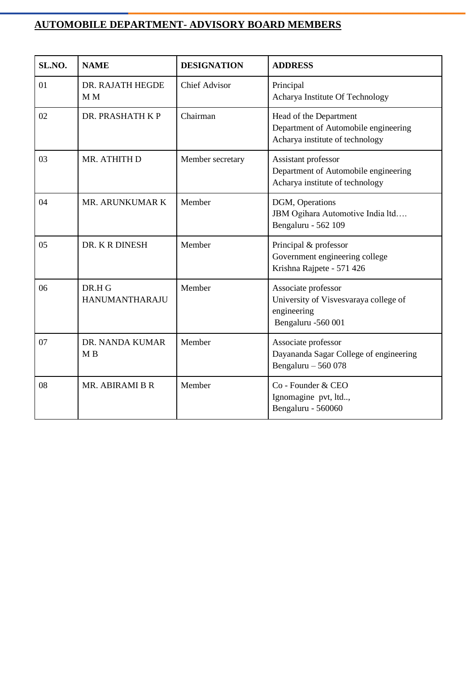# **AUTOMOBILE DEPARTMENT- ADVISORY BOARD MEMBERS**

| SL.NO. | <b>NAME</b>                        | <b>DESIGNATION</b>   | <b>ADDRESS</b>                                                                                    |
|--------|------------------------------------|----------------------|---------------------------------------------------------------------------------------------------|
| 01     | DR. RAJATH HEGDE<br>M <sub>M</sub> | <b>Chief Advisor</b> | Principal<br>Acharya Institute Of Technology                                                      |
| 02     | DR. PRASHATH K P                   | Chairman             | Head of the Department<br>Department of Automobile engineering<br>Acharya institute of technology |
| 03     | MR. ATHITH D                       | Member secretary     | Assistant professor<br>Department of Automobile engineering<br>Acharya institute of technology    |
| 04     | MR. ARUNKUMAR K                    | Member               | DGM, Operations<br>JBM Ogihara Automotive India ltd<br>Bengaluru - 562 109                        |
| 05     | DR. K R DINESH                     | Member               | Principal & professor<br>Government engineering college<br>Krishna Rajpete - 571 426              |
| 06     | DR.H G<br><b>HANUMANTHARAJU</b>    | Member               | Associate professor<br>University of Visvesvaraya college of<br>engineering<br>Bengaluru -560 001 |
| 07     | DR. NANDA KUMAR<br>M <sub>B</sub>  | Member               | Associate professor<br>Dayananda Sagar College of engineering<br>Bengaluru $-560078$              |
| 08     | MR. ABIRAMI B R                    | Member               | Co - Founder & CEO<br>Ignomagine pvt, ltd,<br>Bengaluru - 560060                                  |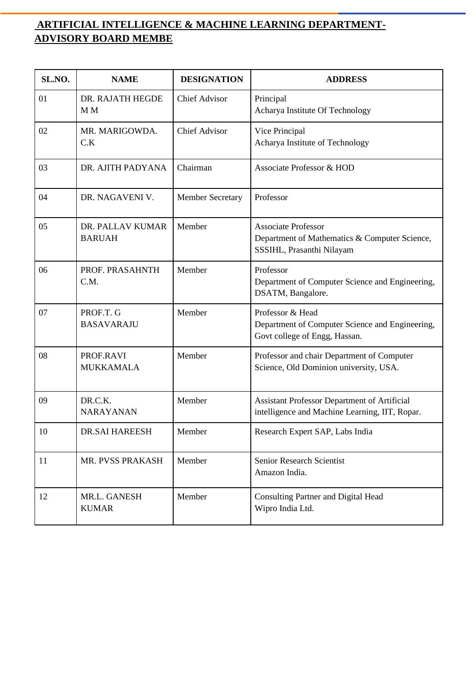# **ARTIFICIAL INTELLIGENCE & MACHINE LEARNING DEPARTMENT-ADVISORY BOARD MEMBE**

| SL.NO. | <b>NAME</b>                        | <b>DESIGNATION</b>      | <b>ADDRESS</b>                                                                                           |
|--------|------------------------------------|-------------------------|----------------------------------------------------------------------------------------------------------|
| 01     | DR. RAJATH HEGDE<br>M <sub>M</sub> | <b>Chief Advisor</b>    | Principal<br>Acharya Institute Of Technology                                                             |
| 02     | MR. MARIGOWDA.<br>C.K              | <b>Chief Advisor</b>    | Vice Principal<br>Acharya Institute of Technology                                                        |
| 03     | DR. AJITH PADYANA                  | Chairman                | <b>Associate Professor &amp; HOD</b>                                                                     |
| 04     | DR. NAGAVENI V.                    | <b>Member Secretary</b> | Professor                                                                                                |
| 05     | DR. PALLAV KUMAR<br><b>BARUAH</b>  | Member                  | <b>Associate Professor</b><br>Department of Mathematics & Computer Science,<br>SSSIHL, Prasanthi Nilayam |
| 06     | PROF. PRASAHNTH<br>C.M.            | Member                  | Professor<br>Department of Computer Science and Engineering,<br>DSATM, Bangalore.                        |
| 07     | PROF.T. G<br><b>BASAVARAJU</b>     | Member                  | Professor & Head<br>Department of Computer Science and Engineering,<br>Govt college of Engg, Hassan.     |
| 08     | PROF.RAVI<br><b>MUKKAMALA</b>      | Member                  | Professor and chair Department of Computer<br>Science, Old Dominion university, USA.                     |
| 09     | DR.C.K.<br><b>NARAYANAN</b>        | Member                  | Assistant Professor Department of Artificial<br>intelligence and Machine Learning, IIT, Ropar.           |
| 10     | <b>DR.SAI HAREESH</b>              | Member                  | Research Expert SAP, Labs India                                                                          |
| 11     | MR. PVSS PRAKASH                   | Member                  | Senior Research Scientist<br>Amazon India.                                                               |
| 12     | MR.L. GANESH<br><b>KUMAR</b>       | Member                  | <b>Consulting Partner and Digital Head</b><br>Wipro India Ltd.                                           |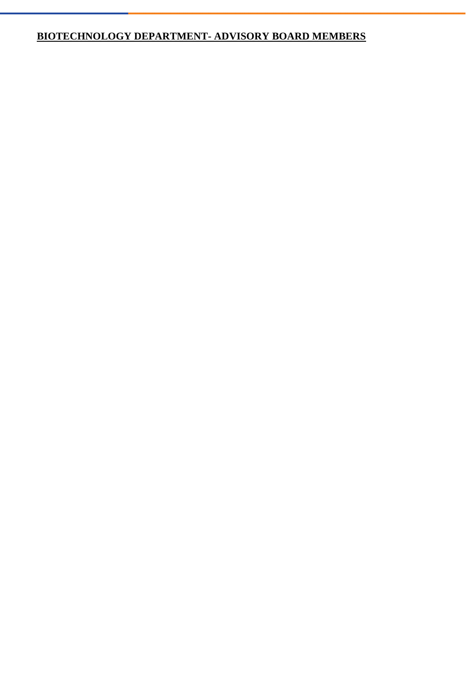# **BIOTECHNOLOGY DEPARTMENT- ADVISORY BOARD MEMBERS**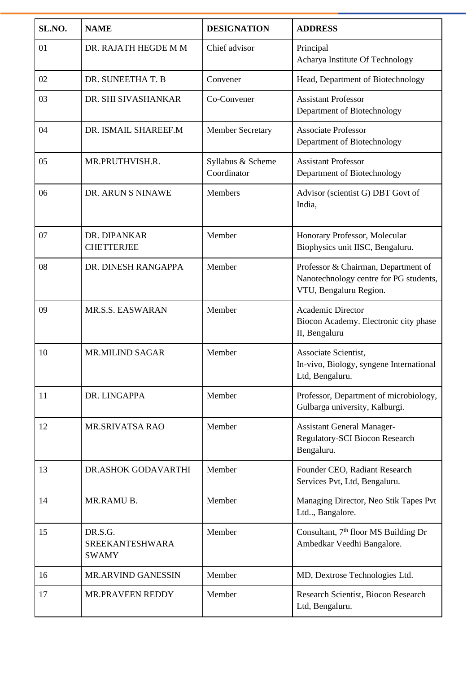| SL.NO. | <b>NAME</b>                                       | <b>DESIGNATION</b>               | <b>ADDRESS</b>                                                                                          |
|--------|---------------------------------------------------|----------------------------------|---------------------------------------------------------------------------------------------------------|
| 01     | DR. RAJATH HEGDE M M                              | Chief advisor                    | Principal<br>Acharya Institute Of Technology                                                            |
| 02     | DR. SUNEETHA T. B                                 | Convener                         | Head, Department of Biotechnology                                                                       |
| 03     | DR. SHI SIVASHANKAR                               | Co-Convener                      | <b>Assistant Professor</b><br>Department of Biotechnology                                               |
| 04     | DR. ISMAIL SHAREEF.M                              | <b>Member Secretary</b>          | <b>Associate Professor</b><br>Department of Biotechnology                                               |
| 05     | MR.PRUTHVISH.R.                                   | Syllabus & Scheme<br>Coordinator | <b>Assistant Professor</b><br>Department of Biotechnology                                               |
| 06     | DR. ARUN S NINAWE                                 | <b>Members</b>                   | Advisor (scientist G) DBT Govt of<br>India,                                                             |
| 07     | DR. DIPANKAR<br><b>CHETTERJEE</b>                 | Member                           | Honorary Professor, Molecular<br>Biophysics unit IISC, Bengaluru.                                       |
| 08     | DR. DINESH RANGAPPA                               | Member                           | Professor & Chairman, Department of<br>Nanotechnology centre for PG students,<br>VTU, Bengaluru Region. |
| 09     | MR.S.S. EASWARAN                                  | Member                           | Academic Director<br>Biocon Academy. Electronic city phase<br>II, Bengaluru                             |
| 10     | <b>MR.MILIND SAGAR</b>                            | Member                           | Associate Scientist,<br>In-vivo, Biology, syngene International<br>Ltd, Bengaluru.                      |
| 11     | DR. LINGAPPA                                      | Member                           | Professor, Department of microbiology,<br>Gulbarga university, Kalburgi.                                |
| 12     | MR.SRIVATSA RAO                                   | Member                           | <b>Assistant General Manager-</b><br>Regulatory-SCI Biocon Research<br>Bengaluru.                       |
| 13     | DR.ASHOK GODAVARTHI                               | Member                           | Founder CEO, Radiant Research<br>Services Pvt, Ltd, Bengaluru.                                          |
| 14     | MR.RAMU B.                                        | Member                           | Managing Director, Neo Stik Tapes Pvt<br>Ltd, Bangalore.                                                |
| 15     | DR.S.G.<br><b>SREEKANTESHWARA</b><br><b>SWAMY</b> | Member                           | Consultant, 7 <sup>th</sup> floor MS Building Dr<br>Ambedkar Veedhi Bangalore.                          |
| 16     | MR.ARVIND GANESSIN                                | Member                           | MD, Dextrose Technologies Ltd.                                                                          |
| 17     | MR.PRAVEEN REDDY                                  | Member                           | Research Scientist, Biocon Research<br>Ltd, Bengaluru.                                                  |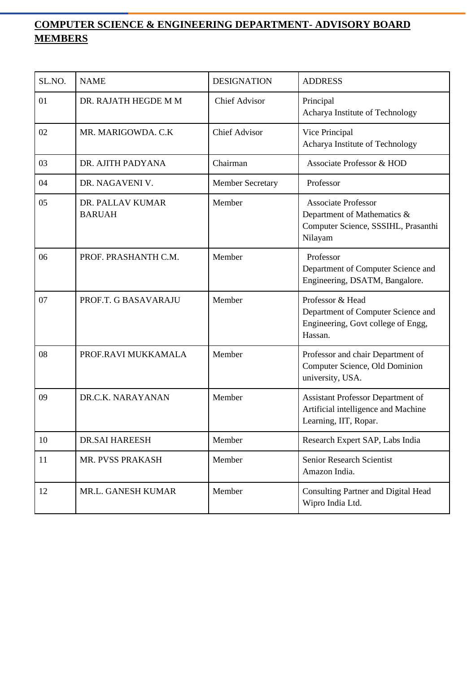# **COMPUTER SCIENCE & ENGINEERING DEPARTMENT- ADVISORY BOARD MEMBERS**

| SL.NO. | <b>NAME</b>                       | <b>DESIGNATION</b>      | <b>ADDRESS</b>                                                                                              |
|--------|-----------------------------------|-------------------------|-------------------------------------------------------------------------------------------------------------|
| 01     | DR. RAJATH HEGDE M M              | <b>Chief Advisor</b>    | Principal<br>Acharya Institute of Technology                                                                |
| 02     | MR. MARIGOWDA. C.K                | <b>Chief Advisor</b>    | Vice Principal<br>Acharya Institute of Technology                                                           |
| 03     | DR. AJITH PADYANA                 | Chairman                | <b>Associate Professor &amp; HOD</b>                                                                        |
| 04     | DR. NAGAVENI V.                   | <b>Member Secretary</b> | Professor                                                                                                   |
| 05     | DR. PALLAV KUMAR<br><b>BARUAH</b> | Member                  | <b>Associate Professor</b><br>Department of Mathematics &<br>Computer Science, SSSIHL, Prasanthi<br>Nilayam |
| 06     | PROF. PRASHANTH C.M.              | Member                  | Professor<br>Department of Computer Science and<br>Engineering, DSATM, Bangalore.                           |
| 07     | PROF.T. G BASAVARAJU              | Member                  | Professor & Head<br>Department of Computer Science and<br>Engineering, Govt college of Engg,<br>Hassan.     |
| 08     | PROF.RAVI MUKKAMALA               | Member                  | Professor and chair Department of<br>Computer Science, Old Dominion<br>university, USA.                     |
| 09     | DR.C.K. NARAYANAN                 | Member                  | Assistant Professor Department of<br>Artificial intelligence and Machine<br>Learning, IIT, Ropar.           |
| 10     | <b>DR.SAI HAREESH</b>             | Member                  | Research Expert SAP, Labs India                                                                             |
| 11     | MR. PVSS PRAKASH                  | Member                  | Senior Research Scientist<br>Amazon India.                                                                  |
| 12     | MR.L. GANESH KUMAR                | Member                  | Consulting Partner and Digital Head<br>Wipro India Ltd.                                                     |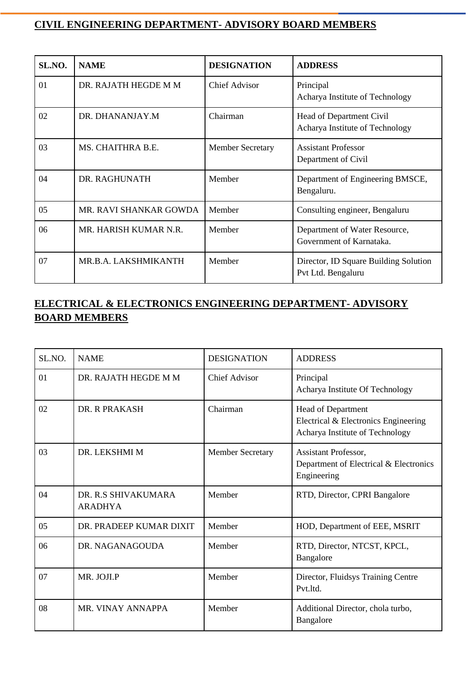# **CIVIL ENGINEERING DEPARTMENT- ADVISORY BOARD MEMBERS**

| SL.NO. | <b>NAME</b>            | <b>DESIGNATION</b>      | <b>ADDRESS</b>                                              |
|--------|------------------------|-------------------------|-------------------------------------------------------------|
| 01     | DR. RAJATH HEGDE M M   | <b>Chief Advisor</b>    | Principal<br>Acharya Institute of Technology                |
| 02     | DR. DHANANJAY.M        | Chairman                | Head of Department Civil<br>Acharya Institute of Technology |
| 03     | MS. CHAITHRA B.E.      | <b>Member Secretary</b> | <b>Assistant Professor</b><br>Department of Civil           |
| 04     | DR. RAGHUNATH          | Member                  | Department of Engineering BMSCE,<br>Bengaluru.              |
| 05     | MR. RAVI SHANKAR GOWDA | Member                  | Consulting engineer, Bengaluru                              |
| 06     | MR. HARISH KUMAR N.R.  | Member                  | Department of Water Resource,<br>Government of Karnataka.   |
| 07     | MR.B.A. LAKSHMIKANTH   | Member                  | Director, ID Square Building Solution<br>Pvt Ltd. Bengaluru |

# **ELECTRICAL & ELECTRONICS ENGINEERING DEPARTMENT- ADVISORY BOARD MEMBERS**

| SL.NO. | <b>NAME</b>                           | <b>DESIGNATION</b>      | <b>ADDRESS</b>                                                                                |
|--------|---------------------------------------|-------------------------|-----------------------------------------------------------------------------------------------|
| 01     | DR. RAJATH HEGDE M M                  | <b>Chief Advisor</b>    | Principal<br>Acharya Institute Of Technology                                                  |
| 02     | DR. R PRAKASH                         | Chairman                | Head of Department<br>Electrical & Electronics Engineering<br>Acharya Institute of Technology |
| 03     | DR. LEKSHMI M                         | <b>Member Secretary</b> | Assistant Professor,<br>Department of Electrical & Electronics<br>Engineering                 |
| 04     | DR. R.S SHIVAKUMARA<br><b>ARADHYA</b> | Member                  | RTD, Director, CPRI Bangalore                                                                 |
| 05     | DR. PRADEEP KUMAR DIXIT               | Member                  | HOD, Department of EEE, MSRIT                                                                 |
| 06     | DR. NAGANAGOUDA                       | Member                  | RTD, Director, NTCST, KPCL,<br>Bangalore                                                      |
| 07     | MR. JOJI.P                            | Member                  | Director, Fluidsys Training Centre<br>Pvt.ltd.                                                |
| 08     | MR. VINAY ANNAPPA                     | Member                  | Additional Director, chola turbo,<br>Bangalore                                                |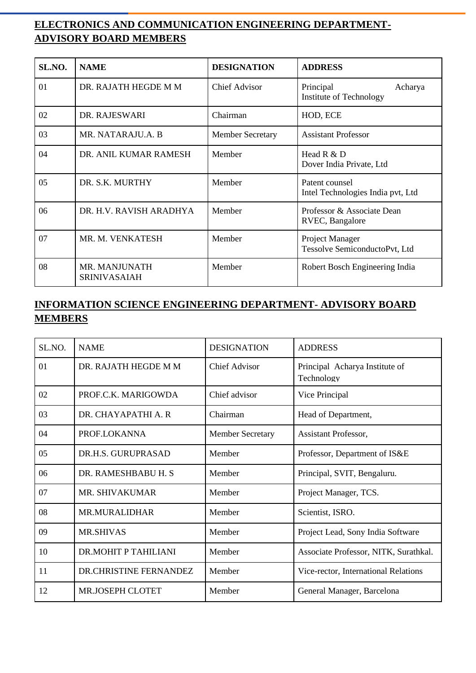# **ELECTRONICS AND COMMUNICATION ENGINEERING DEPARTMENT-ADVISORY BOARD MEMBERS**

| SL.NO. | <b>NAME</b>                          | <b>DESIGNATION</b>      | <b>ADDRESS</b>                                      |
|--------|--------------------------------------|-------------------------|-----------------------------------------------------|
| 01     | DR. RAJATH HEGDE M M                 | <b>Chief Advisor</b>    | Principal<br>Acharya<br>Institute of Technology     |
| 02     | DR. RAJESWARI                        | Chairman                | HOD, ECE                                            |
| 03     | MR. NATARAJU.A. B                    | <b>Member Secretary</b> | <b>Assistant Professor</b>                          |
| 04     | DR. ANIL KUMAR RAMESH                | Member                  | Head $R & D$<br>Dover India Private, Ltd            |
| 05     | DR. S.K. MURTHY                      | Member                  | Patent counsel<br>Intel Technologies India pvt, Ltd |
| 06     | DR. H.V. RAVISH ARADHYA              | Member                  | Professor & Associate Dean<br>RVEC, Bangalore       |
| 07     | MR. M. VENKATESH                     | Member                  | Project Manager<br>Tessolve SemiconductoPvt, Ltd    |
| 08     | MR. MANJUNATH<br><b>SRINIVASAIAH</b> | Member                  | Robert Bosch Engineering India                      |

# **INFORMATION SCIENCE ENGINEERING DEPARTMENT- ADVISORY BOARD MEMBERS**

| SL.NO. | <b>NAME</b>            | <b>DESIGNATION</b>      | <b>ADDRESS</b>                               |
|--------|------------------------|-------------------------|----------------------------------------------|
| 01     | DR. RAJATH HEGDE M M   | Chief Advisor           | Principal Acharya Institute of<br>Technology |
| 02     | PROF.C.K. MARIGOWDA    | Chief advisor           | Vice Principal                               |
| 03     | DR. CHAYAPATHI A. R    | Chairman                | Head of Department,                          |
| 04     | PROF.LOKANNA           | <b>Member Secretary</b> | Assistant Professor,                         |
| 05     | DR.H.S. GURUPRASAD     | Member                  | Professor, Department of IS&E                |
| 06     | DR. RAMESHBABU H. S.   | Member                  | Principal, SVIT, Bengaluru.                  |
| 07     | <b>MR. SHIVAKUMAR</b>  | Member                  | Project Manager, TCS.                        |
| 08     | MR.MURALIDHAR          | Member                  | Scientist, ISRO.                             |
| 09     | <b>MR.SHIVAS</b>       | Member                  | Project Lead, Sony India Software            |
| 10     | DR.MOHIT P TAHILIANI   | Member                  | Associate Professor, NITK, Surathkal.        |
| 11     | DR.CHRISTINE FERNANDEZ | Member                  | Vice-rector, International Relations         |
| 12     | MR.JOSEPH CLOTET       | Member                  | General Manager, Barcelona                   |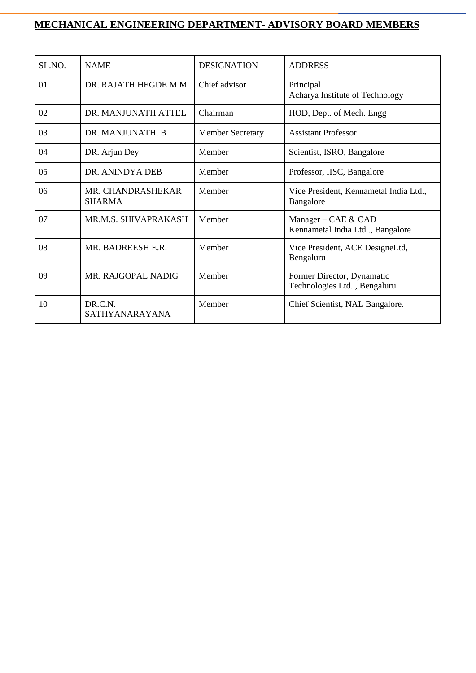# **MECHANICAL ENGINEERING DEPARTMENT- ADVISORY BOARD MEMBERS**

| SL.NO. | <b>NAME</b>                        | <b>DESIGNATION</b>      | <b>ADDRESS</b>                                            |
|--------|------------------------------------|-------------------------|-----------------------------------------------------------|
| 01     | DR. RAJATH HEGDE M M               | Chief advisor           | Principal<br>Acharya Institute of Technology              |
| 02     | DR. MANJUNATH ATTEL                | Chairman                | HOD, Dept. of Mech. Engg                                  |
| 03     | DR. MANJUNATH. B                   | <b>Member Secretary</b> | <b>Assistant Professor</b>                                |
| 04     | DR. Arjun Dey                      | Member                  | Scientist, ISRO, Bangalore                                |
| 05     | DR. ANINDYA DEB                    | Member                  | Professor, IISC, Bangalore                                |
| 06     | MR. CHANDRASHEKAR<br><b>SHARMA</b> | Member                  | Vice President, Kennametal India Ltd.,<br>Bangalore       |
| 07     | MR.M.S. SHIVAPRAKASH               | Member                  | Manager - CAE & CAD<br>Kennametal India Ltd, Bangalore    |
| 08     | MR. BADREESH E.R.                  | Member                  | Vice President, ACE DesigneLtd,<br>Bengaluru              |
| 09     | MR. RAJGOPAL NADIG                 | Member                  | Former Director, Dynamatic<br>Technologies Ltd, Bengaluru |
| 10     | DR.C.N.<br>SATHYANARAYANA          | Member                  | Chief Scientist, NAL Bangalore.                           |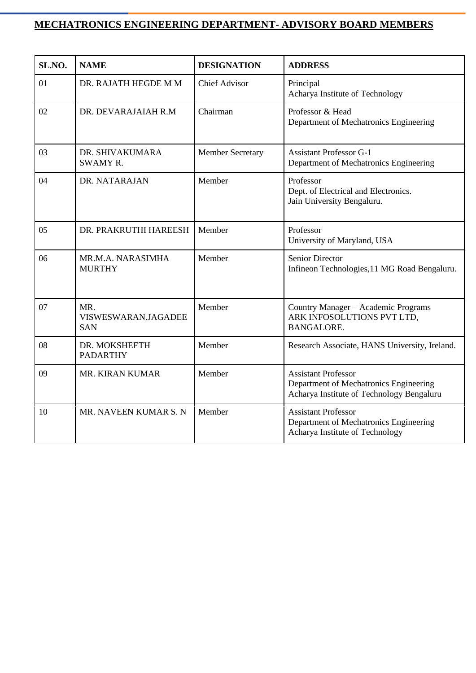# **MECHATRONICS ENGINEERING DEPARTMENT- ADVISORY BOARD MEMBERS**

| SL.NO. | <b>NAME</b>                              | <b>DESIGNATION</b>      | <b>ADDRESS</b>                                                                                                    |  |  |
|--------|------------------------------------------|-------------------------|-------------------------------------------------------------------------------------------------------------------|--|--|
| 01     | DR. RAJATH HEGDE M M                     | <b>Chief Advisor</b>    | Principal<br>Acharya Institute of Technology                                                                      |  |  |
| 02     | DR. DEVARAJAIAH R.M                      | Chairman                | Professor & Head<br>Department of Mechatronics Engineering                                                        |  |  |
| 03     | DR. SHIVAKUMARA<br><b>SWAMY R.</b>       | <b>Member Secretary</b> | <b>Assistant Professor G-1</b><br>Department of Mechatronics Engineering                                          |  |  |
| 04     | DR. NATARAJAN                            | Member                  | Professor<br>Dept. of Electrical and Electronics.<br>Jain University Bengaluru.                                   |  |  |
| 05     | DR. PRAKRUTHI HAREESH                    | Member                  | Professor<br>University of Maryland, USA                                                                          |  |  |
| 06     | MR.M.A. NARASIMHA<br><b>MURTHY</b>       | Member                  | <b>Senior Director</b><br>Infineon Technologies, 11 MG Road Bengaluru.                                            |  |  |
| 07     | MR.<br>VISWESWARAN.JAGADEE<br><b>SAN</b> | Member                  | Country Manager - Academic Programs<br>ARK INFOSOLUTIONS PVT LTD,<br><b>BANGALORE.</b>                            |  |  |
| 08     | DR. MOKSHEETH<br><b>PADARTHY</b>         | Member                  | Research Associate, HANS University, Ireland.                                                                     |  |  |
| 09     | MR. KIRAN KUMAR                          | Member                  | <b>Assistant Professor</b><br>Department of Mechatronics Engineering<br>Acharya Institute of Technology Bengaluru |  |  |
| 10     | MR. NAVEEN KUMAR S. N                    | Member                  | <b>Assistant Professor</b><br>Department of Mechatronics Engineering<br>Acharya Institute of Technology           |  |  |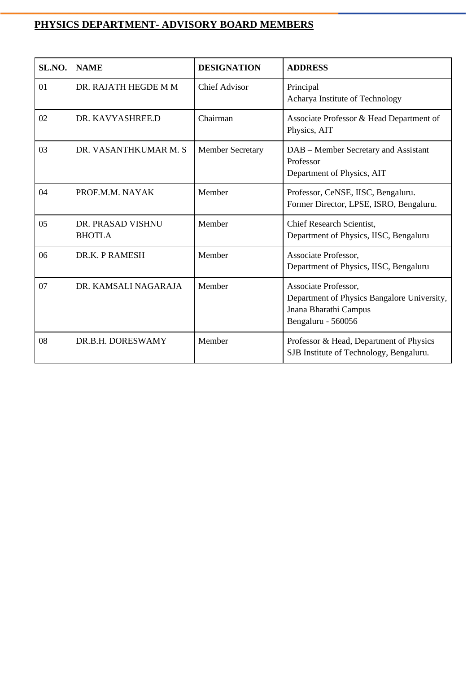# **PHYSICS DEPARTMENT- ADVISORY BOARD MEMBERS**

| SL.NO. | <b>NAME</b>                        | <b>DESIGNATION</b>      | <b>ADDRESS</b>                                                                                                     |
|--------|------------------------------------|-------------------------|--------------------------------------------------------------------------------------------------------------------|
| 01     | DR. RAJATH HEGDE M M               | <b>Chief Advisor</b>    | Principal<br>Acharya Institute of Technology                                                                       |
| 02     | DR. KAVYASHREE.D                   | Chairman                | Associate Professor & Head Department of<br>Physics, AIT                                                           |
| 03     | DR. VASANTHKUMAR M. S              | <b>Member Secretary</b> | DAB – Member Secretary and Assistant<br>Professor<br>Department of Physics, AIT                                    |
| 04     | PROF.M.M. NAYAK                    | Member                  | Professor, CeNSE, IISC, Bengaluru.<br>Former Director, LPSE, ISRO, Bengaluru.                                      |
| 05     | DR. PRASAD VISHNU<br><b>BHOTLA</b> | Member                  | Chief Research Scientist,<br>Department of Physics, IISC, Bengaluru                                                |
| 06     | DR.K. P RAMESH                     | Member                  | Associate Professor,<br>Department of Physics, IISC, Bengaluru                                                     |
| 07     | DR. KAMSALI NAGARAJA               | Member                  | Associate Professor,<br>Department of Physics Bangalore University,<br>Jnana Bharathi Campus<br>Bengaluru - 560056 |
| 08     | DR.B.H. DORESWAMY                  | Member                  | Professor & Head, Department of Physics<br>SJB Institute of Technology, Bengaluru.                                 |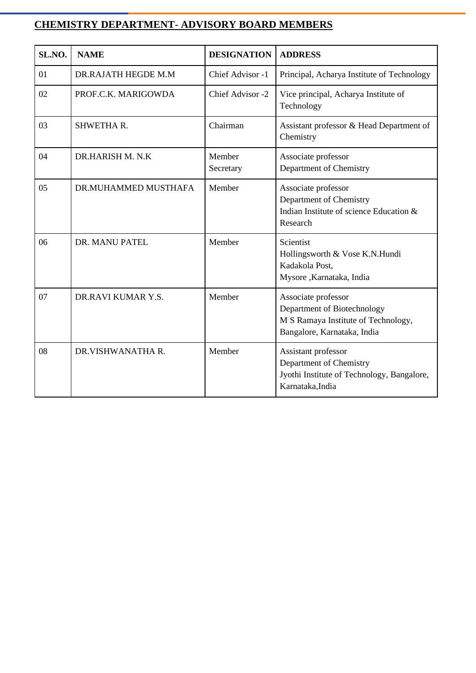# **CHEMISTRY DEPARTMENT- ADVISORY BOARD MEMBERS**

| SL.NO. | <b>NAME</b>          | <b>DESIGNATION</b>  | <b>ADDRESS</b>                                                                                                           |
|--------|----------------------|---------------------|--------------------------------------------------------------------------------------------------------------------------|
| 01     | DR.RAJATH HEGDE M.M  | Chief Advisor -1    | Principal, Acharya Institute of Technology                                                                               |
| 02     | PROF.C.K. MARIGOWDA  | Chief Advisor -2    | Vice principal, Acharya Institute of<br>Technology                                                                       |
| 03     | SHWETHAR.            | Chairman            | Assistant professor & Head Department of<br>Chemistry                                                                    |
| 04     | DR.HARISH M. N.K     | Member<br>Secretary | Associate professor<br>Department of Chemistry                                                                           |
| 05     | DR.MUHAMMED MUSTHAFA | Member              | Associate professor<br>Department of Chemistry<br>Indian Institute of science Education &<br>Research                    |
| 06     | DR. MANU PATEL       | Member              | Scientist<br>Hollingsworth & Vose K.N.Hundi<br>Kadakola Post,<br>Mysore, Karnataka, India                                |
| 07     | DR.RAVI KUMAR Y.S.   | Member              | Associate professor<br>Department of Biotechnology<br>M S Ramaya Institute of Technology,<br>Bangalore, Karnataka, India |
| 08     | DR.VISHWANATHA R.    | Member              | Assistant professor<br>Department of Chemistry<br>Jyothi Institute of Technology, Bangalore,<br>Karnataka, India         |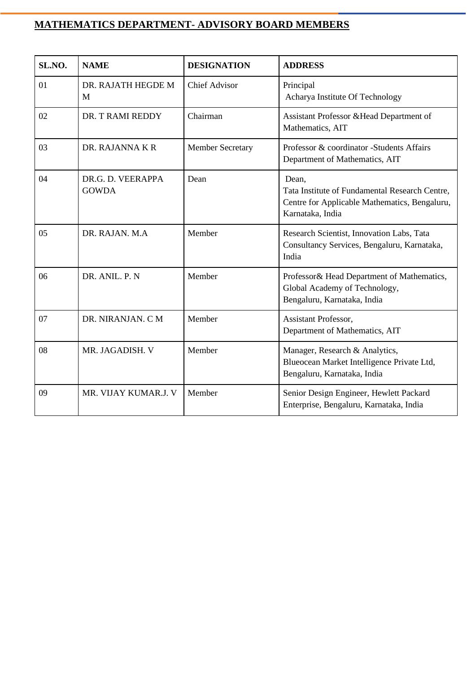# **MATHEMATICS DEPARTMENT- ADVISORY BOARD MEMBERS**

| SL.NO. | <b>NAME</b>                       | <b>DESIGNATION</b>      | <b>ADDRESS</b>                                                                                                               |
|--------|-----------------------------------|-------------------------|------------------------------------------------------------------------------------------------------------------------------|
| 01     | DR. RAJATH HEGDE M<br>M           | <b>Chief Advisor</b>    | Principal<br>Acharya Institute Of Technology                                                                                 |
| 02     | DR. T RAMI REDDY                  | Chairman                | Assistant Professor & Head Department of<br>Mathematics, AIT                                                                 |
| 03     | DR. RAJANNA K R                   | <b>Member Secretary</b> | Professor & coordinator -Students Affairs<br>Department of Mathematics, AIT                                                  |
| 04     | DR.G. D. VEERAPPA<br><b>GOWDA</b> | Dean                    | Dean,<br>Tata Institute of Fundamental Research Centre,<br>Centre for Applicable Mathematics, Bengaluru,<br>Karnataka, India |
| 05     | DR. RAJAN. M.A.                   | Member                  | Research Scientist, Innovation Labs, Tata<br>Consultancy Services, Bengaluru, Karnataka,<br>India                            |
| 06     | DR. ANIL. P. N                    | Member                  | Professor& Head Department of Mathematics,<br>Global Academy of Technology,<br>Bengaluru, Karnataka, India                   |
| 07     | DR. NIRANJAN. CM                  | Member                  | Assistant Professor,<br>Department of Mathematics, AIT                                                                       |
| 08     | MR. JAGADISH. V                   | Member                  | Manager, Research & Analytics,<br>Blueocean Market Intelligence Private Ltd,<br>Bengaluru, Karnataka, India                  |
| 09     | MR. VIJAY KUMAR.J. V              | Member                  | Senior Design Engineer, Hewlett Packard<br>Enterprise, Bengaluru, Karnataka, India                                           |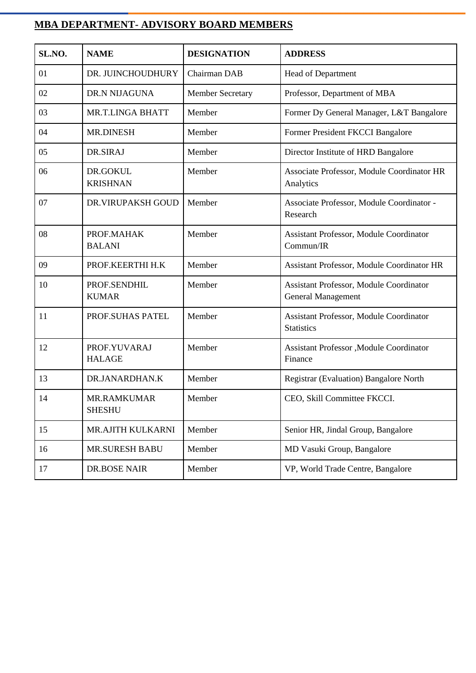# **MBA DEPARTMENT- ADVISORY BOARD MEMBERS**

| SL.NO. | <b>NAME</b>                   | <b>DESIGNATION</b>      | <b>ADDRESS</b>                                                       |
|--------|-------------------------------|-------------------------|----------------------------------------------------------------------|
| 01     | DR. JUINCHOUDHURY             | Chairman DAB            | Head of Department                                                   |
| 02     | DR.N NIJAGUNA                 | <b>Member Secretary</b> | Professor, Department of MBA                                         |
| 03     | <b>MR.T.LINGA BHATT</b>       | Member                  | Former Dy General Manager, L&T Bangalore                             |
| 04     | <b>MR.DINESH</b>              | Member                  | Former President FKCCI Bangalore                                     |
| 05     | DR.SIRAJ                      | Member                  | Director Institute of HRD Bangalore                                  |
| 06     | DR.GOKUL<br><b>KRISHNAN</b>   | Member                  | Associate Professor, Module Coordinator HR<br>Analytics              |
| 07     | <b>DR.VIRUPAKSH GOUD</b>      | Member                  | Associate Professor, Module Coordinator -<br>Research                |
| 08     | PROF.MAHAK<br><b>BALANI</b>   | Member                  | Assistant Professor, Module Coordinator<br>Commun/IR                 |
| 09     | PROF.KEERTHI H.K              | Member                  | Assistant Professor, Module Coordinator HR                           |
| 10     | PROF.SENDHIL<br><b>KUMAR</b>  | Member                  | Assistant Professor, Module Coordinator<br><b>General Management</b> |
| 11     | PROF.SUHAS PATEL              | Member                  | Assistant Professor, Module Coordinator<br><b>Statistics</b>         |
| 12     | PROF.YUVARAJ<br><b>HALAGE</b> | Member                  | Assistant Professor , Module Coordinator<br>Finance                  |
| 13     | DR.JANARDHAN.K                | Member                  | Registrar (Evaluation) Bangalore North                               |
| 14     | MR.RAMKUMAR<br><b>SHESHU</b>  | Member                  | CEO, Skill Committee FKCCI.                                          |
| 15     | MR.AJITH KULKARNI             | Member                  | Senior HR, Jindal Group, Bangalore                                   |
| 16     | <b>MR.SURESH BABU</b>         | Member                  | MD Vasuki Group, Bangalore                                           |
| 17     | <b>DR.BOSE NAIR</b>           | Member                  | VP, World Trade Centre, Bangalore                                    |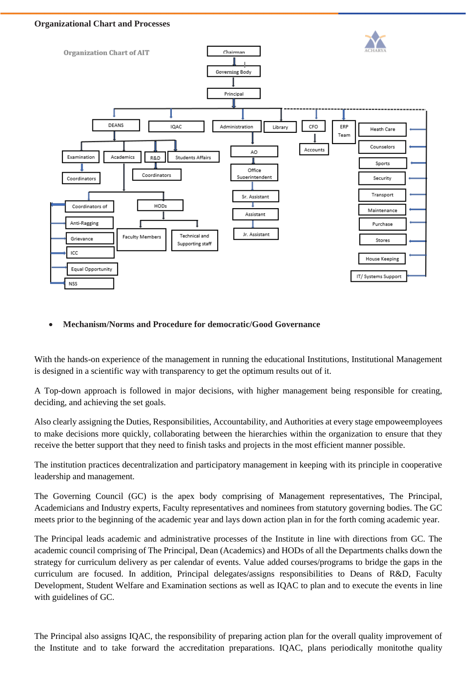#### **Organizational Chart and Processes**



#### • **Mechanism/Norms and Procedure for democratic/Good Governance**

With the hands-on experience of the management in running the educational Institutions, Institutional Management is designed in a scientific way with transparency to get the optimum results out of it.

A Top-down approach is followed in major decisions, with higher management being responsible for creating, deciding, and achieving the set goals.

Also clearly assigning the Duties, Responsibilities, Accountability, and Authorities at every stage empoweemployees to make decisions more quickly, collaborating between the hierarchies within the organization to ensure that they receive the better support that they need to finish tasks and projects in the most efficient manner possible.

The institution practices decentralization and participatory management in keeping with its principle in cooperative leadership and management.

The Governing Council (GC) is the apex body comprising of Management representatives, The Principal, Academicians and Industry experts, Faculty representatives and nominees from statutory governing bodies. The GC meets prior to the beginning of the academic year and lays down action plan in for the forth coming academic year.

The Principal leads academic and administrative processes of the Institute in line with directions from GC. The academic council comprising of The Principal, Dean (Academics) and HODs of all the Departments chalks down the strategy for curriculum delivery as per calendar of events. Value added courses/programs to bridge the gaps in the curriculum are focused. In addition, Principal delegates/assigns responsibilities to Deans of R&D, Faculty Development, Student Welfare and Examination sections as well as IQAC to plan and to execute the events in line with guidelines of GC.

The Principal also assigns IQAC, the responsibility of preparing action plan for the overall quality improvement of the Institute and to take forward the accreditation preparations. IQAC, plans periodically monitothe quality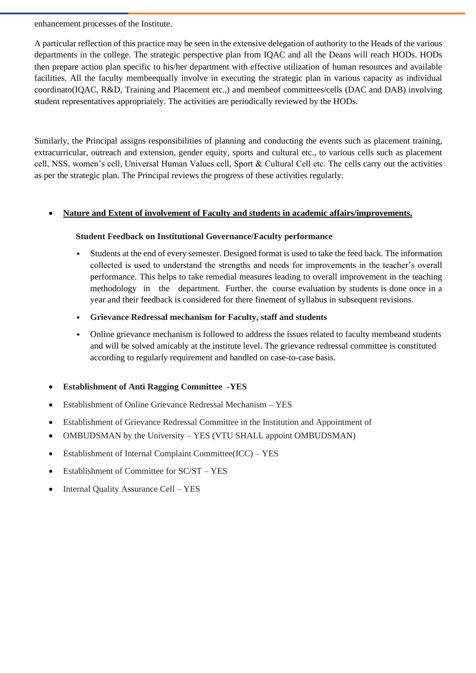enhancement processes of the Institute.

A particular reflection of this practice may be seen in the extensive delegation of authority to the Heads of the various departments in the college. The strategic perspective plan from IQAC and all the Deans will reach HODs. HODs then prepare action plan specific to his/her department with effective utilization of human resources and available facilities. All the faculty membeequally involve in executing the strategic plan in various capacity as individual coordinato(IQAC, R&D, Training and Placement etc.,) and membeof committees/cells (DAC and DAB) involving student representatives appropriately. The activities are periodically reviewed by the HODs.

Similarly, the Principal assigns responsibilities of planning and conducting the events such as placement training, extracurricular, outreach and extension, gender equity, sports and cultural etc., to various cells such as placement cell, NSS, women's cell, Universal Human Values cell, Sport & Cultural Cell etc. The cells carry out the activities as per the strategic plan. The Principal reviews the progress of these activities regularly.

#### • **Nature and Extent of involvement of Faculty and students in academic affairs/improvements.**

#### **Student Feedback on Institutional Governance/Faculty performance**

- Students at the end of every semester. Designed format is used to take the feed back. The information collected is used to understand the strengths and needs for improvements in the teacher's overall performance. This helps to take remedial measures leading to overall improvement in the teaching methodology in the department. Further, the course evaluation by students is done once in a year and their feedback is considered for there finement of syllabus in subsequent revisions.
- **Grievance Redressal mechanism for Faculty, staff and students**
- Online grievance mechanism is followed to address the issues related to faculty membeand students and will be solved amicably at the institute level. The grievance redressal committee is constituted according to regularly requirement and handled on case-to-case basis.
- **Establishment of Anti Ragging Committee -YES**
- Establishment of Online Grievance Redressal Mechanism YES
- Establishment of Grievance Redressal Committee in the Institution and Appointment of
- OMBUDSMAN by the University YES (VTU SHALL appoint OMBUDSMAN)
- Establishment of Internal Complaint Committee(ICC) YES
- Establishment of Committee for  $SC/ST YES$
- Internal Quality Assurance Cell YES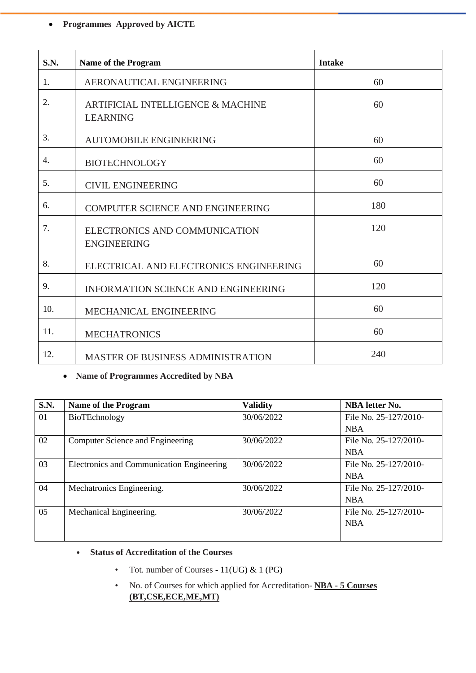## • **Programmes Approved by AICTE**

| S.N.           | Name of the Program                                             | <b>Intake</b> |
|----------------|-----------------------------------------------------------------|---------------|
| $\mathbf{1}$ . | AERONAUTICAL ENGINEERING                                        | 60            |
| 2.             | <b>ARTIFICIAL INTELLIGENCE &amp; MACHINE</b><br><b>LEARNING</b> | 60            |
| 3.             | <b>AUTOMOBILE ENGINEERING</b>                                   | 60            |
| 4.             | <b>BIOTECHNOLOGY</b>                                            | 60            |
| 5.             | <b>CIVIL ENGINEERING</b>                                        | 60            |
| 6.             | <b>COMPUTER SCIENCE AND ENGINEERING</b>                         | 180           |
| 7.             | ELECTRONICS AND COMMUNICATION<br><b>ENGINEERING</b>             | 120           |
| 8.             | ELECTRICAL AND ELECTRONICS ENGINEERING                          | 60            |
| 9.             | <b>INFORMATION SCIENCE AND ENGINEERING</b>                      | 120           |
| 10.            | MECHANICAL ENGINEERING                                          | 60            |
| 11.            | <b>MECHATRONICS</b>                                             | 60            |
| 12.            | MASTER OF BUSINESS ADMINISTRATION                               | 240           |

## • **Name of Programmes Accredited by NBA**

| <b>S.N.</b>    | <b>Name of the Program</b>                | <b>Validity</b> | <b>NBA</b> letter No. |
|----------------|-------------------------------------------|-----------------|-----------------------|
| 0 <sub>1</sub> | BioTEchnology                             | 30/06/2022      | File No. 25-127/2010- |
|                |                                           |                 | <b>NBA</b>            |
| 02             | Computer Science and Engineering          | 30/06/2022      | File No. 25-127/2010- |
|                |                                           |                 | <b>NBA</b>            |
| 03             | Electronics and Communication Engineering | 30/06/2022      | File No. 25-127/2010- |
|                |                                           |                 | <b>NBA</b>            |
| 04             | Mechatronics Engineering.                 | 30/06/2022      | File No. 25-127/2010- |
|                |                                           |                 | <b>NBA</b>            |
| 05             | Mechanical Engineering.                   | 30/06/2022      | File No. 25-127/2010- |
|                |                                           |                 | <b>NBA</b>            |
|                |                                           |                 |                       |

### • **Status of Accreditation of the Courses**

- Tot. number of Courses  $11(UG)$  & 1 (PG)
- No. of Courses for which applied for Accreditation- **NBA - 5 Courses (BT,CSE,ECE,ME,MT)**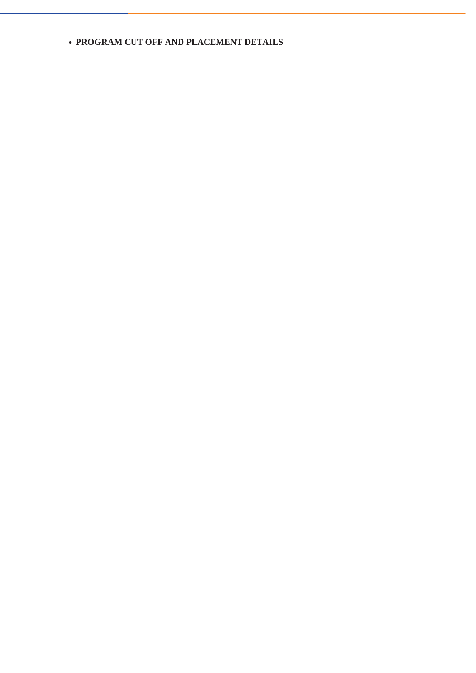### • **PROGRAM CUT OFF AND PLACEMENT DETAILS**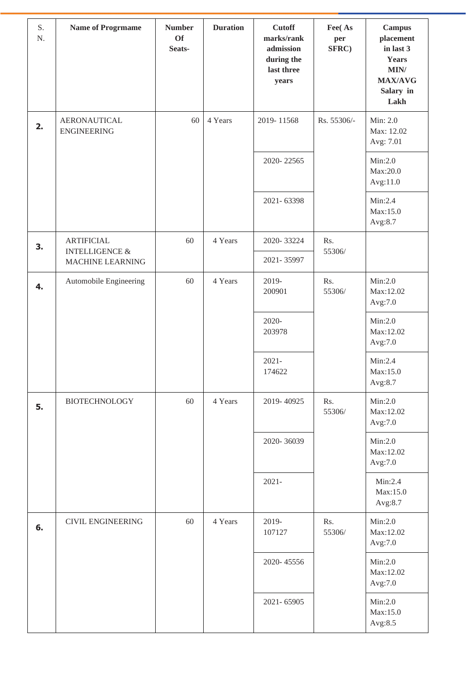| S.<br>N. | <b>Name of Progrmame</b>                  | <b>Number</b><br><b>Of</b><br>Seats- | <b>Duration</b> | <b>Cutoff</b><br>marks/rank<br>admission<br>during the<br>last three<br>years | Fee(As<br>per<br>SFRC) | <b>Campus</b><br>placement<br>in last 3<br><b>Years</b><br>MIN/<br><b>MAX/AVG</b><br>Salary in<br>Lakh |
|----------|-------------------------------------------|--------------------------------------|-----------------|-------------------------------------------------------------------------------|------------------------|--------------------------------------------------------------------------------------------------------|
| 2.       | <b>AERONAUTICAL</b><br><b>ENGINEERING</b> | 60                                   | 4 Years         | 2019-11568                                                                    | Rs. 55306/-            | Min: 2.0<br>Max: 12.02<br>Avg: 7.01                                                                    |
|          |                                           |                                      |                 | 2020-22565                                                                    |                        | Min:2.0<br>Max:20.0<br>Avg:11.0                                                                        |
|          |                                           |                                      |                 | 2021-63398                                                                    |                        | Min:2.4<br>Max:15.0<br>Avg:8.7                                                                         |
| 3.       | <b>ARTIFICIAL</b><br>INTELLIGENCE $\&$    | 60                                   | 4 Years         | 2020-33224                                                                    | Rs.<br>55306/          |                                                                                                        |
|          | MACHINE LEARNING                          |                                      |                 | 2021-35997                                                                    |                        |                                                                                                        |
| 4.       | Automobile Engineering                    | 60                                   | 4 Years         | 2019-<br>200901                                                               | Rs.<br>55306/          | Min:2.0<br>Max:12.02<br>Avg:7.0                                                                        |
|          |                                           |                                      |                 | $2020 -$<br>203978                                                            |                        | Min:2.0<br>Max:12.02<br>Avg:7.0                                                                        |
|          |                                           |                                      |                 | $2021 -$<br>174622                                                            |                        | Min:2.4<br>Max:15.0<br>Avg:8.7                                                                         |
| 5.       | <b>BIOTECHNOLOGY</b>                      | 60                                   | 4 Years         | 2019-40925                                                                    | Rs.<br>55306/          | Min:2.0<br>Max:12.02<br>Avg:7.0                                                                        |
|          |                                           |                                      |                 | 2020-36039                                                                    |                        | Min:2.0<br>Max:12.02<br>Avg:7.0                                                                        |
|          |                                           |                                      |                 | $2021 -$                                                                      |                        | Min:2.4<br>Max:15.0<br>Avg:8.7                                                                         |
| 6.       | <b>CIVIL ENGINEERING</b>                  | 60                                   | 4 Years         | 2019-<br>107127                                                               | Rs.<br>55306/          | Min:2.0<br>Max:12.02<br>Avg:7.0                                                                        |
|          |                                           |                                      |                 | 2020-45556                                                                    |                        | Min:2.0<br>Max:12.02<br>Avg:7.0                                                                        |
|          |                                           |                                      |                 | 2021-65905                                                                    |                        | Min:2.0<br>Max:15.0<br>Avg:8.5                                                                         |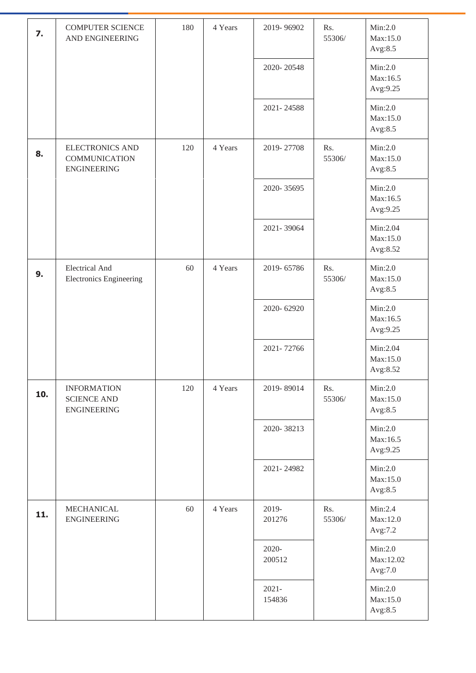| 7.  | <b>COMPUTER SCIENCE</b><br>AND ENGINEERING                           | 180 | 4 Years | 2019-96902         | Rs.<br>55306/ | Min:2.0<br>Max:15.0<br>Avg:8.5   |
|-----|----------------------------------------------------------------------|-----|---------|--------------------|---------------|----------------------------------|
|     |                                                                      |     |         | 2020-20548         |               | Min:2.0<br>Max:16.5<br>Avg:9.25  |
|     |                                                                      |     |         | 2021-24588         |               | Min:2.0<br>Max:15.0<br>Avg:8.5   |
| 8.  | <b>ELECTRONICS AND</b><br><b>COMMUNICATION</b><br><b>ENGINEERING</b> | 120 | 4 Years | 2019-27708         | Rs.<br>55306/ | Min:2.0<br>Max:15.0<br>Avg:8.5   |
|     |                                                                      |     |         | 2020-35695         |               | Min:2.0<br>Max:16.5<br>Avg:9.25  |
|     |                                                                      |     |         | 2021-39064         |               | Min:2.04<br>Max:15.0<br>Avg:8.52 |
| 9.  | <b>Electrical And</b><br><b>Electronics Engineering</b>              | 60  | 4 Years | 2019-65786         | Rs.<br>55306/ | Min:2.0<br>Max:15.0<br>Avg:8.5   |
|     |                                                                      |     |         | 2020-62920         |               | Min:2.0<br>Max:16.5<br>Avg:9.25  |
|     |                                                                      |     |         | 2021-72766         |               | Min:2.04<br>Max:15.0<br>Avg:8.52 |
| 10. | <b>INFORMATION</b><br><b>SCIENCE AND</b><br><b>ENGINEERING</b>       | 120 | 4 Years | 2019-89014         | Rs.<br>55306/ | Min:2.0<br>Max:15.0<br>Avg:8.5   |
|     |                                                                      |     |         | 2020-38213         |               | Min:2.0<br>Max:16.5<br>Avg:9.25  |
|     |                                                                      |     |         | 2021-24982         |               | Min:2.0<br>Max:15.0<br>Avg:8.5   |
| 11. | MECHANICAL<br><b>ENGINEERING</b>                                     | 60  | 4 Years | 2019-<br>201276    | Rs.<br>55306/ | Min:2.4<br>Max:12.0<br>Avg:7.2   |
|     |                                                                      |     |         | $2020 -$<br>200512 |               | Min:2.0<br>Max:12.02<br>Avg:7.0  |
|     |                                                                      |     |         | $2021 -$<br>154836 |               | Min:2.0<br>Max:15.0<br>Avg:8.5   |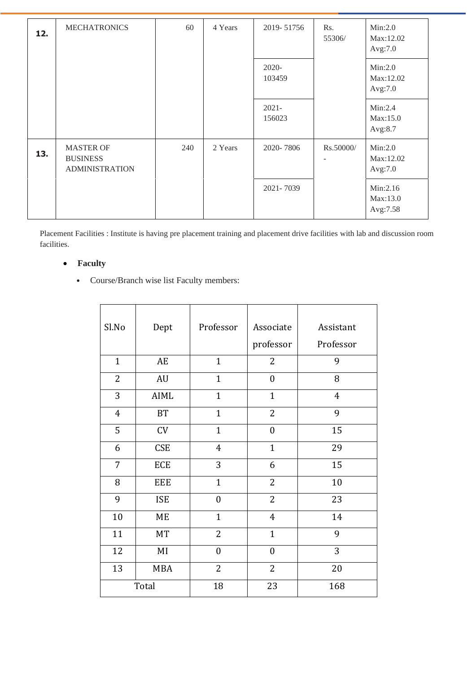| 12. | <b>MECHATRONICS</b>                                          | 60  | 4 Years | 2019-51756         | Rs.<br>55306/ | Min:2.0<br>Max:12.02<br>Avg:7.0  |
|-----|--------------------------------------------------------------|-----|---------|--------------------|---------------|----------------------------------|
|     |                                                              |     |         | 2020-<br>103459    |               | Min:2.0<br>Max:12.02<br>Avg:7.0  |
|     |                                                              |     |         | $2021 -$<br>156023 |               | Min:2.4<br>Max:15.0<br>Avg:8.7   |
| 13. | <b>MASTER OF</b><br><b>BUSINESS</b><br><b>ADMINISTRATION</b> | 240 | 2 Years | 2020-7806          | Rs.50000/     | Min:2.0<br>Max:12.02<br>Avg:7.0  |
|     |                                                              |     |         | 2021-7039          |               | Min:2.16<br>Max:13.0<br>Avg:7.58 |

Placement Facilities : Institute is having pre placement training and placement drive facilities with lab and discussion room facilities.

## • **Faculty**

• Course/Branch wise list Faculty members:

| Sl.No          | Dept       | Professor        | Associate<br>professor | Assistant<br>Professor |
|----------------|------------|------------------|------------------------|------------------------|
| $\mathbf{1}$   | AE         | $\mathbf{1}$     | $\overline{2}$         | 9                      |
| $\overline{2}$ | AU         | $\mathbf{1}$     | $\overline{0}$         | 8                      |
| 3              | AIML       | $\mathbf{1}$     | $\mathbf{1}$           | $\overline{4}$         |
| $\overline{4}$ | BT         | $\mathbf{1}$     | $\overline{2}$         | 9                      |
| 5              | CV         | $\mathbf{1}$     | $\boldsymbol{0}$       | 15                     |
| 6              | <b>CSE</b> | $\overline{4}$   | $\mathbf{1}$           | 29                     |
| $\overline{7}$ | ECE        | 3                | 6                      | 15                     |
| 8              | <b>EEE</b> | $\mathbf{1}$     | 2                      | 10                     |
| 9              | <b>ISE</b> | $\boldsymbol{0}$ | $\overline{2}$         | 23                     |
| 10             | $ME$       | $\mathbf{1}$     | $\overline{4}$         | 14                     |
| 11             | <b>MT</b>  | $\overline{2}$   | $\mathbf{1}$           | 9                      |
| 12             | MI         | $\overline{0}$   | $\overline{0}$         | 3                      |
| 13             | <b>MBA</b> | 2                | $\overline{2}$         | 20                     |
|                | Total      | 18               | 23                     | 168                    |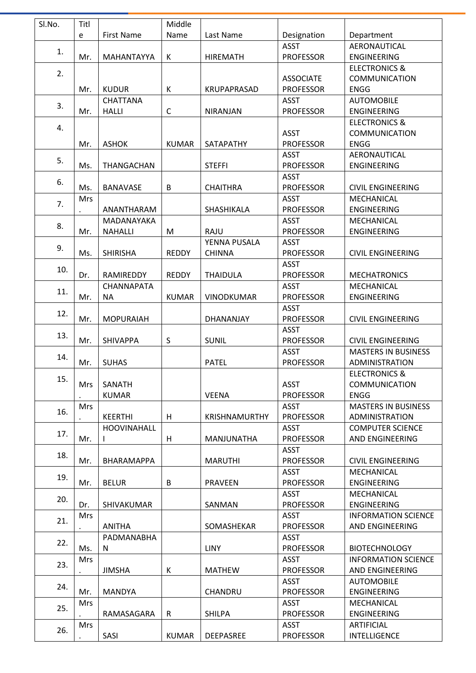| Sl.No. | Titl       |                    | Middle       |                      |                  |                            |
|--------|------------|--------------------|--------------|----------------------|------------------|----------------------------|
|        | e          | <b>First Name</b>  | Name         | Last Name            | Designation      | Department                 |
|        |            |                    |              |                      | <b>ASST</b>      | AERONAUTICAL               |
| 1.     | Mr.        | MAHANTAYYA         | К            | <b>HIREMATH</b>      | <b>PROFESSOR</b> | <b>ENGINEERING</b>         |
|        |            |                    |              |                      |                  | <b>ELECTRONICS &amp;</b>   |
| 2.     |            |                    |              |                      | <b>ASSOCIATE</b> | <b>COMMUNICATION</b>       |
|        | Mr.        | <b>KUDUR</b>       | K            | KRUPAPRASAD          | <b>PROFESSOR</b> | <b>ENGG</b>                |
|        |            | <b>CHATTANA</b>    |              |                      | <b>ASST</b>      | <b>AUTOMOBILE</b>          |
| 3.     | Mr.        | <b>HALLI</b>       | $\mathsf{C}$ | <b>NIRANJAN</b>      | <b>PROFESSOR</b> | <b>ENGINEERING</b>         |
|        |            |                    |              |                      |                  | <b>ELECTRONICS &amp;</b>   |
| 4.     |            |                    |              |                      | <b>ASST</b>      | <b>COMMUNICATION</b>       |
|        | Mr.        | <b>ASHOK</b>       | <b>KUMAR</b> | SATAPATHY            | <b>PROFESSOR</b> | <b>ENGG</b>                |
|        |            |                    |              |                      | <b>ASST</b>      | AERONAUTICAL               |
| 5.     | Ms.        | THANGACHAN         |              | <b>STEFFI</b>        | <b>PROFESSOR</b> | <b>ENGINEERING</b>         |
|        |            |                    |              |                      | <b>ASST</b>      |                            |
| 6.     | Ms.        | <b>BANAVASE</b>    | B            | <b>CHAITHRA</b>      | <b>PROFESSOR</b> | <b>CIVIL ENGINEERING</b>   |
|        | Mrs        |                    |              |                      | <b>ASST</b>      | MECHANICAL                 |
| 7.     |            | ANANTHARAM         |              | SHASHIKALA           | <b>PROFESSOR</b> |                            |
|        |            |                    |              |                      |                  | <b>ENGINEERING</b>         |
| 8.     |            | MADANAYAKA         |              |                      | <b>ASST</b>      | MECHANICAL                 |
|        | Mr.        | <b>NAHALLI</b>     | M            | RAJU                 | <b>PROFESSOR</b> | <b>ENGINEERING</b>         |
| 9.     |            |                    |              | YENNA PUSALA         | <b>ASST</b>      |                            |
|        | Ms.        | <b>SHIRISHA</b>    | <b>REDDY</b> | <b>CHINNA</b>        | <b>PROFESSOR</b> | <b>CIVIL ENGINEERING</b>   |
| 10.    |            |                    |              |                      | <b>ASST</b>      |                            |
|        | Dr.        | RAMIREDDY          | <b>REDDY</b> | <b>THAIDULA</b>      | <b>PROFESSOR</b> | <b>MECHATRONICS</b>        |
| 11.    |            | <b>CHANNAPATA</b>  |              |                      | <b>ASST</b>      | MECHANICAL                 |
|        | Mr.        | <b>NA</b>          | <b>KUMAR</b> | <b>VINODKUMAR</b>    | <b>PROFESSOR</b> | <b>ENGINEERING</b>         |
| 12.    |            |                    |              |                      | <b>ASST</b>      |                            |
|        | Mr.        | <b>MOPURAIAH</b>   |              | DHANANJAY            | <b>PROFESSOR</b> | <b>CIVIL ENGINEERING</b>   |
| 13.    |            |                    |              |                      | <b>ASST</b>      |                            |
|        | Mr.        | <b>SHIVAPPA</b>    | S            | <b>SUNIL</b>         | <b>PROFESSOR</b> | <b>CIVIL ENGINEERING</b>   |
|        |            |                    |              |                      | <b>ASST</b>      | <b>MASTERS IN BUSINESS</b> |
| 14.    | Mr.        | <b>SUHAS</b>       |              | <b>PATEL</b>         | <b>PROFESSOR</b> | ADMINISTRATION             |
|        |            |                    |              |                      |                  | <b>ELECTRONICS &amp;</b>   |
| 15.    | Mrs        | SANATH             |              |                      | <b>ASST</b>      | COMMUNICATION              |
|        |            | <b>KUMAR</b>       |              | <b>VEENA</b>         | <b>PROFESSOR</b> | <b>ENGG</b>                |
|        | Mrs        |                    |              |                      | <b>ASST</b>      | <b>MASTERS IN BUSINESS</b> |
| 16.    |            | <b>KEERTHI</b>     | H            | <b>KRISHNAMURTHY</b> | <b>PROFESSOR</b> | ADMINISTRATION             |
|        |            | <b>HOOVINAHALL</b> |              |                      | <b>ASST</b>      | <b>COMPUTER SCIENCE</b>    |
| 17.    | Mr.        | L                  | H            | MANJUNATHA           | <b>PROFESSOR</b> | AND ENGINEERING            |
|        |            |                    |              |                      | <b>ASST</b>      |                            |
| 18.    | Mr.        | BHARAMAPPA         |              | <b>MARUTHI</b>       | <b>PROFESSOR</b> | <b>CIVIL ENGINEERING</b>   |
|        |            |                    |              |                      | <b>ASST</b>      | MECHANICAL                 |
| 19.    | Mr.        | <b>BELUR</b>       | B            | <b>PRAVEEN</b>       | <b>PROFESSOR</b> | ENGINEERING                |
|        |            |                    |              |                      | <b>ASST</b>      | <b>MECHANICAL</b>          |
| 20.    | Dr.        | <b>SHIVAKUMAR</b>  |              | SANMAN               | <b>PROFESSOR</b> | ENGINEERING                |
|        | <b>Mrs</b> |                    |              |                      | <b>ASST</b>      | <b>INFORMATION SCIENCE</b> |
| 21.    |            | <b>ANITHA</b>      |              | SOMASHEKAR           | <b>PROFESSOR</b> | AND ENGINEERING            |
|        |            |                    |              |                      |                  |                            |
| 22.    |            | PADMANABHA         |              |                      | <b>ASST</b>      |                            |
|        | Ms.        | N                  |              | <b>LINY</b>          | <b>PROFESSOR</b> | <b>BIOTECHNOLOGY</b>       |
| 23.    | Mrs        |                    |              |                      | <b>ASST</b>      | <b>INFORMATION SCIENCE</b> |
|        | $\bullet$  | <b>JIMSHA</b>      | K            | <b>MATHEW</b>        | <b>PROFESSOR</b> | AND ENGINEERING            |
| 24.    |            |                    |              |                      | <b>ASST</b>      | <b>AUTOMOBILE</b>          |
|        | Mr.        | <b>MANDYA</b>      |              | CHANDRU              | <b>PROFESSOR</b> | ENGINEERING                |
| 25.    | Mrs        |                    |              |                      | <b>ASST</b>      | MECHANICAL                 |
|        |            | RAMASAGARA         | R            | <b>SHILPA</b>        | <b>PROFESSOR</b> | ENGINEERING                |
| 26.    | Mrs        |                    |              |                      | <b>ASST</b>      | <b>ARTIFICIAL</b>          |
|        |            | SASI               | <b>KUMAR</b> | DEEPASREE            | <b>PROFESSOR</b> | <b>INTELLIGENCE</b>        |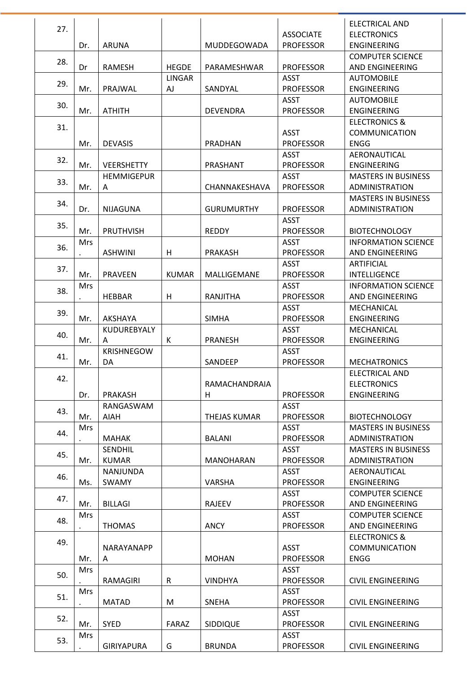| 27. |            |                   |              |                     |                  | <b>ELECTRICAL AND</b>      |
|-----|------------|-------------------|--------------|---------------------|------------------|----------------------------|
|     |            |                   |              |                     | <b>ASSOCIATE</b> | <b>ELECTRONICS</b>         |
|     | Dr.        | <b>ARUNA</b>      |              | MUDDEGOWADA         | <b>PROFESSOR</b> | <b>ENGINEERING</b>         |
| 28. |            |                   |              |                     |                  | <b>COMPUTER SCIENCE</b>    |
|     | Dr         | RAMESH            | <b>HEGDE</b> | PARAMESHWAR         | <b>PROFESSOR</b> | AND ENGINEERING            |
| 29. |            |                   | LINGAR       |                     | <b>ASST</b>      | <b>AUTOMOBILE</b>          |
|     | Mr.        | PRAJWAL           | AJ           | SANDYAL             | <b>PROFESSOR</b> | <b>ENGINEERING</b>         |
| 30. |            |                   |              |                     | <b>ASST</b>      | <b>AUTOMOBILE</b>          |
|     | Mr.        | <b>ATHITH</b>     |              | <b>DEVENDRA</b>     | <b>PROFESSOR</b> | ENGINEERING                |
| 31. |            |                   |              |                     |                  | <b>ELECTRONICS &amp;</b>   |
|     |            |                   |              |                     | <b>ASST</b>      | <b>COMMUNICATION</b>       |
|     | Mr.        | <b>DEVASIS</b>    |              | PRADHAN             | <b>PROFESSOR</b> | <b>ENGG</b>                |
| 32. |            |                   |              |                     | <b>ASST</b>      | AERONAUTICAL               |
|     | Mr.        | <b>VEERSHETTY</b> |              | PRASHANT            | <b>PROFESSOR</b> | <b>ENGINEERING</b>         |
|     |            | <b>HEMMIGEPUR</b> |              |                     | <b>ASST</b>      | <b>MASTERS IN BUSINESS</b> |
| 33. | Mr.        | Α                 |              | CHANNAKESHAVA       | <b>PROFESSOR</b> | ADMINISTRATION             |
|     |            |                   |              |                     |                  | <b>MASTERS IN BUSINESS</b> |
| 34. | Dr.        | <b>NIJAGUNA</b>   |              | <b>GURUMURTHY</b>   | <b>PROFESSOR</b> | <b>ADMINISTRATION</b>      |
|     |            |                   |              |                     | <b>ASST</b>      |                            |
| 35. | Mr.        | <b>PRUTHVISH</b>  |              | <b>REDDY</b>        | <b>PROFESSOR</b> | <b>BIOTECHNOLOGY</b>       |
|     | <b>Mrs</b> |                   |              |                     | <b>ASST</b>      | <b>INFORMATION SCIENCE</b> |
| 36. |            | <b>ASHWINI</b>    | H            | <b>PRAKASH</b>      | <b>PROFESSOR</b> | AND ENGINEERING            |
|     |            |                   |              |                     | <b>ASST</b>      | <b>ARTIFICIAL</b>          |
| 37. | Mr.        | <b>PRAVEEN</b>    | <b>KUMAR</b> | MALLIGEMANE         | <b>PROFESSOR</b> | <b>INTELLIGENCE</b>        |
|     | <b>Mrs</b> |                   |              |                     | <b>ASST</b>      | <b>INFORMATION SCIENCE</b> |
| 38. |            | <b>HEBBAR</b>     | H            | RANJITHA            | <b>PROFESSOR</b> | AND ENGINEERING            |
|     |            |                   |              |                     | <b>ASST</b>      | MECHANICAL                 |
| 39. | Mr.        | AKSHAYA           |              | <b>SIMHA</b>        | <b>PROFESSOR</b> | <b>ENGINEERING</b>         |
|     |            | KUDUREBYALY       |              |                     | <b>ASST</b>      | MECHANICAL                 |
| 40. | Mr.        | A                 | K            | <b>PRANESH</b>      | <b>PROFESSOR</b> | ENGINEERING                |
|     |            | <b>KRISHNEGOW</b> |              |                     | <b>ASST</b>      |                            |
| 41. | Mr.        | DA                |              | SANDEEP             | <b>PROFESSOR</b> | <b>MECHATRONICS</b>        |
|     |            |                   |              |                     |                  | ELECTRICAL AND             |
| 42. |            |                   |              | RAMACHANDRAIA       |                  | <b>ELECTRONICS</b>         |
|     | Dr.        | <b>PRAKASH</b>    |              | H                   | <b>PROFESSOR</b> | <b>ENGINEERING</b>         |
|     |            | RANGASWAM         |              |                     | ASST             |                            |
| 43. | Mr.        | <b>AIAH</b>       |              | <b>THEJAS KUMAR</b> | <b>PROFESSOR</b> | <b>BIOTECHNOLOGY</b>       |
|     | <b>Mrs</b> |                   |              |                     | <b>ASST</b>      | <b>MASTERS IN BUSINESS</b> |
| 44. |            | <b>MAHAK</b>      |              | <b>BALANI</b>       | <b>PROFESSOR</b> | <b>ADMINISTRATION</b>      |
|     |            | <b>SENDHIL</b>    |              |                     | <b>ASST</b>      | <b>MASTERS IN BUSINESS</b> |
| 45. | Mr.        | <b>KUMAR</b>      |              | <b>MANOHARAN</b>    | <b>PROFESSOR</b> | <b>ADMINISTRATION</b>      |
|     |            | <b>NANJUNDA</b>   |              |                     | <b>ASST</b>      | AERONAUTICAL               |
| 46. | Ms.        | <b>SWAMY</b>      |              | VARSHA              | <b>PROFESSOR</b> | ENGINEERING                |
|     |            |                   |              |                     | <b>ASST</b>      | <b>COMPUTER SCIENCE</b>    |
| 47. | Mr.        | <b>BILLAGI</b>    |              | <b>RAJEEV</b>       | <b>PROFESSOR</b> | AND ENGINEERING            |
|     | <b>Mrs</b> |                   |              |                     | <b>ASST</b>      | <b>COMPUTER SCIENCE</b>    |
| 48. |            | <b>THOMAS</b>     |              | <b>ANCY</b>         | <b>PROFESSOR</b> | AND ENGINEERING            |
|     |            |                   |              |                     |                  | <b>ELECTRONICS &amp;</b>   |
| 49. |            | NARAYANAPP        |              |                     | <b>ASST</b>      | <b>COMMUNICATION</b>       |
|     | Mr.        | A                 |              | <b>MOHAN</b>        | <b>PROFESSOR</b> | <b>ENGG</b>                |
|     | <b>Mrs</b> |                   |              |                     | <b>ASST</b>      |                            |
| 50. |            | RAMAGIRI          | $\mathsf{R}$ | <b>VINDHYA</b>      | <b>PROFESSOR</b> | <b>CIVIL ENGINEERING</b>   |
|     | <b>Mrs</b> |                   |              |                     | <b>ASST</b>      |                            |
| 51. |            | <b>MATAD</b>      | M            | <b>SNEHA</b>        | <b>PROFESSOR</b> | <b>CIVIL ENGINEERING</b>   |
|     |            |                   |              |                     | <b>ASST</b>      |                            |
| 52. | Mr.        | <b>SYED</b>       | FARAZ        | SIDDIQUE            | <b>PROFESSOR</b> | <b>CIVIL ENGINEERING</b>   |
|     | Mrs        |                   |              |                     | <b>ASST</b>      |                            |
| 53. |            | <b>GIRIYAPURA</b> | G            | <b>BRUNDA</b>       | <b>PROFESSOR</b> | <b>CIVIL ENGINEERING</b>   |
|     |            |                   |              |                     |                  |                            |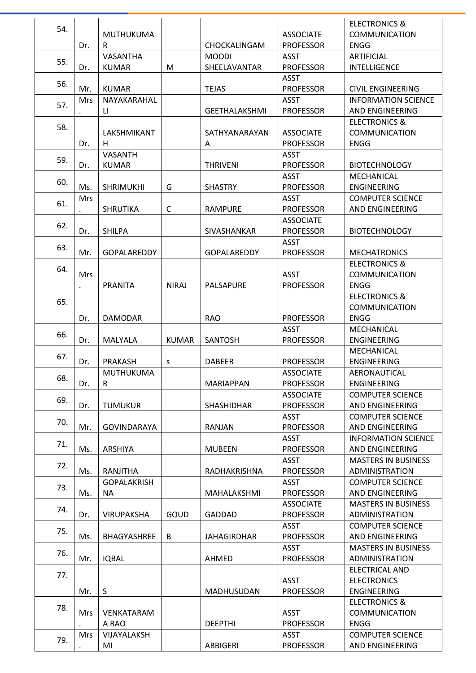|     |            |                    |              |                      |                  | <b>ELECTRONICS &amp;</b>   |
|-----|------------|--------------------|--------------|----------------------|------------------|----------------------------|
| 54. |            | MUTHUKUMA          |              |                      | <b>ASSOCIATE</b> | <b>COMMUNICATION</b>       |
|     | Dr.        | R                  |              | CHOCKALINGAM         | <b>PROFESSOR</b> | ENGG                       |
|     |            | VASANTHA           |              | <b>MOODI</b>         | ASST             | <b>ARTIFICIAL</b>          |
| 55. | Dr.        | <b>KUMAR</b>       | M            | SHEELAVANTAR         | <b>PROFESSOR</b> | <b>INTELLIGENCE</b>        |
|     |            |                    |              |                      | <b>ASST</b>      |                            |
| 56. | Mr.        | <b>KUMAR</b>       |              | <b>TEJAS</b>         | <b>PROFESSOR</b> | <b>CIVIL ENGINEERING</b>   |
|     | <b>Mrs</b> | NAYAKARAHAL        |              |                      | <b>ASST</b>      | <b>INFORMATION SCIENCE</b> |
| 57. |            | LI.                |              | <b>GEETHALAKSHMI</b> | <b>PROFESSOR</b> | AND ENGINEERING            |
|     |            |                    |              |                      |                  | <b>ELECTRONICS &amp;</b>   |
| 58. |            | LAKSHMIKANT        |              | SATHYANARAYAN        | <b>ASSOCIATE</b> | <b>COMMUNICATION</b>       |
|     | Dr.        | H                  |              | A                    | <b>PROFESSOR</b> | <b>ENGG</b>                |
|     |            | VASANTH            |              |                      | <b>ASST</b>      |                            |
| 59. | Dr.        | <b>KUMAR</b>       |              | <b>THRIVENI</b>      | <b>PROFESSOR</b> | <b>BIOTECHNOLOGY</b>       |
|     |            |                    |              |                      | <b>ASST</b>      | <b>MECHANICAL</b>          |
| 60. | Ms.        | <b>SHRIMUKHI</b>   | G            | <b>SHASTRY</b>       | <b>PROFESSOR</b> | <b>ENGINEERING</b>         |
|     | Mrs        |                    |              |                      | <b>ASST</b>      | <b>COMPUTER SCIENCE</b>    |
| 61. |            | <b>SHRUTIKA</b>    | $\mathsf{C}$ | <b>RAMPURE</b>       | <b>PROFESSOR</b> | AND ENGINEERING            |
|     |            |                    |              |                      | <b>ASSOCIATE</b> |                            |
| 62. | Dr.        | <b>SHILPA</b>      |              | SIVASHANKAR          | <b>PROFESSOR</b> | <b>BIOTECHNOLOGY</b>       |
|     |            |                    |              |                      | ASST             |                            |
| 63. | Mr.        | <b>GOPALAREDDY</b> |              | <b>GOPALAREDDY</b>   | <b>PROFESSOR</b> | <b>MECHATRONICS</b>        |
|     |            |                    |              |                      |                  | <b>ELECTRONICS &amp;</b>   |
| 64. | <b>Mrs</b> |                    |              |                      | <b>ASST</b>      | <b>COMMUNICATION</b>       |
|     |            | <b>PRANITA</b>     | <b>NIRAJ</b> | <b>PALSAPURE</b>     | <b>PROFESSOR</b> | <b>ENGG</b>                |
|     |            |                    |              |                      |                  | <b>ELECTRONICS &amp;</b>   |
| 65. |            |                    |              |                      |                  | <b>COMMUNICATION</b>       |
|     | Dr.        | <b>DAMODAR</b>     |              | <b>RAO</b>           | <b>PROFESSOR</b> | <b>ENGG</b>                |
|     |            |                    |              |                      | <b>ASST</b>      | MECHANICAL                 |
| 66. | Dr.        | MALYALA            | <b>KUMAR</b> | <b>SANTOSH</b>       | <b>PROFESSOR</b> | <b>ENGINEERING</b>         |
|     |            |                    |              |                      |                  | MECHANICAL                 |
| 67. | Dr.        | PRAKASH            | S            | <b>DABEER</b>        | <b>PROFESSOR</b> | <b>ENGINEERING</b>         |
|     |            | MUTHUKUMA          |              |                      | <b>ASSOCIATE</b> | AERONAUTICAL               |
| 68. | Dr.        | $\mathsf{R}$       |              | <b>MARIAPPAN</b>     | <b>PROFESSOR</b> | <b>ENGINEERING</b>         |
|     |            |                    |              |                      | <b>ASSOCIATE</b> | <b>COMPUTER SCIENCE</b>    |
| 69. | Dr.        | <b>TUMUKUR</b>     |              | SHASHIDHAR           | <b>PROFESSOR</b> | AND ENGINEERING            |
|     |            |                    |              |                      | <b>ASST</b>      | <b>COMPUTER SCIENCE</b>    |
| 70. | Mr.        | <b>GOVINDARAYA</b> |              | RANJAN               | <b>PROFESSOR</b> | AND ENGINEERING            |
|     |            |                    |              |                      | <b>ASST</b>      | <b>INFORMATION SCIENCE</b> |
| 71. | Ms.        | ARSHIYA            |              | <b>MUBEEN</b>        | <b>PROFESSOR</b> | AND ENGINEERING            |
|     |            |                    |              |                      | <b>ASST</b>      | <b>MASTERS IN BUSINESS</b> |
| 72. | Ms.        | RANJITHA           |              | RADHAKRISHNA         | <b>PROFESSOR</b> | ADMINISTRATION             |
|     |            | <b>GOPALAKRISH</b> |              |                      | <b>ASST</b>      | <b>COMPUTER SCIENCE</b>    |
| 73. | Ms.        | <b>NA</b>          |              | MAHALAKSHMI          | <b>PROFESSOR</b> | AND ENGINEERING            |
|     |            |                    |              |                      | <b>ASSOCIATE</b> | <b>MASTERS IN BUSINESS</b> |
| 74. | Dr.        | <b>VIRUPAKSHA</b>  | GOUD         | <b>GADDAD</b>        | <b>PROFESSOR</b> | <b>ADMINISTRATION</b>      |
|     |            |                    |              |                      | <b>ASST</b>      | <b>COMPUTER SCIENCE</b>    |
| 75. | Ms.        | BHAGYASHREE        | B            | <b>JAHAGIRDHAR</b>   | <b>PROFESSOR</b> | AND ENGINEERING            |
|     |            |                    |              |                      | <b>ASST</b>      | <b>MASTERS IN BUSINESS</b> |
| 76. | Mr.        | <b>IQBAL</b>       |              | AHMED                | <b>PROFESSOR</b> | <b>ADMINISTRATION</b>      |
|     |            |                    |              |                      |                  | <b>ELECTRICAL AND</b>      |
| 77. |            |                    |              |                      | <b>ASST</b>      | <b>ELECTRONICS</b>         |
|     |            | S                  |              | MADHUSUDAN           | <b>PROFESSOR</b> | ENGINEERING                |
|     | Mr.        |                    |              |                      |                  |                            |
| 78. |            |                    |              |                      |                  | <b>ELECTRONICS &amp;</b>   |
|     | <b>Mrs</b> | VENKATARAM         |              |                      | <b>ASST</b>      | <b>COMMUNICATION</b>       |
|     |            | A RAO              |              | <b>DEEPTHI</b>       | <b>PROFESSOR</b> | <b>ENGG</b>                |
| 79. | Mrs        | VIJAYALAKSH        |              |                      | <b>ASST</b>      | <b>COMPUTER SCIENCE</b>    |
|     |            | MI                 |              | ABBIGERI             | <b>PROFESSOR</b> | AND ENGINEERING            |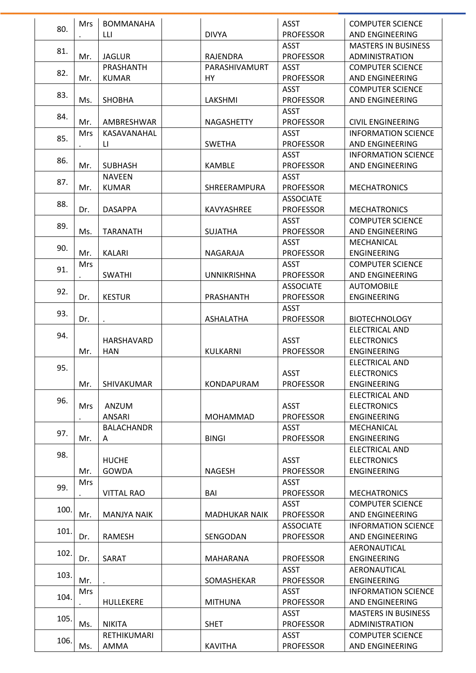|      | <b>Mrs</b> | <b>BOMMANAHA</b>   |                      | <b>ASST</b>      | <b>COMPUTER SCIENCE</b>    |
|------|------------|--------------------|----------------------|------------------|----------------------------|
| 80.  |            | LLI                | <b>DIVYA</b>         | <b>PROFESSOR</b> | AND ENGINEERING            |
|      |            |                    |                      | <b>ASST</b>      | <b>MASTERS IN BUSINESS</b> |
| 81.  | Mr.        | <b>JAGLUR</b>      | <b>RAJENDRA</b>      | <b>PROFESSOR</b> | ADMINISTRATION             |
|      |            | PRASHANTH          | PARASHIVAMURT        | <b>ASST</b>      | <b>COMPUTER SCIENCE</b>    |
| 82.  | Mr.        | <b>KUMAR</b>       | HY                   | <b>PROFESSOR</b> | AND ENGINEERING            |
|      |            |                    |                      | <b>ASST</b>      | <b>COMPUTER SCIENCE</b>    |
| 83.  | Ms.        | <b>SHOBHA</b>      | LAKSHMI              | <b>PROFESSOR</b> | AND ENGINEERING            |
|      |            |                    |                      | <b>ASST</b>      |                            |
| 84.  | Mr.        | AMBRESHWAR         | <b>NAGASHETTY</b>    | <b>PROFESSOR</b> | <b>CIVIL ENGINEERING</b>   |
|      | <b>Mrs</b> | KASAVANAHAL        |                      | <b>ASST</b>      | <b>INFORMATION SCIENCE</b> |
| 85.  |            | LI.                | <b>SWETHA</b>        | <b>PROFESSOR</b> | AND ENGINEERING            |
|      |            |                    |                      | <b>ASST</b>      | <b>INFORMATION SCIENCE</b> |
| 86.  | Mr.        | <b>SUBHASH</b>     | KAMBLE               | <b>PROFESSOR</b> | AND ENGINEERING            |
|      |            | <b>NAVEEN</b>      |                      | <b>ASST</b>      |                            |
| 87.  | Mr.        | <b>KUMAR</b>       | SHREERAMPURA         | <b>PROFESSOR</b> | <b>MECHATRONICS</b>        |
|      |            |                    |                      | <b>ASSOCIATE</b> |                            |
| 88.  | Dr.        | <b>DASAPPA</b>     | KAVYASHREE           | <b>PROFESSOR</b> | <b>MECHATRONICS</b>        |
|      |            |                    |                      | <b>ASST</b>      | <b>COMPUTER SCIENCE</b>    |
| 89.  | Ms.        | <b>TARANATH</b>    | <b>SUJATHA</b>       | <b>PROFESSOR</b> | AND ENGINEERING            |
|      |            |                    |                      | <b>ASST</b>      | MECHANICAL                 |
| 90.  | Mr.        | <b>KALARI</b>      | NAGARAJA             | <b>PROFESSOR</b> | ENGINEERING                |
|      |            |                    |                      | <b>ASST</b>      |                            |
| 91.  | <b>Mrs</b> |                    |                      |                  | <b>COMPUTER SCIENCE</b>    |
|      |            | <b>SWATHI</b>      | <b>UNNIKRISHNA</b>   | <b>PROFESSOR</b> | AND ENGINEERING            |
| 92.  |            |                    |                      | <b>ASSOCIATE</b> | <b>AUTOMOBILE</b>          |
|      | Dr.        | <b>KESTUR</b>      | PRASHANTH            | <b>PROFESSOR</b> | <b>ENGINEERING</b>         |
| 93.  |            |                    |                      | <b>ASST</b>      |                            |
|      | Dr.        |                    | <b>ASHALATHA</b>     | <b>PROFESSOR</b> | <b>BIOTECHNOLOGY</b>       |
| 94.  |            |                    |                      |                  | ELECTRICAL AND             |
|      |            | HARSHAVARD         |                      | <b>ASST</b>      | <b>ELECTRONICS</b>         |
|      | Mr.        | <b>HAN</b>         | KULKARNI             | <b>PROFESSOR</b> | <b>ENGINEERING</b>         |
| 95.  |            |                    |                      |                  | <b>ELECTRICAL AND</b>      |
|      |            |                    |                      | <b>ASST</b>      | <b>ELECTRONICS</b>         |
|      | Mr.        | SHIVAKUMAR         | KONDAPURAM           | <b>PROFESSOR</b> | <b>ENGINEERING</b>         |
| 96.  |            |                    |                      |                  | <b>ELECTRICAL AND</b>      |
|      | Mrs        | ANZUM              |                      | <b>ASST</b>      | <b>ELECTRONICS</b>         |
|      |            | ANSARI             | <b>MOHAMMAD</b>      | <b>PROFESSOR</b> | ENGINEERING                |
| 97.  |            | <b>BALACHANDR</b>  |                      | <b>ASST</b>      | MECHANICAL                 |
|      | Mr.        | Α                  | <b>BINGI</b>         | <b>PROFESSOR</b> | <b>ENGINEERING</b>         |
| 98.  |            |                    |                      |                  | <b>ELECTRICAL AND</b>      |
|      |            | <b>HUCHE</b>       |                      | <b>ASST</b>      | <b>ELECTRONICS</b>         |
|      | Mr.        | <b>GOWDA</b>       | <b>NAGESH</b>        | <b>PROFESSOR</b> | <b>ENGINEERING</b>         |
| 99.  | <b>Mrs</b> |                    |                      | <b>ASST</b>      |                            |
|      |            | <b>VITTAL RAO</b>  | BAI                  | <b>PROFESSOR</b> | <b>MECHATRONICS</b>        |
|      |            |                    |                      | <b>ASST</b>      | <b>COMPUTER SCIENCE</b>    |
| 100. | Mr.        | <b>MANJYA NAIK</b> | <b>MADHUKAR NAIK</b> | <b>PROFESSOR</b> | AND ENGINEERING            |
|      |            |                    |                      | <b>ASSOCIATE</b> | <b>INFORMATION SCIENCE</b> |
| 101. | Dr.        | <b>RAMESH</b>      | SENGODAN             | <b>PROFESSOR</b> | AND ENGINEERING            |
|      |            |                    |                      |                  | AERONAUTICAL               |
| 102. | Dr.        | SARAT              | MAHARANA             | <b>PROFESSOR</b> | <b>ENGINEERING</b>         |
|      |            |                    |                      | <b>ASST</b>      | AERONAUTICAL               |
| 103. | Mr.        |                    | SOMASHEKAR           | <b>PROFESSOR</b> | <b>ENGINEERING</b>         |
|      | <b>Mrs</b> |                    |                      | <b>ASST</b>      | <b>INFORMATION SCIENCE</b> |
| 104. |            | HULLEKERE          | <b>MITHUNA</b>       | <b>PROFESSOR</b> | AND ENGINEERING            |
|      |            |                    |                      | ASST             | <b>MASTERS IN BUSINESS</b> |
| 105. | Ms.        | <b>NIKITA</b>      | <b>SHET</b>          | <b>PROFESSOR</b> | ADMINISTRATION             |
|      |            | RETHIKUMARI        |                      | ASST             | <b>COMPUTER SCIENCE</b>    |
| 106. | Ms.        | AMMA               | <b>KAVITHA</b>       | <b>PROFESSOR</b> | AND ENGINEERING            |
|      |            |                    |                      |                  |                            |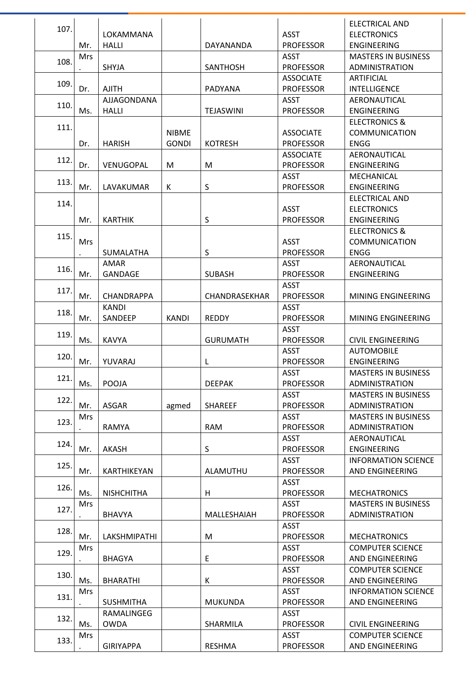|      |            |                   |              |                  |                  | <b>ELECTRICAL AND</b>      |
|------|------------|-------------------|--------------|------------------|------------------|----------------------------|
| 107. |            | LOKAMMANA         |              |                  | <b>ASST</b>      | <b>ELECTRONICS</b>         |
|      | Mr.        | <b>HALLI</b>      |              | DAYANANDA        | <b>PROFESSOR</b> | <b>ENGINEERING</b>         |
|      | <b>Mrs</b> |                   |              |                  | <b>ASST</b>      | <b>MASTERS IN BUSINESS</b> |
| 108. |            | SHYJA             |              | SANTHOSH         | <b>PROFESSOR</b> | ADMINISTRATION             |
|      |            |                   |              |                  | <b>ASSOCIATE</b> | <b>ARTIFICIAL</b>          |
| 109. | Dr.        | <b>AJITH</b>      |              | PADYANA          | <b>PROFESSOR</b> | <b>INTELLIGENCE</b>        |
|      |            | AJJAGONDANA       |              |                  | ASST             | AERONAUTICAL               |
| 110. | Ms.        | <b>HALLI</b>      |              | <b>TEJASWINI</b> | <b>PROFESSOR</b> | <b>ENGINEERING</b>         |
|      |            |                   |              |                  |                  | <b>ELECTRONICS &amp;</b>   |
| 111. |            |                   | <b>NIBME</b> |                  | <b>ASSOCIATE</b> | <b>COMMUNICATION</b>       |
|      | Dr.        | <b>HARISH</b>     | <b>GONDI</b> | <b>KOTRESH</b>   | <b>PROFESSOR</b> | <b>ENGG</b>                |
|      |            |                   |              |                  | <b>ASSOCIATE</b> | AERONAUTICAL               |
| 112. |            |                   |              |                  |                  |                            |
|      | Dr.        | VENUGOPAL         | M            | M                | <b>PROFESSOR</b> | ENGINEERING                |
| 113. |            |                   |              |                  | <b>ASST</b>      | MECHANICAL                 |
|      | Mr.        | LAVAKUMAR         | К            | S                | <b>PROFESSOR</b> | <b>ENGINEERING</b>         |
| 114. |            |                   |              |                  |                  | ELECTRICAL AND             |
|      |            |                   |              |                  | <b>ASST</b>      | <b>ELECTRONICS</b>         |
|      | Mr.        | <b>KARTHIK</b>    |              | S                | <b>PROFESSOR</b> | <b>ENGINEERING</b>         |
| 115. |            |                   |              |                  |                  | <b>ELECTRONICS &amp;</b>   |
|      | <b>Mrs</b> |                   |              |                  | <b>ASST</b>      | <b>COMMUNICATION</b>       |
|      |            | <b>SUMALATHA</b>  |              | S                | <b>PROFESSOR</b> | <b>ENGG</b>                |
| 116. |            | AMAR              |              |                  | <b>ASST</b>      | AERONAUTICAL               |
|      | Mr.        | GANDAGE           |              | <b>SUBASH</b>    | <b>PROFESSOR</b> | <b>ENGINEERING</b>         |
| 117. |            |                   |              |                  | <b>ASST</b>      |                            |
|      | Mr.        | <b>CHANDRAPPA</b> |              | CHANDRASEKHAR    | <b>PROFESSOR</b> | MINING ENGINEERING         |
| 118. |            | <b>KANDI</b>      |              |                  | <b>ASST</b>      |                            |
|      | Mr.        | SANDEEP           | <b>KANDI</b> | <b>REDDY</b>     | <b>PROFESSOR</b> | MINING ENGINEERING         |
|      |            |                   |              |                  | <b>ASST</b>      |                            |
| 119. | Ms.        | <b>KAVYA</b>      |              | <b>GURUMATH</b>  | <b>PROFESSOR</b> | <b>CIVIL ENGINEERING</b>   |
|      |            |                   |              |                  | <b>ASST</b>      | <b>AUTOMOBILE</b>          |
| 120. | Mr.        | YUVARAJ           |              | L                | <b>PROFESSOR</b> | <b>ENGINEERING</b>         |
|      |            |                   |              |                  | <b>ASST</b>      | <b>MASTERS IN BUSINESS</b> |
| 121. | Ms.        | POOJA             |              | <b>DEEPAK</b>    | <b>PROFESSOR</b> | ADMINISTRATION             |
| 122. |            |                   |              |                  | <b>ASST</b>      | <b>MASTERS IN BUSINESS</b> |
|      | Mr.        | <b>ASGAR</b>      | agmed        | <b>SHAREEF</b>   | <b>PROFESSOR</b> | ADMINISTRATION             |
|      | <b>Mrs</b> |                   |              |                  | <b>ASST</b>      | <b>MASTERS IN BUSINESS</b> |
| 123. |            | <b>RAMYA</b>      |              | <b>RAM</b>       | <b>PROFESSOR</b> | ADMINISTRATION             |
|      |            |                   |              |                  | <b>ASST</b>      | AERONAUTICAL               |
| 124. | Mr.        | <b>AKASH</b>      |              | S                | <b>PROFESSOR</b> | <b>ENGINEERING</b>         |
|      |            |                   |              |                  | <b>ASST</b>      | <b>INFORMATION SCIENCE</b> |
| 125. | Mr.        | KARTHIKEYAN       |              | ALAMUTHU         | <b>PROFESSOR</b> | AND ENGINEERING            |
|      |            |                   |              |                  | <b>ASST</b>      |                            |
| 126. | Ms.        | <b>NISHCHITHA</b> |              | H                | <b>PROFESSOR</b> | <b>MECHATRONICS</b>        |
|      | <b>Mrs</b> |                   |              |                  | <b>ASST</b>      | <b>MASTERS IN BUSINESS</b> |
| 127. |            | <b>BHAVYA</b>     |              | MALLESHAIAH      | <b>PROFESSOR</b> | ADMINISTRATION             |
|      |            |                   |              |                  | <b>ASST</b>      |                            |
| 128. | Mr.        | LAKSHMIPATHI      |              | M                | <b>PROFESSOR</b> | <b>MECHATRONICS</b>        |
|      | <b>Mrs</b> |                   |              |                  | <b>ASST</b>      | <b>COMPUTER SCIENCE</b>    |
| 129. |            | <b>BHAGYA</b>     |              | E                | <b>PROFESSOR</b> | AND ENGINEERING            |
|      |            |                   |              |                  | <b>ASST</b>      | <b>COMPUTER SCIENCE</b>    |
| 130. | Ms.        | <b>BHARATHI</b>   |              | К                | <b>PROFESSOR</b> | AND ENGINEERING            |
|      | <b>Mrs</b> |                   |              |                  | <b>ASST</b>      | <b>INFORMATION SCIENCE</b> |
| 131. |            | <b>SUSHMITHA</b>  |              | <b>MUKUNDA</b>   | <b>PROFESSOR</b> | AND ENGINEERING            |
|      |            | RAMALINGEG        |              |                  | <b>ASST</b>      |                            |
| 132. | Ms.        | <b>OWDA</b>       |              | SHARMILA         | <b>PROFESSOR</b> | <b>CIVIL ENGINEERING</b>   |
|      | Mrs        |                   |              |                  | <b>ASST</b>      | <b>COMPUTER SCIENCE</b>    |
| 133. |            | <b>GIRIYAPPA</b>  |              | <b>RESHMA</b>    | <b>PROFESSOR</b> | AND ENGINEERING            |
|      |            |                   |              |                  |                  |                            |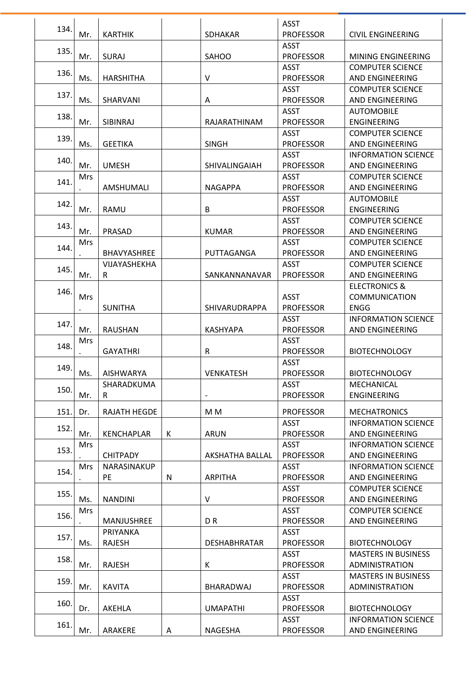| 134. |            |                  |   |                          | <b>ASST</b>      |                            |
|------|------------|------------------|---|--------------------------|------------------|----------------------------|
|      | Mr.        | <b>KARTHIK</b>   |   | <b>SDHAKAR</b>           | <b>PROFESSOR</b> | <b>CIVIL ENGINEERING</b>   |
| 135. |            |                  |   |                          | <b>ASST</b>      |                            |
|      | Mr.        | <b>SURAJ</b>     |   | <b>SAHOO</b>             | <b>PROFESSOR</b> | MINING ENGINEERING         |
| 136. |            |                  |   |                          | <b>ASST</b>      | <b>COMPUTER SCIENCE</b>    |
|      | Ms.        | <b>HARSHITHA</b> |   | V                        | <b>PROFESSOR</b> | AND ENGINEERING            |
| 137. |            |                  |   |                          | <b>ASST</b>      | <b>COMPUTER SCIENCE</b>    |
|      | Ms.        | SHARVANI         |   | A                        | <b>PROFESSOR</b> | AND ENGINEERING            |
| 138. |            |                  |   |                          | <b>ASST</b>      | <b>AUTOMOBILE</b>          |
|      | Mr.        | SIBINRAJ         |   | RAJARATHINAM             | <b>PROFESSOR</b> | <b>ENGINEERING</b>         |
| 139. |            |                  |   |                          | <b>ASST</b>      | <b>COMPUTER SCIENCE</b>    |
|      | Ms.        | <b>GEETIKA</b>   |   | <b>SINGH</b>             | <b>PROFESSOR</b> | AND ENGINEERING            |
| 140. |            |                  |   |                          | <b>ASST</b>      | <b>INFORMATION SCIENCE</b> |
|      | Mr.        | <b>UMESH</b>     |   | SHIVALINGAIAH            | <b>PROFESSOR</b> | AND ENGINEERING            |
| 141. | <b>Mrs</b> |                  |   |                          | <b>ASST</b>      | <b>COMPUTER SCIENCE</b>    |
|      |            | AMSHUMALI        |   | <b>NAGAPPA</b>           | <b>PROFESSOR</b> | AND ENGINEERING            |
| 142. |            |                  |   |                          | <b>ASST</b>      | <b>AUTOMOBILE</b>          |
|      | Mr.        | <b>RAMU</b>      |   | B                        | <b>PROFESSOR</b> | <b>ENGINEERING</b>         |
| 143. |            |                  |   |                          | <b>ASST</b>      | <b>COMPUTER SCIENCE</b>    |
|      | Mr.        | PRASAD           |   | <b>KUMAR</b>             | <b>PROFESSOR</b> | AND ENGINEERING            |
|      | <b>Mrs</b> |                  |   |                          | <b>ASST</b>      | <b>COMPUTER SCIENCE</b>    |
| 144. |            | BHAVYASHREE      |   | PUTTAGANGA               | <b>PROFESSOR</b> | AND ENGINEERING            |
|      |            | VIJAYASHEKHA     |   |                          | <b>ASST</b>      | <b>COMPUTER SCIENCE</b>    |
| 145. | Mr.        | R                |   | SANKANNANAVAR            | <b>PROFESSOR</b> | AND ENGINEERING            |
|      |            |                  |   |                          |                  | <b>ELECTRONICS &amp;</b>   |
| 146. | Mrs        |                  |   |                          | <b>ASST</b>      | <b>COMMUNICATION</b>       |
|      |            | <b>SUNITHA</b>   |   | SHIVARUDRAPPA            | <b>PROFESSOR</b> | <b>ENGG</b>                |
|      |            |                  |   |                          | <b>ASST</b>      | <b>INFORMATION SCIENCE</b> |
| 147. | Mr.        | <b>RAUSHAN</b>   |   | <b>KASHYAPA</b>          | <b>PROFESSOR</b> | AND ENGINEERING            |
|      | <b>Mrs</b> |                  |   |                          | <b>ASST</b>      |                            |
| 148. |            | <b>GAYATHRI</b>  |   | R                        | <b>PROFESSOR</b> | <b>BIOTECHNOLOGY</b>       |
|      |            |                  |   |                          | <b>ASST</b>      |                            |
| 149. | Ms.        | <b>AISHWARYA</b> |   | <b>VENKATESH</b>         | <b>PROFESSOR</b> | <b>BIOTECHNOLOGY</b>       |
|      |            | SHARADKUMA       |   |                          | <b>ASST</b>      | MECHANICAL                 |
| 150. | Mr.        | R                |   | $\overline{\phantom{a}}$ | <b>PROFESSOR</b> | <b>ENGINEERING</b>         |
|      |            |                  |   |                          |                  |                            |
| 151. | Dr.        | RAJATH HEGDE     |   | M M                      | <b>PROFESSOR</b> | <b>MECHATRONICS</b>        |
| 152. |            |                  |   |                          | <b>ASST</b>      | <b>INFORMATION SCIENCE</b> |
|      | Mr.        | KENCHAPLAR       | K | <b>ARUN</b>              | <b>PROFESSOR</b> | AND ENGINEERING            |
|      | <b>Mrs</b> |                  |   |                          | <b>ASST</b>      | <b>INFORMATION SCIENCE</b> |
| 153. |            | <b>CHITPADY</b>  |   | AKSHATHA BALLAL          | <b>PROFESSOR</b> | AND ENGINEERING            |
|      | <b>Mrs</b> | NARASINAKUP      |   |                          | <b>ASST</b>      | <b>INFORMATION SCIENCE</b> |
| 154. |            | PE               | N | <b>ARPITHA</b>           | <b>PROFESSOR</b> | AND ENGINEERING            |
|      |            |                  |   |                          | <b>ASST</b>      | <b>COMPUTER SCIENCE</b>    |
| 155. | Ms.        | <b>NANDINI</b>   |   | V                        | <b>PROFESSOR</b> | AND ENGINEERING            |
|      | <b>Mrs</b> |                  |   |                          | <b>ASST</b>      | <b>COMPUTER SCIENCE</b>    |
| 156. |            | MANJUSHREE       |   | DR.                      | <b>PROFESSOR</b> | AND ENGINEERING            |
|      |            | PRIYANKA         |   |                          | <b>ASST</b>      |                            |
| 157. | Ms.        | <b>RAJESH</b>    |   | <b>DESHABHRATAR</b>      | <b>PROFESSOR</b> | <b>BIOTECHNOLOGY</b>       |
|      |            |                  |   |                          | <b>ASST</b>      | <b>MASTERS IN BUSINESS</b> |
| 158. | Mr.        | RAJESH           |   | Κ                        | <b>PROFESSOR</b> | ADMINISTRATION             |
|      |            |                  |   |                          | <b>ASST</b>      | <b>MASTERS IN BUSINESS</b> |
| 159. | Mr.        | <b>KAVITA</b>    |   | BHARADWAJ                | <b>PROFESSOR</b> | ADMINISTRATION             |
|      |            |                  |   |                          | <b>ASST</b>      |                            |
| 160. | Dr.        | AKEHLA           |   | <b>UMAPATHI</b>          | <b>PROFESSOR</b> | <b>BIOTECHNOLOGY</b>       |
|      |            |                  |   |                          | <b>ASST</b>      | <b>INFORMATION SCIENCE</b> |
| 161. | Mr.        | ARAKERE          | A | NAGESHA                  | <b>PROFESSOR</b> | AND ENGINEERING            |
|      |            |                  |   |                          |                  |                            |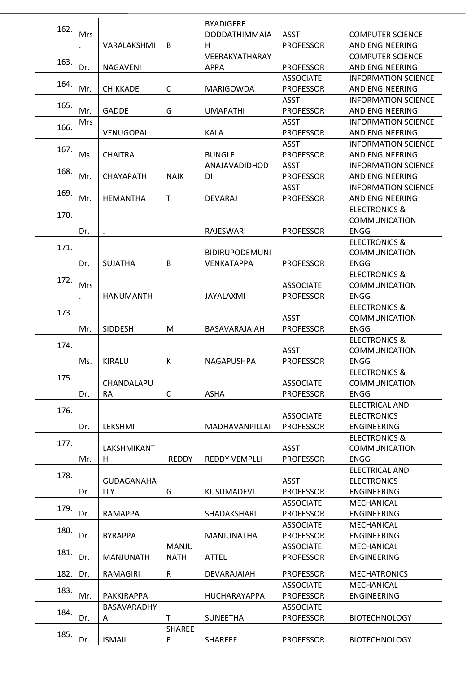| 162. |            |                   |               | <b>BYADIGERE</b>      |                  |                            |
|------|------------|-------------------|---------------|-----------------------|------------------|----------------------------|
|      | Mrs        |                   |               | <b>DODDATHIMMAIA</b>  | <b>ASST</b>      | <b>COMPUTER SCIENCE</b>    |
|      |            | VARALAKSHMI       | B             | H                     | <b>PROFESSOR</b> | AND ENGINEERING            |
|      |            |                   |               | VEERAKYATHARAY        |                  | <b>COMPUTER SCIENCE</b>    |
| 163. | Dr.        | <b>NAGAVENI</b>   |               | <b>APPA</b>           | <b>PROFESSOR</b> | AND ENGINEERING            |
|      |            |                   |               |                       | <b>ASSOCIATE</b> | <b>INFORMATION SCIENCE</b> |
| 164. | Mr.        | <b>CHIKKADE</b>   | $\mathsf C$   | MARIGOWDA             | <b>PROFESSOR</b> | AND ENGINEERING            |
|      |            |                   |               |                       | <b>ASST</b>      | <b>INFORMATION SCIENCE</b> |
| 165. | Mr.        | <b>GADDE</b>      | G             | <b>UMAPATHI</b>       | <b>PROFESSOR</b> | AND ENGINEERING            |
|      | Mrs        |                   |               |                       | <b>ASST</b>      | <b>INFORMATION SCIENCE</b> |
| 166. |            | VENUGOPAL         |               | <b>KALA</b>           | <b>PROFESSOR</b> | AND ENGINEERING            |
|      |            |                   |               |                       | <b>ASST</b>      | <b>INFORMATION SCIENCE</b> |
| 167. | Ms.        | <b>CHAITRA</b>    |               | <b>BUNGLE</b>         | <b>PROFESSOR</b> | AND ENGINEERING            |
|      |            |                   |               | ANAJAVADIDHOD         | <b>ASST</b>      | <b>INFORMATION SCIENCE</b> |
| 168. | Mr.        | <b>CHAYAPATHI</b> | <b>NAIK</b>   | DI                    | <b>PROFESSOR</b> | AND ENGINEERING            |
|      |            |                   |               |                       | <b>ASST</b>      | <b>INFORMATION SCIENCE</b> |
| 169. | Mr.        | <b>HEMANTHA</b>   | T             | <b>DEVARAJ</b>        | <b>PROFESSOR</b> | AND ENGINEERING            |
|      |            |                   |               |                       |                  | <b>ELECTRONICS &amp;</b>   |
| 170. |            |                   |               |                       |                  | <b>COMMUNICATION</b>       |
|      | Dr.        |                   |               | <b>RAJESWARI</b>      | <b>PROFESSOR</b> | <b>ENGG</b>                |
|      |            |                   |               |                       |                  | <b>ELECTRONICS &amp;</b>   |
| 171. |            |                   |               | <b>BIDIRUPODEMUNI</b> |                  | <b>COMMUNICATION</b>       |
|      | Dr.        | <b>SUJATHA</b>    | B             | VENKATAPPA            | <b>PROFESSOR</b> | <b>ENGG</b>                |
|      |            |                   |               |                       |                  | <b>ELECTRONICS &amp;</b>   |
| 172. | <b>Mrs</b> |                   |               |                       | <b>ASSOCIATE</b> | <b>COMMUNICATION</b>       |
|      | $\cdot$    | <b>HANUMANTH</b>  |               | JAYALAXMI             | <b>PROFESSOR</b> | <b>ENGG</b>                |
|      |            |                   |               |                       |                  | <b>ELECTRONICS &amp;</b>   |
| 173. |            |                   |               |                       | <b>ASST</b>      | <b>COMMUNICATION</b>       |
|      | Mr.        | <b>SIDDESH</b>    | M             | BASAVARAJAIAH         | <b>PROFESSOR</b> | <b>ENGG</b>                |
|      |            |                   |               |                       |                  | <b>ELECTRONICS &amp;</b>   |
| 174. |            |                   |               |                       | <b>ASST</b>      | <b>COMMUNICATION</b>       |
|      | Ms.        | <b>KIRALU</b>     | К             | NAGAPUSHPA            | <b>PROFESSOR</b> | <b>ENGG</b>                |
|      |            |                   |               |                       |                  | ELECTRONICS &              |
| 175. |            | CHANDALAPU        |               |                       | <b>ASSOCIATE</b> | <b>COMMUNICATION</b>       |
|      | Dr.        | <b>RA</b>         | $\mathsf C$   | <b>ASHA</b>           | <b>PROFESSOR</b> | <b>ENGG</b>                |
|      |            |                   |               |                       |                  | <b>ELECTRICAL AND</b>      |
| 176. |            |                   |               |                       | <b>ASSOCIATE</b> | <b>ELECTRONICS</b>         |
|      | Dr.        | LEKSHMI           |               | MADHAVANPILLAI        | <b>PROFESSOR</b> | ENGINEERING                |
|      |            |                   |               |                       |                  | <b>ELECTRONICS &amp;</b>   |
| 177. |            | LAKSHMIKANT       |               |                       | <b>ASST</b>      | <b>COMMUNICATION</b>       |
|      | Mr.        | H                 | <b>REDDY</b>  | <b>REDDY VEMPLLI</b>  | <b>PROFESSOR</b> | <b>ENGG</b>                |
|      |            |                   |               |                       |                  | <b>ELECTRICAL AND</b>      |
| 178. |            | GUDAGANAHA        |               |                       | <b>ASST</b>      | <b>ELECTRONICS</b>         |
|      | Dr.        | LLY               | G             | KUSUMADEVI            | <b>PROFESSOR</b> | <b>ENGINEERING</b>         |
|      |            |                   |               |                       | <b>ASSOCIATE</b> | MECHANICAL                 |
| 179. | Dr.        | <b>RAMAPPA</b>    |               | SHADAKSHARI           | <b>PROFESSOR</b> | <b>ENGINEERING</b>         |
|      |            |                   |               |                       | <b>ASSOCIATE</b> | MECHANICAL                 |
| 180. | Dr.        | <b>BYRAPPA</b>    |               | MANJUNATHA            | <b>PROFESSOR</b> | <b>ENGINEERING</b>         |
|      |            |                   | <b>MANJU</b>  |                       | <b>ASSOCIATE</b> | MECHANICAL                 |
| 181. | Dr.        | <b>MANJUNATH</b>  | <b>NATH</b>   | <b>ATTEL</b>          | <b>PROFESSOR</b> | <b>ENGINEERING</b>         |
|      |            |                   |               |                       |                  |                            |
| 182. | Dr.        | RAMAGIRI          | ${\sf R}$     | DEVARAJAIAH           | <b>PROFESSOR</b> | <b>MECHATRONICS</b>        |
| 183. |            |                   |               |                       | <b>ASSOCIATE</b> | MECHANICAL                 |
|      | Mr.        | PAKKIRAPPA        |               | HUCHARAYAPPA          | <b>PROFESSOR</b> | <b>ENGINEERING</b>         |
| 184. |            | BASAVARADHY       |               |                       | <b>ASSOCIATE</b> |                            |
|      | Dr.        | A                 | т             | <b>SUNEETHA</b>       | <b>PROFESSOR</b> | <b>BIOTECHNOLOGY</b>       |
| 185. |            |                   | <b>SHAREE</b> |                       |                  |                            |
|      | Dr.        | <b>ISMAIL</b>     | F             | <b>SHAREEF</b>        | <b>PROFESSOR</b> | <b>BIOTECHNOLOGY</b>       |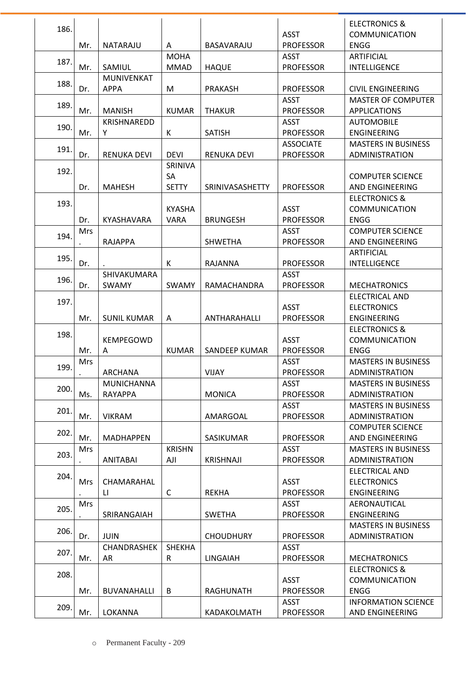|      |            |                    |               |                        |                  | <b>ELECTRONICS &amp;</b>   |
|------|------------|--------------------|---------------|------------------------|------------------|----------------------------|
| 186. |            |                    |               |                        | <b>ASST</b>      | <b>COMMUNICATION</b>       |
|      | Mr.        | NATARAJU           | A             | BASAVARAJU             | <b>PROFESSOR</b> | <b>ENGG</b>                |
|      |            |                    | <b>MOHA</b>   |                        | <b>ASST</b>      | <b>ARTIFICIAL</b>          |
| 187. | Mr.        | SAMIUL             | <b>MMAD</b>   | <b>HAQUE</b>           | <b>PROFESSOR</b> | <b>INTELLIGENCE</b>        |
|      |            | MUNIVENKAT         |               |                        |                  |                            |
| 188. | Dr.        | <b>APPA</b>        | M             | <b>PRAKASH</b>         | <b>PROFESSOR</b> | <b>CIVIL ENGINEERING</b>   |
| 189. |            |                    |               |                        | <b>ASST</b>      | <b>MASTER OF COMPUTER</b>  |
|      | Mr.        | <b>MANISH</b>      | <b>KUMAR</b>  | <b>THAKUR</b>          | <b>PROFESSOR</b> | <b>APPLICATIONS</b>        |
| 190. |            | KRISHNAREDD        |               |                        | <b>ASST</b>      | <b>AUTOMOBILE</b>          |
|      | Mr.        | Υ                  | К             | <b>SATISH</b>          | <b>PROFESSOR</b> | <b>ENGINEERING</b>         |
| 191. |            |                    |               |                        | <b>ASSOCIATE</b> | <b>MASTERS IN BUSINESS</b> |
|      | Dr.        | <b>RENUKA DEVI</b> | <b>DEVI</b>   | <b>RENUKA DEVI</b>     | <b>PROFESSOR</b> | ADMINISTRATION             |
| 192. |            |                    | SRINIVA       |                        |                  |                            |
|      |            |                    | SA            |                        |                  | <b>COMPUTER SCIENCE</b>    |
|      | Dr.        | <b>MAHESH</b>      | <b>SETTY</b>  | <b>SRINIVASASHETTY</b> | <b>PROFESSOR</b> | AND ENGINEERING            |
| 193. |            |                    |               |                        |                  | <b>ELECTRONICS &amp;</b>   |
|      |            |                    | <b>KYASHA</b> |                        | <b>ASST</b>      | <b>COMMUNICATION</b>       |
|      | Dr.        | KYASHAVARA         | <b>VARA</b>   | <b>BRUNGESH</b>        | <b>PROFESSOR</b> | <b>ENGG</b>                |
| 194. | <b>Mrs</b> |                    |               |                        | <b>ASST</b>      | <b>COMPUTER SCIENCE</b>    |
|      | $\bullet$  | <b>RAJAPPA</b>     |               | <b>SHWETHA</b>         | <b>PROFESSOR</b> | AND ENGINEERING            |
| 195. |            |                    |               |                        |                  | <b>ARTIFICIAL</b>          |
|      | Dr.        |                    | К             | <b>RAJANNA</b>         | <b>PROFESSOR</b> | <b>INTELLIGENCE</b>        |
|      |            | SHIVAKUMARA        |               |                        | <b>ASST</b>      |                            |
| 196. | Dr.        | SWAMY              | SWAMY         | RAMACHANDRA            | <b>PROFESSOR</b> | <b>MECHATRONICS</b>        |
|      |            |                    |               |                        |                  | <b>ELECTRICAL AND</b>      |
| 197. |            |                    |               |                        | <b>ASST</b>      | <b>ELECTRONICS</b>         |
|      | Mr.        | <b>SUNIL KUMAR</b> | A             | ANTHARAHALLI           | <b>PROFESSOR</b> | <b>ENGINEERING</b>         |
|      |            |                    |               |                        |                  | <b>ELECTRONICS &amp;</b>   |
| 198. |            | KEMPEGOWD          |               |                        | <b>ASST</b>      | <b>COMMUNICATION</b>       |
|      | Mr.        | A                  | <b>KUMAR</b>  | <b>SANDEEP KUMAR</b>   | <b>PROFESSOR</b> | <b>ENGG</b>                |
| 199. | Mrs        |                    |               |                        | <b>ASST</b>      | <b>MASTERS IN BUSINESS</b> |
|      |            | ARCHANA            |               | <b>VIJAY</b>           | <b>PROFESSOR</b> | <b>ADMINISTRATION</b>      |
| 200. |            | <b>MUNICHANNA</b>  |               |                        | <b>ASST</b>      | <b>MASTERS IN BUSINESS</b> |
|      | Ms.        | RAYAPPA            |               | <b>MONICA</b>          | <b>PROFESSOR</b> | <b>ADMINISTRATION</b>      |
| 201. |            |                    |               |                        | <b>ASST</b>      | <b>MASTERS IN BUSINESS</b> |
|      | Mr.        | <b>VIKRAM</b>      |               | AMARGOAL               | <b>PROFESSOR</b> | ADMINISTRATION             |
| 202. |            |                    |               |                        |                  | <b>COMPUTER SCIENCE</b>    |
|      | Mr.        | <b>MADHAPPEN</b>   |               | SASIKUMAR              | <b>PROFESSOR</b> | AND ENGINEERING            |
| 203. | Mrs        |                    | <b>KRISHN</b> |                        | <b>ASST</b>      | <b>MASTERS IN BUSINESS</b> |
|      |            | <b>ANITABAI</b>    | AJI           | <b>KRISHNAJI</b>       | <b>PROFESSOR</b> | ADMINISTRATION             |
| 204. |            |                    |               |                        |                  | <b>ELECTRICAL AND</b>      |
|      | <b>Mrs</b> | CHAMARAHAL         |               |                        | ASST             | <b>ELECTRONICS</b>         |
|      |            | LI.                | C             | REKHA                  | <b>PROFESSOR</b> | ENGINEERING                |
| 205. | <b>Mrs</b> |                    |               |                        | <b>ASST</b>      | AERONAUTICAL               |
|      |            | SRIRANGAIAH        |               | <b>SWETHA</b>          | <b>PROFESSOR</b> | <b>ENGINEERING</b>         |
| 206. |            |                    |               |                        |                  | <b>MASTERS IN BUSINESS</b> |
|      | Dr.        | <b>JUIN</b>        |               | <b>CHOUDHURY</b>       | <b>PROFESSOR</b> | ADMINISTRATION             |
| 207. |            | CHANDRASHEK        | <b>SHEKHA</b> |                        | <b>ASST</b>      |                            |
|      | Mr.        | AR                 | $\mathsf R$   | <b>LINGAIAH</b>        | <b>PROFESSOR</b> | <b>MECHATRONICS</b>        |
|      |            |                    |               |                        |                  | <b>ELECTRONICS &amp;</b>   |
| 208. |            |                    |               |                        | <b>ASST</b>      | <b>COMMUNICATION</b>       |
|      | Mr.        | BUVANAHALLI        | B             | RAGHUNATH              | <b>PROFESSOR</b> | <b>ENGG</b>                |
|      |            |                    |               |                        | <b>ASST</b>      | <b>INFORMATION SCIENCE</b> |
| 209. | Mr.        | LOKANNA            |               | KADAKOLMATH            | <b>PROFESSOR</b> | AND ENGINEERING            |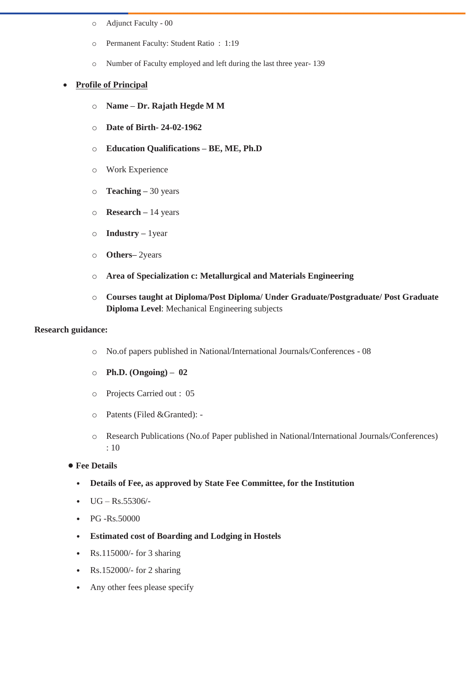- o Adjunct Faculty 00
- o Permanent Faculty: Student Ratio : 1:19
- o Number of Faculty employed and left during the last three year- 139

#### • **Profile of Principal**

- o **Name – Dr. Rajath Hegde M M**
- o **Date of Birth- 24-02-1962**
- o **Education Qualifications – BE, ME, Ph.D**
- o Work Experience
- o **Teaching –** 30 years
- o **Research –** 14 years
- o **Industry –** 1year
- o **Others–** 2years
- o **Area of Specialization c: Metallurgical and Materials Engineering**
- o **Courses taught at Diploma/Post Diploma/ Under Graduate/Postgraduate/ Post Graduate Diploma Level**: Mechanical Engineering subjects

#### **Research guidance:**

- o No.of papers published in National/International Journals/Conferences 08
- o **Ph.D. (Ongoing) – 02**
- o Projects Carried out : 05
- o Patents (Filed &Granted): -
- o Research Publications (No.of Paper published in National/International Journals/Conferences) : 10
- **• Fee Details** 
	- **Details of Fee, as approved by State Fee Committee, for the Institution**
	- $UG Rs.55306/$ -
	- PG -Rs.50000
	- **Estimated cost of Boarding and Lodging in Hostels**
	- Rs.115000/- for 3 sharing
	- Rs.152000/- for 2 sharing
	- Any other fees please specify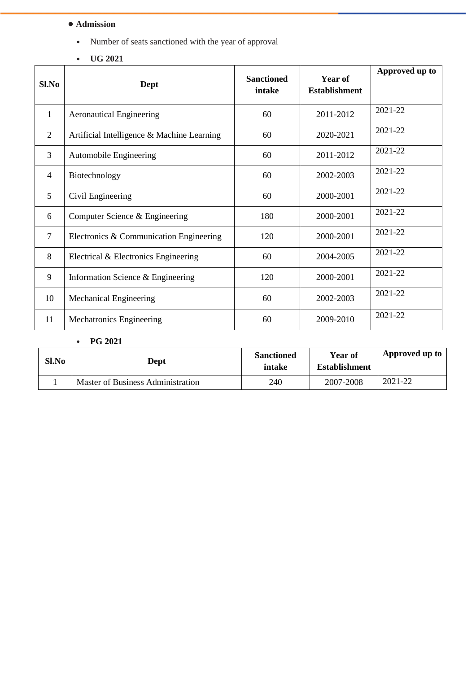### **• Admission**

- Number of seats sanctioned with the year of approval
- **UG 2021**

| Sl.No          | Dept                                       | <b>Sanctioned</b><br>intake | Year of<br><b>Establishment</b> | Approved up to |
|----------------|--------------------------------------------|-----------------------------|---------------------------------|----------------|
| $\mathbf{1}$   | <b>Aeronautical Engineering</b>            | 60                          | 2011-2012                       | 2021-22        |
| $\overline{2}$ | Artificial Intelligence & Machine Learning | 60                          | 2020-2021                       | 2021-22        |
| 3              | Automobile Engineering                     | 60                          | 2011-2012                       | 2021-22        |
| $\overline{4}$ | Biotechnology                              | 60                          | 2002-2003                       | 2021-22        |
| 5              | Civil Engineering                          | 60                          | 2000-2001                       | 2021-22        |
| 6              | Computer Science & Engineering             | 180                         | 2000-2001                       | 2021-22        |
| 7              | Electronics & Communication Engineering    | 120                         | 2000-2001                       | 2021-22        |
| 8              | Electrical & Electronics Engineering       | 60                          | 2004-2005                       | 2021-22        |
| 9              | Information Science & Engineering          | 120                         | 2000-2001                       | 2021-22        |
| 10             | Mechanical Engineering                     | 60                          | 2002-2003                       | 2021-22        |
| 11             | Mechatronics Engineering                   | 60                          | 2009-2010                       | 2021-22        |

• **PG 2021**

| Sl.No | Dept                              | <b>Sanctioned</b><br>intake | Year of<br><b>Establishment</b> | Approved up to |
|-------|-----------------------------------|-----------------------------|---------------------------------|----------------|
|       | Master of Business Administration | 240                         | 2007-2008                       | 2021-22        |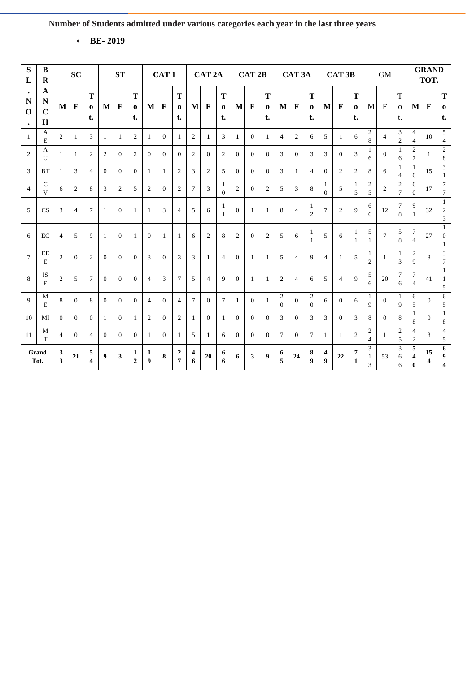• **BE- 2019**

| ${\bf S}$<br>L                                    | B<br>$\bf R$                  |                   | <b>SC</b>      |                              |              | <b>ST</b>      |                     |                | CAT <sub>1</sub> |                     |                 | CAT <sub>2A</sub> |                     |                | CAT <sub>2B</sub> |                     |                            | CAT <sub>3</sub> A |                            |                | CAT <sub>3B</sub> |                     |                     | <b>GM</b>      |                                   |                                  | <b>GRAND</b><br>TOT. |                                       |
|---------------------------------------------------|-------------------------------|-------------------|----------------|------------------------------|--------------|----------------|---------------------|----------------|------------------|---------------------|-----------------|-------------------|---------------------|----------------|-------------------|---------------------|----------------------------|--------------------|----------------------------|----------------|-------------------|---------------------|---------------------|----------------|-----------------------------------|----------------------------------|----------------------|---------------------------------------|
| $\bullet$<br>$\mathbf N$<br>$\Omega$<br>$\bullet$ | A<br>N<br>$\overline{C}$<br>H | M                 | $\mathbf F$    | T<br>$\bf{0}$<br>t.          | M            | F              | T<br>$\bf{0}$<br>t. | M              | $\mathbf F$      | T<br>$\Omega$<br>t. | $\bf{M}$        | $\mathbf{F}$      | T<br>$\bf{0}$<br>t. | $\bf{M}$       | $\mathbf F$       | T<br>$\bf{o}$<br>t. | M                          | $\mathbf{F}$       | T<br>$\Omega$<br>t.        | M              | $\mathbf F$       | T<br>$\bf{0}$<br>t. | M                   | $\mathbf{F}$   | $\mathbf T$<br>$\mathbf{o}$<br>t. | M                                | $\mathbf{F}$         | T<br>$\bf{0}$<br>t.                   |
| $\mathbf{1}$                                      | A<br>E                        | $\overline{2}$    | 1              | 3                            | $\mathbf{1}$ | $\mathbf{1}$   | 2                   | $\mathbf{1}$   | $\theta$         | -1                  | $\overline{2}$  | $\mathbf{1}$      | 3                   | $\mathbf{1}$   | $\Omega$          | $\mathbf{1}$        | $\overline{4}$             | 2                  | 6                          | 5              | 1                 | 6                   | $\overline{2}$<br>8 | $\overline{4}$ | 3<br>2                            | $\overline{4}$<br>$\overline{4}$ | 10                   | 5<br>4                                |
| $\overline{2}$                                    | A<br>$\mathbf{U}$             | $\mathbf{1}$      | 1              | $\mathfrak{2}$               | 2            | $\Omega$       | $\overline{2}$      | $\Omega$       | $\Omega$         | $\Omega$            | 2               | $\Omega$          | $\overline{2}$      | $\Omega$       | $\Omega$          | $\Omega$            | 3                          | $\Omega$           | 3                          | 3              | $\Omega$          | 3                   | $\overline{1}$<br>6 | $\Omega$       | $\mathbf{1}$<br>6                 | $\overline{2}$<br>$\tau$         | 1                    | $\overline{2}$<br>8                   |
| 3                                                 | <b>BT</b>                     | 1                 | 3              | $\overline{4}$               | $\Omega$     | $\Omega$       | $\Omega$            | $\mathbf{1}$   | 1                | $\overline{2}$      | 3               | 2                 | 5                   | $\Omega$       | $\Omega$          | $\Omega$            | 3                          | 1                  | $\overline{4}$             | $\theta$       | 2                 | 2                   | 8                   | 6              | 1<br>$\overline{4}$               | $\mathbf{1}$<br>6                | 15                   | 3<br>1                                |
| $\overline{4}$                                    | $\mathsf{C}$<br>$\mathbf{V}$  | 6                 | 2              | 8                            | 3            | 2              | 5                   | $\overline{2}$ | $\theta$         | 2                   | $7\phantom{.0}$ | 3                 | 1<br>$\Omega$       | 2              | $\Omega$          | $\overline{2}$      | 5                          | 3                  | 8                          | 1<br>$\Omega$  | 5                 | 1<br>5              | $\mathfrak{2}$<br>5 | 2              | $\mathbf{2}$<br>$\tau$            | 6<br>$\theta$                    | 17                   | $\overline{7}$<br>$\tau$              |
| 5                                                 | CS                            | 3                 | $\overline{4}$ | $\tau$                       | $\mathbf{1}$ | $\Omega$       | $\mathbf{1}$        | $\mathbf{1}$   | 3                | $\overline{4}$      | 5               | 6                 | 1<br>-1             | $\Omega$       | $\mathbf{1}$      | $\mathbf{1}$        | 8                          | $\overline{4}$     | 1<br>$\overline{c}$        | $\overline{7}$ | $\overline{2}$    | 9                   | 6<br>6              | 12             | 7<br>8                            | 9<br>$\mathbf{1}$                | 32                   | $\mathbf{1}$<br>$\boldsymbol{2}$<br>3 |
| 6                                                 | EC                            | $\overline{4}$    | 5              | 9                            | $\mathbf{1}$ | $\mathbf{0}$   | -1                  | $\theta$       | $\mathbf{1}$     | -1                  | 6               | $\overline{2}$    | 8                   | $\overline{2}$ | $\overline{0}$    | 2                   | 5                          | 6                  | -1<br>1                    | 5              | 6                 | -1<br>-1            | 5<br>-1             | $\tau$         | 5<br>8                            | $\overline{7}$<br>$\overline{4}$ | 27                   | $\overline{1}$<br>$\theta$<br>1       |
| $\tau$                                            | EE<br>$\mathbf E$             | $\overline{2}$    | $\Omega$       | 2                            | $\Omega$     | $\Omega$       | $\Omega$            | 3              | $\Omega$         | 3                   | 3               | 1                 | $\overline{4}$      | $\Omega$       | $\mathbf{1}$      | 1                   | 5                          | $\overline{4}$     | $\mathbf{Q}$               | $\overline{4}$ | -1                | 5                   | 1<br>$\overline{2}$ | 1              | 1<br>3                            | $\overline{2}$<br>9              | 8                    | $\mathfrak{Z}$<br>$\overline{7}$      |
| 8                                                 | IS<br>E                       | $\overline{c}$    | 5              | $\tau$                       | $\Omega$     | $\Omega$       | $\Omega$            | $\overline{4}$ | 3                | 7                   | 5               | $\overline{4}$    | $\mathbf{Q}$        | $\Omega$       | $\mathbf{1}$      | -1                  | $\overline{c}$             | $\overline{4}$     | 6                          | 5              | $\overline{4}$    | 9                   | 5<br>6              | 20             | $\tau$<br>6                       | $\tau$<br>$\overline{4}$         | 41                   | $\mathbf{1}$<br>1<br>5                |
| 9                                                 | M<br>E                        | 8                 | $\Omega$       | 8                            | $\Omega$     | $\Omega$       | $\Omega$            | $\overline{4}$ | $\theta$         | $\overline{4}$      | $7\overline{ }$ | $\Omega$          | $\tau$              | -1             | $\Omega$          | $\mathbf{1}$        | $\overline{c}$<br>$\Omega$ | $\Omega$           | $\mathfrak{2}$<br>$\Omega$ | 6              | $\Omega$          | 6                   | -1<br>9             | $\theta$       | 1<br>9                            | 6<br>5                           | $\overline{0}$       | 6<br>5                                |
| 10                                                | MI                            | $\theta$          | $\Omega$       | $\overline{0}$               | $\mathbf{1}$ | $\Omega$       | -1                  | $\overline{2}$ | $\overline{0}$   | $\overline{2}$      | 1               | $\theta$          | $\mathbf{1}$        | $\Omega$       | $\Omega$          | $\Omega$            | 3                          | $\overline{0}$     | 3                          | 3              | $\Omega$          | 3                   | 8                   | $\theta$       | 8                                 | 1<br>8                           | $\Omega$             | $\mathbf{1}$<br>8                     |
| 11                                                | M<br>T                        | $\overline{4}$    | $\Omega$       | $\overline{4}$               | $\Omega$     | $\overline{0}$ | $\overline{0}$      | 1              | $\overline{0}$   | -1                  | 5               | 1                 | 6                   | $\Omega$       | $\overline{0}$    | $\Omega$            | $\tau$                     | $\overline{0}$     | $\overline{7}$             | 1              | -1                | 2                   | $\overline{2}$<br>4 | $\mathbf{1}$   | $\overline{2}$<br>5               | $\overline{4}$<br>$\overline{c}$ | 3                    | $\overline{4}$<br>5                   |
|                                                   | Grand<br>Tot.                 | 3<br>$\mathbf{3}$ | 21             | 5<br>$\overline{\mathbf{4}}$ | 9            | 3              | 1<br>$\overline{2}$ | 1<br>9         | 8                | $\mathbf{2}$<br>7   | 4<br>6          | 20                | 6<br>6              | 6              | 3                 | 9                   | 6<br>5                     | 24                 | 8<br>$\boldsymbol{Q}$      | 4<br>9         | 22                | 7<br>$\mathbf{1}$   | 3<br>-1<br>3        | 53             | 3<br>6<br>6                       | 5<br>4<br>$\bf{0}$               | 15<br>4              | 6<br>9<br>$\overline{\mathbf{4}}$     |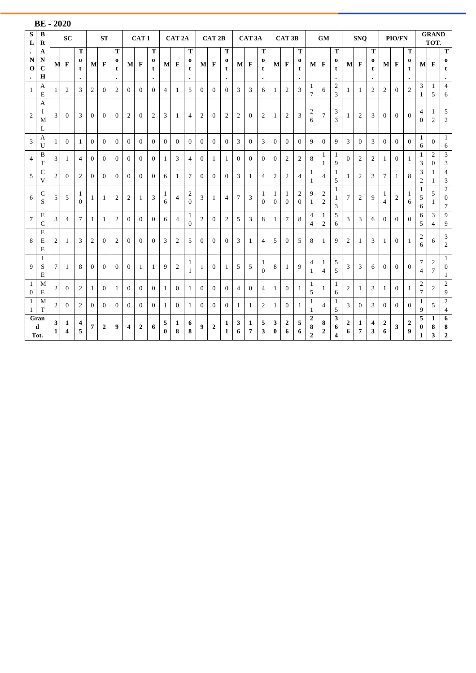|                | <b>BE-2020</b>             |                   |                |                                 |                  |                |                |                |                  |                                 |                |                   |                                 |                |                   |                          |                 |                    |                        |                |                       |                                  |                                         |                                    |                                         |              |                |                               |                |                  |                          |                                           |                                  |                                               |
|----------------|----------------------------|-------------------|----------------|---------------------------------|------------------|----------------|----------------|----------------|------------------|---------------------------------|----------------|-------------------|---------------------------------|----------------|-------------------|--------------------------|-----------------|--------------------|------------------------|----------------|-----------------------|----------------------------------|-----------------------------------------|------------------------------------|-----------------------------------------|--------------|----------------|-------------------------------|----------------|------------------|--------------------------|-------------------------------------------|----------------------------------|-----------------------------------------------|
| S<br>L         | B<br>$\bf{R}$              |                   | <b>SC</b>      |                                 |                  | <b>ST</b>      |                |                | CAT <sub>1</sub> |                                 |                | CAT <sub>2A</sub> |                                 |                | CAT <sub>2B</sub> |                          |                 | CAT <sub>3</sub> A |                        |                | CAT <sub>3B</sub>     |                                  |                                         | <b>GM</b>                          |                                         |              | <b>SNO</b>     |                               |                | <b>PIO/FN</b>    |                          |                                           | <b>GRAND</b><br>TOT.             |                                               |
| N<br>$\Omega$  | A<br>N<br>$\mathbf C$<br>H | M                 | $\mathbf F$    | T<br>$\bf{0}$<br>t<br>$\bullet$ |                  | $M$ F          | T<br>0<br>t    |                | M F              | T<br>$\bf{0}$<br>t<br>$\bullet$ |                | M F               | т<br>$\bf{0}$<br>t<br>$\bullet$ |                | $M$ F             | т<br>0<br>t<br>$\bullet$ | M               | $\mathbf{F}$       | Т<br>$\mathbf{o}$<br>t |                | M F                   | Т<br>0<br>t                      |                                         | $M$ F                              | ${\bf T}$<br>$\bf{0}$<br>t<br>$\bullet$ | $\mathbf{M}$ | $\mathbf F$    | T<br>$\bf{0}$<br>t<br>$\cdot$ | $\mathbf{M}$   | $\mathbf{F}$     | T<br>0<br>t<br>$\bullet$ | M                                         | $\mathbf F$                      | $\mathbf T$<br>$\mathbf{o}$<br>t<br>$\bullet$ |
| $\mathbf{1}$   | A<br>E                     | $\mathbf{1}$      | 2              | 3                               | $\overline{c}$   | $\Omega$       | 2              | $\Omega$       | $\theta$         | $\Omega$                        | $\overline{4}$ | 1                 | 5                               | $\Omega$       | $\Omega$          | $\Omega$                 | 3               | 3                  | 6                      | $\mathbf{1}$   | 2                     | 3                                | $\mathbf{1}$<br>$\tau$                  | 6                                  | $\sqrt{2}$<br>3                         | 1            | -1             | $\mathbf{2}$                  | 2              | $\Omega$         | 2                        | 3<br>1                                    | $\mathbf{1}$<br>5                | $\overline{4}$<br>6                           |
| $\overline{c}$ | A<br>I<br>M<br>L           | 3                 | $\Omega$       | 3                               | $\Omega$         | $\Omega$       | $\overline{0}$ | 2              | $\mathbf{0}$     | 2                               | 3              | 1                 | $\overline{4}$                  | $\mathfrak{2}$ | $\Omega$          | $\mathfrak{2}$           | 2               | $\overline{0}$     | $\overline{c}$         | $\mathbf{1}$   | 2                     | 3                                | $\begin{array}{c} 2 \\ 6 \end{array}$   | $\overline{7}$                     | 3<br>3                                  | 1            | $\overline{2}$ | 3                             | $\overline{0}$ | $\overline{0}$   | $\overline{0}$           | 4<br>$\theta$                             | $\mathbf{1}$<br>$\overline{2}$   | 5<br>$\overline{2}$                           |
| 3              | A<br>U                     | 1                 | $\Omega$       | 1                               | $\Omega$         | $\Omega$       | $\overline{0}$ | $\Omega$       | $\theta$         | $\overline{0}$                  | $\Omega$       | $\Omega$          | $\overline{0}$                  | $\overline{0}$ | $\overline{0}$    | $\Omega$                 | 3               | $\theta$           | 3                      | $\Omega$       | $\overline{0}$        | $\overline{0}$                   | 9                                       | $\Omega$                           | 9                                       | 3            | $\Omega$       | 3                             | $\overline{0}$ | $\overline{0}$   | $\overline{0}$           | 1<br>6                                    | $\Omega$                         | $\mathbf{1}$<br>6                             |
| $\overline{4}$ | B<br>T                     | 3                 | -1             | $\overline{4}$                  | $\Omega$         | $\overline{0}$ | $\overline{0}$ | $\overline{0}$ | $\theta$         | $\overline{0}$                  | 1              | 3                 | $\overline{4}$                  | $\overline{0}$ | 1                 | $\mathbf{1}$             | $\overline{0}$  | $\Omega$           | $\Omega$               | $\Omega$       | 2                     | 2                                | 8                                       | 1<br>1                             | -1<br>9                                 | $\Omega$     | $\overline{2}$ | 2                             | 1              | $\overline{0}$   | 1                        | 1<br>3                                    | $\mathfrak{2}$<br>$\overline{0}$ | 3<br>3                                        |
| 5              | $\mathsf{C}$<br>V          | $\overline{2}$    | $\theta$       | $\mathbf{2}$                    | $\Omega$         | $\overline{0}$ | $\overline{0}$ | $\overline{0}$ | $\overline{0}$   | $\overline{0}$                  | 6              | 1                 | 7                               | $\overline{0}$ | $\overline{0}$    | $\overline{0}$           | 3               | 1                  | 4                      | $\mathfrak{2}$ | 2                     | $\overline{4}$                   | 1<br>1                                  | $\overline{4}$                     | -1<br>5                                 | 1            | $\overline{2}$ | 3                             | $\tau$         | 1                | 8                        | 3<br>$\mathfrak{2}$                       | -1<br>-1                         | $\overline{4}$<br>3                           |
| 6              | C<br>S                     | 5                 | 5              | 1<br>$\Omega$                   | 1                | 1              | 2              | $\overline{c}$ | 1                | 3                               | 1<br>6         | $\overline{4}$    | $\overline{c}$<br>$\Omega$      | 3              | 1                 | $\overline{4}$           | $7\phantom{.0}$ | 3                  | 1<br>$\Omega$          | 1<br>$\theta$  | 1<br>$\Omega$         | $\overline{c}$<br>$\overline{0}$ | 9<br>1                                  | $\boldsymbol{2}$<br>$\overline{2}$ | 1<br>-1<br>3                            | 7            | $\overline{2}$ | 9                             | 1<br>4         | $\overline{2}$   | 1<br>6                   | $\mathbf{1}$<br>5<br>6                    | 5                                | $\overline{2}$<br>$\overline{0}$<br>$\tau$    |
| $\tau$         | Е<br>$\mathsf{C}$          | 3                 | $\overline{4}$ | $\overline{7}$                  | 1                | 1              | 2              | $\overline{0}$ | $\mathbf{0}$     | $\theta$                        | 6              | $\overline{4}$    | 1<br>$\Omega$                   | $\mathfrak{2}$ | $\overline{0}$    | $\mathfrak{2}$           | 5               | 3                  | 8                      | 1              | $\tau$                | 8                                | $\overline{4}$<br>$\overline{4}$        | 1<br>$\overline{c}$                | 5<br>6                                  | 3            | 3              | 6                             | $\overline{0}$ | $\theta$         | $\mathbf{0}$             | 6<br>5                                    | 3<br>4                           | 9<br>9                                        |
| 8              | E<br>E<br>E                | $\overline{2}$    | -1             | 3                               | $\boldsymbol{2}$ | 0              | 2              | $\mathbf{0}$   | $\theta$         | $\theta$                        | 3              | 2                 | 5                               | $\overline{0}$ | $\overline{0}$    | $\overline{0}$           | 3               | 1                  | 4                      | 5              | $\overline{0}$        | 5                                | 8                                       | 1                                  | 9                                       | 2            | 1              | 3                             | 1              | $\boldsymbol{0}$ | $\mathbf{1}$             | $\overline{c}$<br>6                       | 6                                | 3<br>$\overline{2}$                           |
| 9              | I<br>S<br>E                | 7                 | 1              | 8                               | $\overline{0}$   | 0              | $\theta$       | $\mathbf{0}$   | 1                | -1                              | 9              | $\overline{2}$    | 1<br>1                          | 1              | $\overline{0}$    | $\mathbf{1}$             | 5               | 5                  | -1<br>$\theta$         | 8              | 1                     | 9                                | 4<br>1                                  | 1<br>$\overline{4}$                | 5<br>5                                  | 3            | 3              | 6                             | $\overline{0}$ | $\theta$         | $\theta$                 | $\boldsymbol{7}$<br>4                     | $\overline{c}$<br>$\tau$         | 1<br>$\overline{0}$<br>1                      |
| -1<br>$\bf{0}$ | M<br>E                     | $\overline{2}$    | $\theta$       | $\mathbf{2}$                    | 1                | $\overline{0}$ | 1              | $\overline{0}$ | $\overline{0}$   | $\overline{0}$                  | 1              | $\overline{0}$    | $\mathbf{1}$                    | $\overline{0}$ | $\overline{0}$    | $\overline{0}$           | $\overline{4}$  | $\overline{0}$     | 4                      | 1              | $\overline{0}$        | 1                                | 1<br>5                                  | 1                                  | $\mathbf{1}$<br>6                       | 2            | 1              | 3                             | 1              | $\overline{0}$   | 1                        | $\overline{\mathbf{c}}$<br>$\overline{7}$ | 2                                | $\overline{c}$<br>9                           |
| -1<br>1        | M<br>T                     | $\overline{2}$    | $\theta$       | 2                               | $\Omega$         | $\overline{0}$ | $\overline{0}$ | $\overline{0}$ | $\overline{0}$   | $\overline{0}$                  | 1              | $\overline{0}$    | 1                               | $\overline{0}$ | $\overline{0}$    | $\overline{0}$           | 1               | -1                 | $\mathfrak{2}$         | $\mathbf{1}$   | $\overline{0}$        | 1                                | 1<br>-1                                 | $\overline{4}$                     | $\mathbf{1}$<br>5                       | 3            | $\overline{0}$ | 3                             | $\overline{0}$ | $\overline{0}$   | $\theta$                 | 1<br>9                                    | 5                                | $\overline{2}$<br>$\overline{4}$              |
|                | Gran<br>d<br>Tot.          | 3<br>$\mathbf{1}$ | 1<br>4         | 4<br>5                          | 7                | 2              | 9              | 4              | $\overline{2}$   | 6                               | 5<br>0         | $\mathbf{1}$<br>8 | 6<br>8                          | 9              | $\boldsymbol{2}$  | 1<br>1                   | 3<br>6          | 1<br>7             | 5<br>3                 | 3<br>$\bf{0}$  | $\boldsymbol{2}$<br>6 | 5<br>6                           | $\boldsymbol{2}$<br>8<br>$\overline{2}$ | 8<br>$\overline{2}$                | 3<br>6<br>4                             | 2<br>6       | 1<br>7         | 4<br>3                        | 2<br>6         | 3                | $\boldsymbol{2}$<br>9    | 5<br>$\bf{0}$<br>1                        | 1<br>8<br>$\mathbf{3}$           | 6<br>8<br>$\boldsymbol{2}$                    |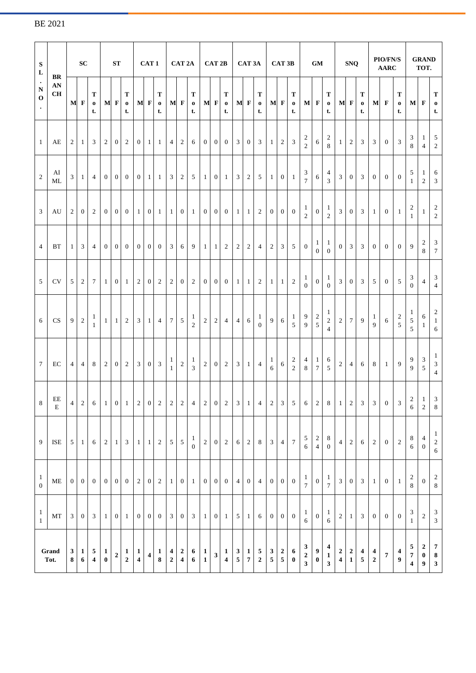| ${\bf S}$<br>$\mathbf L$<br>BR<br>$\bullet$ |                                                    | <b>SC</b>                      |                   |                                           | ST                       |                |                                | CAT <sub>1</sub>                     |                |                     | CAT <sub>2A</sub>                                             |                |                                                                                 | CAT <sub>2B</sub>              |                         |                                         | CAT 3A                                 |                                   |                     | CAT 3B                         |                                        |                                  | <b>GM</b>                                                   |                                           |                                                                   | <b>SNQ</b>                             |                                       |                                       | <b>PIO/FN/S</b><br><b>AARC</b> |                  |                              | <b>GRAND</b><br>TOT.                        |                                                   |                                                       |
|---------------------------------------------|----------------------------------------------------|--------------------------------|-------------------|-------------------------------------------|--------------------------|----------------|--------------------------------|--------------------------------------|----------------|---------------------|---------------------------------------------------------------|----------------|---------------------------------------------------------------------------------|--------------------------------|-------------------------|-----------------------------------------|----------------------------------------|-----------------------------------|---------------------|--------------------------------|----------------------------------------|----------------------------------|-------------------------------------------------------------|-------------------------------------------|-------------------------------------------------------------------|----------------------------------------|---------------------------------------|---------------------------------------|--------------------------------|------------------|------------------------------|---------------------------------------------|---------------------------------------------------|-------------------------------------------------------|
| ${\bf N}$<br>$\mathbf 0$<br>$\bullet$       | AN<br>CH                                           |                                | M F               | T<br>$\bf{0}$<br>t.                       |                          | M F            | Т<br>$\bf{0}$<br>t.            |                                      | M F            | т<br>$\bf{0}$<br>t. |                                                               | $M$ F          | т<br>$\bf{0}$<br>t.                                                             |                                | M F                     | т<br>$\mathbf 0$<br>t.                  |                                        | M F                               | Т<br>$\bf{0}$<br>t. |                                | M F                                    | т<br>$\mathbf 0$<br>t.           | M F                                                         |                                           | т<br>$\mathbf 0$<br>t.                                            |                                        | M F                                   | т<br>$\mathbf 0$<br>t.                |                                | M F              | т<br>$\mathbf 0$<br>t.       | $M \mid F$                                  |                                                   | T<br>$\mathbf 0$<br>t.                                |
| $\mathbf{1}$                                | AE                                                 | 2                              | -1                | 3                                         | $\overline{2}$           | $\overline{0}$ | 2                              | $\overline{0}$                       | 1 <sup>1</sup> | $\mathbf{1}$        | $4\phantom{.}$                                                | 2              | 6                                                                               | $\overline{0}$                 |                         | $0 \mid 0$                              | 3 <sup>7</sup>                         | $\overline{0}$                    | 3                   | $\mathbf{1}$                   | 2                                      | 3                                | 2<br>$\overline{c}$                                         | 6                                         | 2<br>8                                                            | $\mathbf{1}$                           | $\overline{2}$                        | $\mathfrak{Z}$                        | 3                              | $\overline{0}$   | $\mathbf{3}$                 | 3<br>8                                      | -1<br>$\overline{4}$                              | $5\overline{)}$<br>$\overline{2}$                     |
| $\overline{2}$                              | AI<br>ML                                           | 3                              | -1                | $\overline{4}$                            |                          | $01$ 0         | $\overline{0}$                 | $\overline{0}$                       | 1 <sup>1</sup> | -1                  | 3 <sup>1</sup>                                                | 2              | 5 <sup>5</sup>                                                                  | $\vert$ 1                      |                         | $0 \mid 1$                              | 3 <sup>1</sup>                         | 2                                 | 5                   | $1\vert$                       | $\overline{0}$                         | $\mathbf{1}$                     | 3<br>$\tau$                                                 | 6                                         | 4<br>3                                                            | 3 <sup>7</sup>                         | $\overline{0}$                        | 3                                     | $\overline{0}$                 | $\theta$         | $\overline{0}$               | 5<br>$\mathbf{1}$                           | -1<br>2                                           | 6<br>$\mathfrak{Z}$                                   |
| $\mathbf{3}$                                | AU                                                 | $\overline{2}$                 | $\overline{0}$    | $\overline{c}$                            | $\overline{0}$           | $\overline{0}$ | $\mathbf{0}$                   | $1\vert$                             | $\overline{0}$ | -1                  | 1                                                             | $\overline{0}$ | $\mathbf{1}$                                                                    | $\overline{0}$                 | $\overline{0}$          | $\mathbf{0}$                            | $\mathbf{1}$                           | -1                                | $\overline{2}$      | $\overline{0}$                 | $\overline{0}$                         | $\mathbf{0}$                     | $\mathbf{1}$<br>$\overline{2}$                              | $\overline{0}$                            | -1<br>$\overline{2}$                                              | 3                                      | $\overline{0}$                        | $\mathbf{3}$                          | $\mathbf{1}$                   | $\mathbf{0}$     | -1                           | $\overline{\mathbf{c}}$<br>$\mathbf{1}$     | $\mathbf{1}$                                      | $\overline{c}$<br>$\sqrt{2}$                          |
| $\overline{4}$                              | <b>BT</b>                                          | 1                              | 3                 | $\overline{4}$                            | $\overline{0}$           | $\overline{0}$ | $\overline{0}$                 | $\overline{0}$                       | $\overline{0}$ | $\overline{0}$      | 3 <sup>1</sup>                                                | 6              | 9                                                                               | $\vert$ 1                      |                         | $1 \vert 2$                             | $\overline{2}$                         | 2                                 | $\overline{4}$      | $\overline{2}$                 | 3                                      | 5                                | $\overline{0}$                                              | $\perp$<br>$\Omega$                       | 1<br>$\Omega$                                                     | $\overline{0}$                         | 3                                     | 3                                     | $\overline{0}$                 | $\theta$         | $\overline{0}$               | 9                                           | 2<br>8                                            | 3<br>$\tau$                                           |
| 5                                           | <b>CV</b>                                          | 5                              | $\overline{2}$    | 7                                         | $\mathbf{1}$             | $\overline{0}$ | -1                             | $2^{\circ}$                          | $\overline{0}$ | 2                   | 2 <sup>1</sup>                                                | $\overline{0}$ | $\overline{2}$                                                                  | $\overline{0}$                 | $\overline{0}$          | $\overline{0}$                          | $\mathbf{1}$                           | -1                                | $\overline{2}$      | $1\vert$                       | $\overline{1}$                         | 2                                | $\mathbf{1}$<br>$\mathbf{0}$                                | $\mathbf{0}$                              | 1<br>$\Omega$                                                     | 3                                      | $\overline{0}$                        | 3                                     | 5                              | $\mathbf{0}$     | $5\overline{)}$              | 3<br>$\Omega$                               | $\overline{4}$                                    | $\mathbf{3}$<br>$\overline{4}$                        |
| 6                                           | <b>CS</b>                                          | 9                              | $\overline{c}$    | $\mathbf{I}$<br>-1                        | 1                        | $\lceil$ 1     | 2                              | 3 <sup>1</sup>                       | $1\vert$       | $\overline{4}$      | $7\overline{ }$                                               | 5 <sup>5</sup> | -1<br>2                                                                         | $\overline{2}$                 | $\overline{2}$          | $\overline{4}$                          | $\overline{4}$                         | 6                                 | 1<br>$\Omega$       | 9 <sup>1</sup>                 | 6                                      | 1<br>5                           | 9<br>9                                                      | $\overline{\mathbf{c}}$<br>$\overline{5}$ | 1<br>$\sqrt{2}$<br>$\overline{4}$                                 | $\overline{c}$                         | $7\phantom{.0}$                       | -9                                    | $\mathbf{1}$<br>$\mathbf{Q}$   | 6                | $\sqrt{2}$<br>5              | 1<br>$\sqrt{5}$<br>5                        | 6<br>$\mathbf{1}$                                 | $\overline{c}$<br>$\mathbf{1}$<br>6                   |
| $7\overline{ }$                             | EC                                                 | 4                              | 4                 | 8                                         | $\overline{2}$           | $\overline{0}$ | 2                              | 3 <sup>1</sup>                       | $\overline{0}$ | 3                   | $\mathbf{1}$<br>$\mathbf{1}$                                  | $\overline{2}$ | $\mathbf{1}$<br>3                                                               | $2\vert$                       | $\overline{0}$          | 2                                       | $\mathfrak{Z}$                         | $\vert$ 1                         | $\overline{4}$      | $\mathbf{1}$<br>6              | $\sqrt{6}$                             | 2<br>$\overline{2}$              | 4<br>8                                                      | $\mathbf{1}$<br>$\tau$                    | 6<br>5                                                            | $\overline{c}$                         | $\overline{4}$                        | 6                                     | 8                              | -1               | 9                            | 9<br>$\overline{9}$                         | 3<br>5                                            | $\mathbf{1}$<br>$\sqrt{3}$<br>$\overline{4}$          |
|                                             | $8 \mid \stackrel{\text{EE}}{\sim}$<br>$\mathbf E$ |                                |                   |                                           |                          |                |                                |                                      |                |                     |                                                               |                | $4$   2   6   1   0   1   2   0   2   2   2   4   2   0   2   3   1   4   2   3 |                                |                         |                                         |                                        |                                   |                     |                                |                                        | 5 <sup>1</sup>                   |                                                             |                                           |                                                                   |                                        |                                       |                                       |                                |                  |                              |                                             | $1 \mid 3$<br>$\sqrt{2}$                          | $\,8\,$                                               |
| 9 <sup>1</sup>                              | $\operatorname{ISE}$                               |                                | $5 \mid 1$        | 6                                         | $\overline{2}$           | 1 <sup>1</sup> | 3 <sup>1</sup>                 | $\overline{1}$                       | $1\vert$       | $2^{\circ}$         |                                                               | $5 \quad 5$    | $\mathbf{1}$<br>$\Omega$                                                        | $2^{\circ}$                    |                         | $0 \quad 2$                             | 6                                      | $\overline{2}$                    | 8                   | 3 <sup>1</sup>                 | $\overline{4}$                         | $\boldsymbol{7}$                 | 5<br>$6\overline{6}$                                        | $\frac{2}{4}$                             | 8<br>$\theta$                                                     | $4\overline{ }$                        | $\overline{2}$                        | 6                                     | $\sqrt{2}$                     | $\overline{0}$   | 2                            | $\begin{array}{c} 8 \\ 6 \end{array}$       | $\overline{4}$<br>$\boldsymbol{0}$                | $\mathbf{1}$<br>$\begin{array}{c} 2 \\ 6 \end{array}$ |
| $\overline{1}$<br>$\overline{0}$            | $\rm ME$                                           | $\overline{0}$                 | $\overline{0}$    | $\mathbf{0}$                              | $\vert 0 \vert$          | $\overline{0}$ | $\overline{0}$                 | 2                                    |                | $0\quad 2$          |                                                               |                | 101000                                                                          |                                |                         |                                         | $\overline{4}$                         | $\overline{0}$                    | $4 \mid$            |                                | $0 \quad 0$                            | $\mathbf{0}$                     | $\mathbf{1}$<br>$\mathcal{I}$                               | $\boldsymbol{0}$                          | $\mathbf{1}$<br>$\overline{7}$                                    | 3 <sup>1</sup>                         | $\overline{0}$                        | $\overline{3}$                        | $\mathbf{1}$                   | $\overline{0}$   | $\overline{1}$               | $\begin{array}{c} 2 \\ 8 \end{array}$       | $\overline{0}$                                    | $\begin{array}{c} 2 \\ 8 \end{array}$                 |
| $\mathbf{1}$<br>$\mathbf{1}$                | $\operatorname{MT}$                                | $\mathfrak{Z}$                 | $\overline{0}$    | $\overline{3}$                            | $1\vert$                 |                | $0 \quad 1$                    | $\overline{0}$                       |                | $0 \quad 0$         |                                                               |                | $3 \t0 \t3 \t1$                                                                 |                                |                         | $0\quad1$                               |                                        | $5 \mid 1$                        | $6-1$               | $\vert$ 0                      | $\overline{0}$                         | $\boldsymbol{0}$                 | $\mathbf{1}$<br>6                                           | $\boldsymbol{0}$                          | $\mathbf{1}$<br>6                                                 | $\overline{c}$                         | $\mathbf{1}$                          | $\mathfrak{Z}$                        | $\overline{0}$                 | $\boldsymbol{0}$ | $\overline{0}$               | $\ensuremath{\mathfrak{Z}}$<br>$\mathbf{1}$ | $\sqrt{2}$                                        | $\mathbf{3}$<br>$\overline{3}$                        |
|                                             | Grand<br>Tot.                                      | $\mathbf{3}$<br>8 <sub>1</sub> | $\mathbf{1}$<br>6 | $\overline{5}$<br>$\overline{\mathbf{4}}$ | $\mathbf{1}$<br>$\bf{0}$ | $\mathbf 2$    | $\mathbf{1}$<br>$\overline{2}$ | $\vert$ 1<br>$\overline{\mathbf{4}}$ | $\vert$        |                     | $\begin{array}{ c c c }\n1 & 4 & 2 \\ 8 & 2 & 4\n\end{array}$ |                | 6 <sup>1</sup><br>$6\overline{6}$                                               | $\vert 1 \vert$<br>$\mathbf 1$ | $\overline{\mathbf{3}}$ | $\mathbf{1}$<br>$\overline{\mathbf{4}}$ | $\begin{bmatrix} 3 \\ 5 \end{bmatrix}$ | $\vert 1 \vert$<br>$\overline{7}$ | $\frac{5}{2}$       | $\mathbf{3}$<br>5 <sup>1</sup> | $\begin{bmatrix} 2 \\ 5 \end{bmatrix}$ | $\boldsymbol{6}$<br>$\mathbf{0}$ | $\mathbf{3}$<br>$\boldsymbol{2}$<br>$\overline{\mathbf{3}}$ | $\boldsymbol{9}$<br>$\boldsymbol{0}$      | $\overline{\mathbf{4}}$<br>$\mathbf 1$<br>$\overline{\mathbf{3}}$ | $\begin{bmatrix} 2 \\ 4 \end{bmatrix}$ | $\begin{array}{c} 2 \\ 1 \end{array}$ | $\begin{array}{c} 4 \\ 5 \end{array}$ | $\frac{4}{2}$                  | $\boldsymbol{7}$ | $\overline{\mathbf{4}}$<br>9 | $\frac{5}{7}$<br>$\overline{\mathbf{4}}$    | $\boldsymbol{2}$<br>$\pmb{0}$<br>$\boldsymbol{9}$ | $\overline{7}$<br>$\boldsymbol{8}$<br>$\mathbf{3}$    |

## BE 2021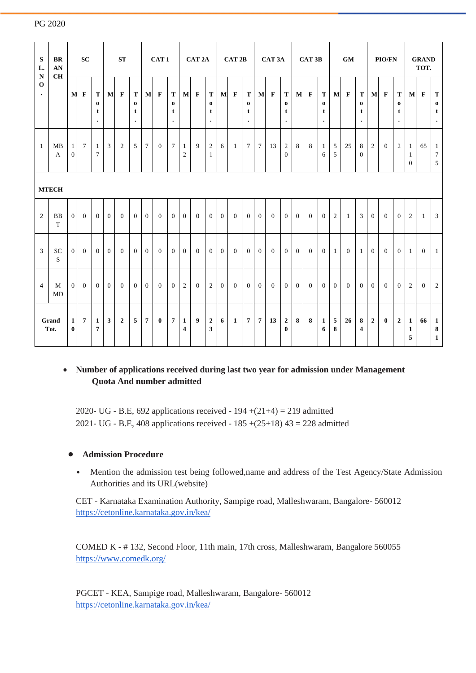| $\mathbf{s}$<br>L.<br>${\bf N}$<br>$\mathbf 0$<br>$\bullet$ | <b>BR</b><br>AN<br>CH   | <b>SC</b>                        |                | <b>ST</b>                                  |              | CAT <sub>1</sub> |                                 |                 | CAT <sub>2A</sub> |                                | CAT <sub>2B</sub>              |                | CAT <sub>3</sub> A               |              | CAT <sub>3B</sub> |                                 | <b>GM</b>        |                | <b>PIO/FN</b>                           |                | <b>GRAND</b><br>TOT. |                                 |                             |                |                                 |                |                |                                 |                                   |                  |                                   |
|-------------------------------------------------------------|-------------------------|----------------------------------|----------------|--------------------------------------------|--------------|------------------|---------------------------------|-----------------|-------------------|--------------------------------|--------------------------------|----------------|----------------------------------|--------------|-------------------|---------------------------------|------------------|----------------|-----------------------------------------|----------------|----------------------|---------------------------------|-----------------------------|----------------|---------------------------------|----------------|----------------|---------------------------------|-----------------------------------|------------------|-----------------------------------|
|                                                             |                         | M                                | $\mathbf F$    | T<br>$\bf{0}$<br>t<br>$\ddot{\phantom{0}}$ | $\bf{M}$     | $\mathbf{F}$     | T<br>$\bf{0}$<br>t<br>$\bullet$ | $\mathbf{M}$    | $\mathbf{F}$      | T<br>$\bf o$<br>t<br>$\bullet$ | M                              | $\mathbf F$    | T<br>$\bf{0}$<br>t<br>$\bullet$  | $\mathbf{M}$ | $\mathbf{F}$      | T<br>$\bf{0}$<br>t<br>$\bullet$ | M                | $\mathbf{F}$   | ${\bf T}$<br>$\bf{0}$<br>t<br>$\bullet$ | $\mathbf{M}$   | $\mathbf{F}$         | T<br>$\bf{0}$<br>t<br>$\bullet$ | $\mathbf{M}$                | $\mathbf{F}$   | T<br>$\bf{0}$<br>t<br>$\bullet$ | $\mathbf{M}$   | $\mathbf{F}$   | T<br>$\bf{0}$<br>t<br>$\bullet$ | M                                 | $\mathbf F$      | T<br>$\bf{0}$<br>t<br>$\bullet$   |
| $\overline{1}$                                              | MB<br>$\mathbf{A}$      | $\mathbf{1}$<br>$\boldsymbol{0}$ | $\tau$         | 1<br>$\overline{7}$                        | 3            | 2                | 5                               | $7\phantom{.0}$ | $\overline{0}$    | $\tau$                         | $\mathbf{1}$<br>$\overline{c}$ | 9              | 2<br>$\mathbf{1}$                | 6            | 1                 | $\tau$                          | $7\phantom{.0}$  | 13             | $\boldsymbol{2}$<br>$\mathbf{0}$        | 8              | 8                    | 1<br>6                          | 5<br>5                      | 25             | 8<br>$\theta$                   | $\overline{2}$ | $\overline{0}$ | 2                               | 1<br>$\mathbf{1}$<br>$\mathbf{0}$ | 65               | $\mathbf{1}$<br>$\tau$<br>5       |
|                                                             | <b>MTECH</b>            |                                  |                |                                            |              |                  |                                 |                 |                   |                                |                                |                |                                  |              |                   |                                 |                  |                |                                         |                |                      |                                 |                             |                |                                 |                |                |                                 |                                   |                  |                                   |
| 2                                                           | <b>BB</b><br>T          | $\overline{0}$                   | $\mathbf{0}$   | $\mathbf{0}$                               | $\mathbf{0}$ | $\Omega$         | $\overline{0}$                  | $\overline{0}$  | $\overline{0}$    | $\overline{0}$                 | $\mathbf{0}$                   | $\theta$       | $\overline{0}$                   | $\mathbf{0}$ | $\mathbf{0}$      | $\overline{0}$                  | $\mathbf{0}$     | $\Omega$       | $\overline{0}$                          | $\overline{0}$ | $\Omega$             | $\overline{0}$                  | $\mathfrak{2}$              | $\mathbf{1}$   | 3                               | $\overline{0}$ | $\theta$       | $\overline{0}$                  | 2                                 | $\mathbf{1}$     | $\mathfrak{Z}$                    |
| $\overline{\mathbf{3}}$                                     | ${\rm SC}$<br>${\bf S}$ | $\overline{0}$                   | $\mathbf{0}$   | $\overline{0}$                             | $\mathbf{0}$ | $\Omega$         | $\theta$                        | $\mathbf{0}$    | $\Omega$          | $\overline{0}$                 | $\mathbf{0}$                   | $\theta$       | $\overline{0}$                   | $\theta$     | $\mathbf{0}$      | $\overline{0}$                  | $\mathbf{0}$     | $\overline{0}$ | $\overline{0}$                          | $\overline{0}$ | $\Omega$             | $\overline{0}$                  | -1                          | $\theta$       | 1                               | $\mathbf{0}$   | $\overline{0}$ | $\overline{0}$                  | 1                                 | $\mathbf{0}$     | $\mathbf{1}$                      |
| $\overline{4}$                                              | M<br>MD                 | $\overline{0}$                   | $\mathbf{0}$   | $\overline{0}$                             | $\theta$     | $\overline{0}$   | $\overline{0}$                  | $\overline{0}$  | $\overline{0}$    | $\overline{0}$                 | $\overline{c}$                 | $\overline{0}$ | $\overline{2}$                   | $\mathbf{0}$ | $\overline{0}$    | $\overline{0}$                  | $\boldsymbol{0}$ | $\overline{0}$ | $\overline{0}$                          | $\overline{0}$ | $\theta$             | $\overline{0}$                  | $\mathbf{0}$                | $\overline{0}$ | $\overline{0}$                  | $\Omega$       | $\theta$       | $\overline{0}$                  | 2                                 | $\boldsymbol{0}$ | $\overline{2}$                    |
| Grand<br>Tot.                                               |                         | $\mathbf{1}$<br>$\bf{0}$         | $\overline{7}$ | $\mathbf{1}$<br>7                          | 3            | $\mathbf{2}$     | 5                               | $\overline{7}$  | $\bf{0}$          | $\boldsymbol{7}$               | $\mathbf{1}$<br>4              | 9              | $\boldsymbol{2}$<br>$\mathbf{3}$ | 6            | $\mathbf{1}$      | 7                               | $\overline{7}$   | 13             | $\boldsymbol{2}$<br>$\bf{0}$            | 8              | 8                    | $\mathbf{1}$<br>6               | $\overline{5}$<br>${\bf 8}$ | 26             | 8<br>$\overline{4}$             | $\overline{2}$ | $\mathbf{0}$   | $\overline{2}$                  | 1<br>$\mathbf{1}$<br>5            | 66               | $\mathbf{1}$<br>8<br>$\mathbf{1}$ |

#### PG 2020

### • **Number of applications received during last two year for admission under Management Quota And number admitted**

2020- UG - B.E, 692 applications received -  $194 + (21+4) = 219$  admitted 2021- UG - B.E, 408 applications received -  $185 + (25+18)$  43 = 228 admitted

#### **• Admission Procedure**

• Mention the admission test being followed,name and address of the Test Agency/State Admission Authorities and its URL(website)

CET - Karnataka Examination Authority, Sampige road, Malleshwaram, Bangalore- 560012 <https://cetonline.karnataka.gov.in/kea/>

COMED K - # 132, Second Floor, 11th main, 17th cross, Malleshwaram, Bangalore 560055 <https://www.comedk.org/>

PGCET - KEA, Sampige road, Malleshwaram, Bangalore- 560012 <https://cetonline.karnataka.gov.in/kea/>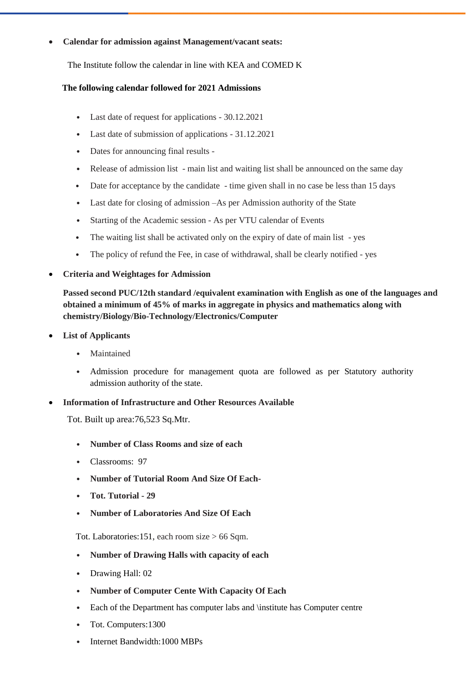#### • **Calendar for admission against Management/vacant seats:**

The Institute follow the calendar in line with KEA and COMED K

#### **The following calendar followed for 2021 Admissions**

- Last date of request for applications 30.12.2021
- Last date of submission of applications 31.12.2021
- Dates for announcing final results -
- Release of admission list main list and waiting list shall be announced on the same day
- Date for acceptance by the candidate time given shall in no case be less than 15 days
- Last date for closing of admission –As per Admission authority of the State
- Starting of the Academic session As per VTU calendar of Events
- The waiting list shall be activated only on the expiry of date of main list yes
- The policy of refund the Fee, in case of withdrawal, shall be clearly notified yes
- **Criteria and Weightages for Admission**

**Passed second PUC/12th standard /equivalent examination with English as one of the languages and obtained a minimum of 45% of marks in aggregate in physics and mathematics along with chemistry/Biology/Bio-Technology/Electronics/Computer**

- **List of Applicants**
	- **Maintained**
	- Admission procedure for management quota are followed as per Statutory authority admission authority of the state.
- **Information of Infrastructure and Other Resources Available**

Tot. Built up area:76,523 Sq.Mtr.

- **Number of Class Rooms and size of each**
- Classrooms: 97
- **Number of Tutorial Room And Size Of Each-**
- **Tot. Tutorial - 29**
- **Number of Laboratories And Size Of Each**

Tot. Laboratories:151, each room size > 66 Sqm.

- **Number of Drawing Halls with capacity of each**
- Drawing Hall: 02
- **Number of Computer Cente With Capacity Of Each**
- Each of the Department has computer labs and \institute has Computer centre
- Tot. Computers:1300
- Internet Bandwidth:1000 MBPs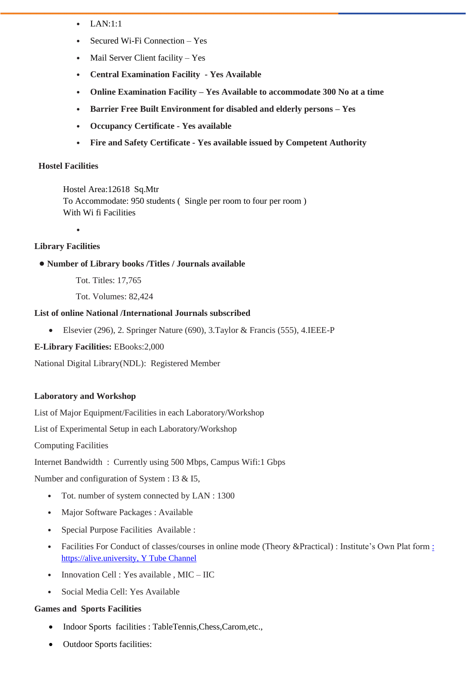- $\bullet$  LAN $\cdot$ 1 $\cdot$ 1
- Secured Wi-Fi Connection Yes
- Mail Server Client facility Yes
- **Central Examination Facility - Yes Available**
- **Online Examination Facility – Yes Available to accommodate 300 No at a time**
- **Barrier Free Built Environment for disabled and elderly persons – Yes**
- **Occupancy Certificate - Yes available**
- **Fire and Safety Certificate - Yes available issued by Competent Authority**

#### **Hostel Facilities**

Hostel Area:12618 Sq.Mtr To Accommodate: 950 students ( Single per room to four per room ) With Wi fi Facilities

•

#### **Library Facilities**

- **• Number of Library books /Titles / Journals available**
	- Tot. Titles: 17,765
	- Tot. Volumes: 82,424

#### **List of online National /International Journals subscribed**

- Elsevier (296), 2. Springer Nature (690), 3.Taylor & Francis (555), 4.IEEE-P
- **E-Library Facilities:** EBooks:2,000

National Digital Library(NDL): Registered Member

#### **Laboratory and Workshop**

List of Major Equipment/Facilities in each Laboratory/Workshop

List of Experimental Setup in each Laboratory/Workshop

Computing Facilities

Internet Bandwidth : Currently using 500 Mbps, Campus Wifi:1 Gbps

Number and configuration of System : I3 & I5,

- Tot. number of system connected by LAN : 1300
- Major Software Packages : Available
- Special Purpose Facilities Available :
- Facilities For Conduct of classes/courses in online mode (Theory &Practical) [:](file:///C:/Users/Chaithra/Downloads/%20https/alive.university,%20Y%20Tube%20Channel) Institute's Own Plat form : [https://alive.university, Y Tube Channel](file:///C:/Users/Chaithra/Downloads/%20https/alive.university,%20Y%20Tube%20Channel)
- Innovation Cell : Yes available, MIC IIC
- Social Media Cell: Yes Available

#### **Games and Sports Facilities**

- Indoor Sports facilities : TableTennis,Chess,Carom,etc.,
- Outdoor Sports facilities: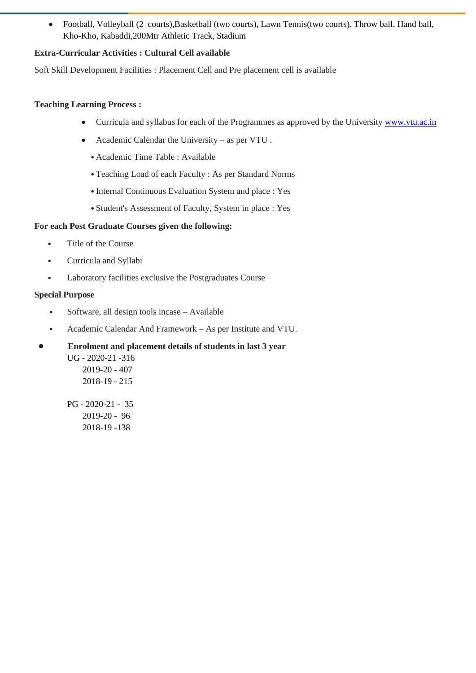• Football, Volleyball (2 courts),Basketball (two courts), Lawn Tennis(two courts), Throw ball, Hand ball, Kho-Kho, Kabaddi,200Mtr Athletic Track, Stadium

#### **Extra-Curricular Activities : Cultural Cell available**

Soft Skill Development Facilities : Placement Cell and Pre placement cell is available

#### **Teaching Learning Process :**

- Curricula and syllabus for each of the Programmes as approved by the University [www.vtu.ac.in](http://www.vtu.ac.in/)
- Academic Calendar the University as per VTU .
	- •Academic Time Table : Available
	- •Teaching Load of each Faculty : As per Standard Norms
	- •Internal Continuous Evaluation System and place : Yes
	- •Student's Assessment of Faculty, System in place : Yes

#### **For each Post Graduate Courses given the following:**

- Title of the Course
- Curricula and Syllabi
- Laboratory facilities exclusive the Postgraduates Course

#### **Special Purpose**

- Software, all design tools incase Available
- Academic Calendar And Framework As per Institute and VTU.
- **• Enrolment and placement details of students in last 3 year** UG - 2020-21 -316
	- 2019-20 407 2018-19 - 215

PG - 2020-21 - 35 2019-20 - 96 2018-19 -138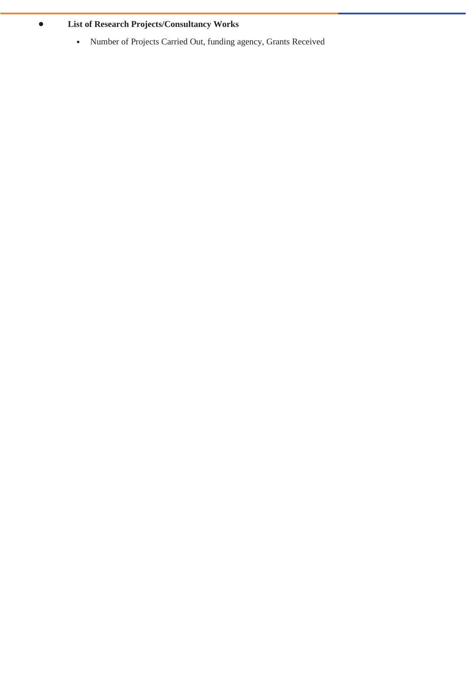## **• List of Research Projects/Consultancy Works**

• Number of Projects Carried Out, funding agency, Grants Received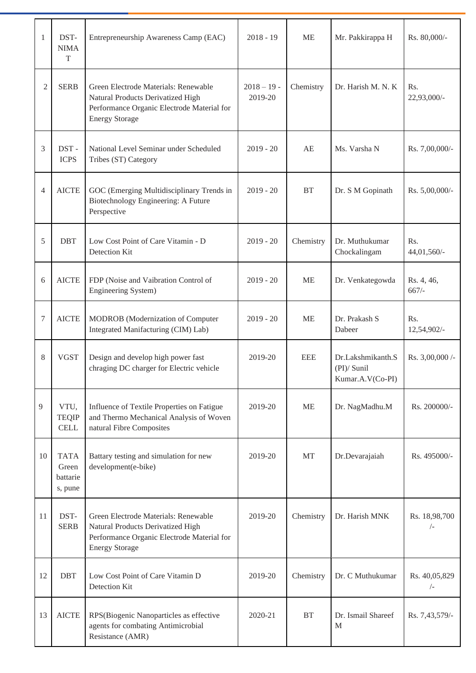| 1              | DST-<br><b>NIMA</b><br>$\mathbf T$          | Entrepreneurship Awareness Camp (EAC)                                                                                                            | $2018 - 19$              | <b>ME</b>  | Mr. Pakkirappa H                                       | Rs. 80,000/-                |
|----------------|---------------------------------------------|--------------------------------------------------------------------------------------------------------------------------------------------------|--------------------------|------------|--------------------------------------------------------|-----------------------------|
| $\overline{c}$ | <b>SERB</b>                                 | Green Electrode Materials: Renewable<br>Natural Products Derivatized High<br>Performance Organic Electrode Material for<br><b>Energy Storage</b> | $2018 - 19$ -<br>2019-20 | Chemistry  | Dr. Harish M. N. K                                     | Rs.<br>22,93,000/-          |
| 3              | DST-<br><b>ICPS</b>                         | National Level Seminar under Scheduled<br>Tribes (ST) Category                                                                                   | $2019 - 20$              | AE         | Ms. Varsha N                                           | Rs. 7,00,000/-              |
| $\overline{4}$ | <b>AICTE</b>                                | GOC (Emerging Multidisciplinary Trends in<br>Biotechnology Engineering: A Future<br>Perspective                                                  | $2019 - 20$              | <b>BT</b>  | Dr. S M Gopinath                                       | Rs. 5,00,000/-              |
| 5              | <b>DBT</b>                                  | Low Cost Point of Care Vitamin - D<br>Detection Kit                                                                                              | $2019 - 20$              | Chemistry  | Dr. Muthukumar<br>Chockalingam                         | Rs.<br>44,01,560/-          |
| 6              | <b>AICTE</b>                                | FDP (Noise and Vaibration Control of<br>Engineering System)                                                                                      | $2019 - 20$              | <b>ME</b>  | Dr. Venkategowda                                       | Rs. 4, 46,<br>$667/-$       |
| 7              | <b>AICTE</b>                                | MODROB (Modernization of Computer<br>Integrated Manifacturing (CIM) Lab)                                                                         | $2019 - 20$              | <b>ME</b>  | Dr. Prakash S<br>Dabeer                                | Rs.<br>12,54,902/-          |
| 8              | <b>VGST</b>                                 | Design and develop high power fast<br>chraging DC charger for Electric vehicle                                                                   | 2019-20                  | <b>EEE</b> | Dr.Lakshmikanth.S<br>$(PI)/$ Sunil<br>Kumar.A.V(Co-PI) | Rs. 3,00,000 /-             |
| 9              | VTU,<br><b>TEQIP</b><br><b>CELL</b>         | Influence of Textile Properties on Fatigue<br>and Thermo Mechanical Analysis of Woven<br>natural Fibre Composites                                | 2019-20                  | <b>ME</b>  | Dr. NagMadhu.M                                         | Rs. 200000/-                |
| 10             | <b>TATA</b><br>Green<br>battarie<br>s, pune | Battary testing and simulation for new<br>development(e-bike)                                                                                    | 2019-20                  | <b>MT</b>  | Dr.Devarajaiah                                         | Rs. 495000/-                |
| 11             | DST-<br><b>SERB</b>                         | Green Electrode Materials: Renewable<br>Natural Products Derivatized High<br>Performance Organic Electrode Material for<br><b>Energy Storage</b> | 2019-20                  | Chemistry  | Dr. Harish MNK                                         | Rs. 18,98,700<br>$\sqrt{-}$ |
| 12             | <b>DBT</b>                                  | Low Cost Point of Care Vitamin D<br>Detection Kit                                                                                                | 2019-20                  | Chemistry  | Dr. C Muthukumar                                       | Rs. 40,05,829<br>$/$ -      |
| 13             | <b>AICTE</b>                                | RPS(Biogenic Nanoparticles as effective<br>agents for combating Antimicrobial<br>Resistance (AMR)                                                | 2020-21                  | <b>BT</b>  | Dr. Ismail Shareef<br>M                                | Rs. 7,43,579/-              |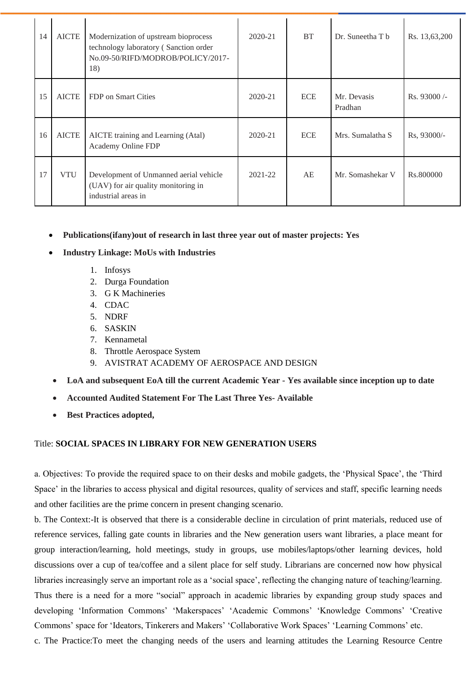| 14 | <b>AICTE</b> | Modernization of upstream bioprocess<br>technology laboratory (Sanction order<br>No.09-50/RIFD/MODROB/POLICY/2017-<br>18) | $2020 - 21$ | <b>BT</b>  | Dr. Suneetha T b       | Rs. 13,63,200 |
|----|--------------|---------------------------------------------------------------------------------------------------------------------------|-------------|------------|------------------------|---------------|
| 15 | <b>AICTE</b> | FDP on Smart Cities                                                                                                       | $2020 - 21$ | <b>ECE</b> | Mr. Devasis<br>Pradhan | $Rs.93000/-$  |
| 16 | <b>AICTE</b> | AICTE training and Learning (Atal)<br>Academy Online FDP                                                                  | $2020 - 21$ | <b>ECE</b> | Mrs. Sumalatha S       | Rs, 93000/-   |
| 17 | <b>VTU</b>   | Development of Unmanned aerial vehicle<br>(UAV) for air quality monitoring in<br>industrial areas in                      | 2021-22     | AE         | Mr. Somashekar V       | Rs.800000     |

- **Publications(ifany)out of research in last three year out of master projects: Yes**
- **Industry Linkage: MoUs with Industries**
	- 1. Infosys
	- 2. Durga Foundation
	- 3. G K Machineries
	- 4. CDAC
	- 5. NDRF
	- 6. SASKIN
	- 7. Kennametal
	- 8. Throttle Aerospace System
	- 9. AVISTRAT ACADEMY OF AEROSPACE AND DESIGN
- **LoA and subsequent EoA till the current Academic Year - Yes available since inception up to date**
- **Accounted Audited Statement For The Last Three Yes- Available**
- **Best Practices adopted,**

#### Title: **SOCIAL SPACES IN LIBRARY FOR NEW GENERATION USERS**

a. Objectives: To provide the required space to on their desks and mobile gadgets, the 'Physical Space', the 'Third Space' in the libraries to access physical and digital resources, quality of services and staff, specific learning needs and other facilities are the prime concern in present changing scenario.

b. The Context:-It is observed that there is a considerable decline in circulation of print materials, reduced use of reference services, falling gate counts in libraries and the New generation users want libraries, a place meant for group interaction/learning, hold meetings, study in groups, use mobiles/laptops/other learning devices, hold discussions over a cup of tea/coffee and a silent place for self study. Librarians are concerned now how physical libraries increasingly serve an important role as a 'social space', reflecting the changing nature of teaching/learning. Thus there is a need for a more "social" approach in academic libraries by expanding group study spaces and developing 'Information Commons' 'Makerspaces' 'Academic Commons' 'Knowledge Commons' 'Creative Commons' space for 'Ideators, Tinkerers and Makers' 'Collaborative Work Spaces' 'Learning Commons' etc.

c. The Practice:To meet the changing needs of the users and learning attitudes the Learning Resource Centre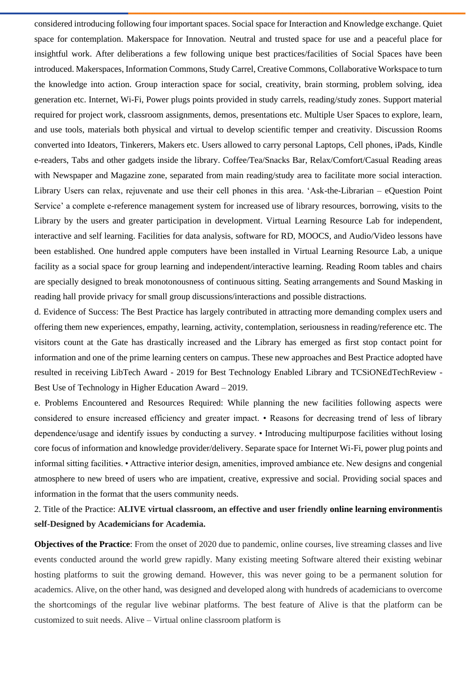considered introducing following four important spaces. Social space for Interaction and Knowledge exchange. Quiet space for contemplation. Makerspace for Innovation. Neutral and trusted space for use and a peaceful place for insightful work. After deliberations a few following unique best practices/facilities of Social Spaces have been introduced. Makerspaces, Information Commons, Study Carrel, Creative Commons, Collaborative Workspace to turn the knowledge into action. Group interaction space for social, creativity, brain storming, problem solving, idea generation etc. Internet, Wi-Fi, Power plugs points provided in study carrels, reading/study zones. Support material required for project work, classroom assignments, demos, presentations etc. Multiple User Spaces to explore, learn, and use tools, materials both physical and virtual to develop scientific temper and creativity. Discussion Rooms converted into Ideators, Tinkerers, Makers etc. Users allowed to carry personal Laptops, Cell phones, iPads, Kindle e-readers, Tabs and other gadgets inside the library. Coffee/Tea/Snacks Bar, Relax/Comfort/Casual Reading areas with Newspaper and Magazine zone, separated from main reading/study area to facilitate more social interaction. Library Users can relax, rejuvenate and use their cell phones in this area. 'Ask-the-Librarian – eQuestion Point Service' a complete e-reference management system for increased use of library resources, borrowing, visits to the Library by the users and greater participation in development. Virtual Learning Resource Lab for independent, interactive and self learning. Facilities for data analysis, software for RD, MOOCS, and Audio/Video lessons have been established. One hundred apple computers have been installed in Virtual Learning Resource Lab, a unique facility as a social space for group learning and independent/interactive learning. Reading Room tables and chairs are specially designed to break monotonousness of continuous sitting. Seating arrangements and Sound Masking in reading hall provide privacy for small group discussions/interactions and possible distractions.

d. Evidence of Success: The Best Practice has largely contributed in attracting more demanding complex users and offering them new experiences, empathy, learning, activity, contemplation, seriousness in reading/reference etc. The visitors count at the Gate has drastically increased and the Library has emerged as first stop contact point for information and one of the prime learning centers on campus. These new approaches and Best Practice adopted have resulted in receiving LibTech Award - 2019 for Best Technology Enabled Library and TCSiONEdTechReview - Best Use of Technology in Higher Education Award – 2019.

e. Problems Encountered and Resources Required: While planning the new facilities following aspects were considered to ensure increased efficiency and greater impact. • Reasons for decreasing trend of less of library dependence/usage and identify issues by conducting a survey. • Introducing multipurpose facilities without losing core focus of information and knowledge provider/delivery. Separate space for Internet Wi-Fi, power plug points and informal sitting facilities. • Attractive interior design, amenities, improved ambiance etc. New designs and congenial atmosphere to new breed of users who are impatient, creative, expressive and social. Providing social spaces and information in the format that the users community needs.

## 2. Title of the Practice: **ALIVE virtual classroom, an effective and user friendly online learning environmentis self-Designed by Academicians for Academia.**

**Objectives of the Practice**: From the onset of 2020 due to pandemic, online courses, live streaming classes and live events conducted around the world grew rapidly. Many existing meeting Software altered their existing webinar hosting platforms to suit the growing demand. However, this was never going to be a permanent solution for academics. Alive, on the other hand, was designed and developed along with hundreds of academicians to overcome the shortcomings of the regular live webinar platforms. The best feature of Alive is that the platform can be customized to suit needs. Alive – Virtual online classroom platform is